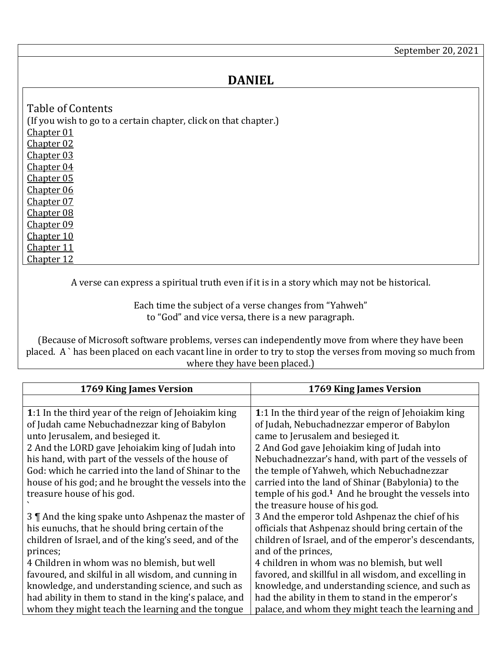## **DANIEL**

<span id="page-0-6"></span><span id="page-0-5"></span><span id="page-0-4"></span><span id="page-0-3"></span><span id="page-0-2"></span><span id="page-0-1"></span>

| Table of Contents                                                |
|------------------------------------------------------------------|
| (If you wish to go to a certain chapter, click on that chapter.) |
| <b>Chapter 01</b>                                                |
| Chapter 02                                                       |
| <b>Chapter 03</b>                                                |
| <b>Chapter 04</b>                                                |
| <b>Chapter 05</b>                                                |
| Chapter 06                                                       |
| Chapter 07                                                       |
| <b>Chapter 08</b>                                                |
| <b>Chapter 09</b>                                                |
| <u>Chapter 10</u>                                                |
| Chapter 11                                                       |
| Chapter 12                                                       |

<span id="page-0-12"></span><span id="page-0-11"></span><span id="page-0-10"></span><span id="page-0-9"></span><span id="page-0-8"></span><span id="page-0-7"></span>A verse can express a spiritual truth even if it is in a story which may not be historical.

Each time the subject of a verse changes from "Yahweh" to "God" and vice versa, there is a new paragraph.

(Because of Microsoft software problems, verses can independently move from where they have been placed. A ` has been placed on each vacant line in order to try to stop the verses from moving so much from where they have been placed.)

<span id="page-0-0"></span>

| 1769 King James Version                                | 1769 King James Version                                         |
|--------------------------------------------------------|-----------------------------------------------------------------|
|                                                        |                                                                 |
| 1:1 In the third year of the reign of Jehoiakim king   | 1:1 In the third year of the reign of Jehoiakim king            |
| of Judah came Nebuchadnezzar king of Babylon           | of Judah, Nebuchadnezzar emperor of Babylon                     |
| unto Jerusalem, and besieged it.                       | came to Jerusalem and besieged it.                              |
| 2 And the LORD gave Jehoiakim king of Judah into       | 2 And God gave Jehoiakim king of Judah into                     |
| his hand, with part of the vessels of the house of     | Nebuchadnezzar's hand, with part of the vessels of              |
| God: which he carried into the land of Shinar to the   | the temple of Yahweh, which Nebuchadnezzar                      |
| house of his god; and he brought the vessels into the  | carried into the land of Shinar (Babylonia) to the              |
| treasure house of his god.                             | temple of his god. <sup>1</sup> And he brought the vessels into |
|                                                        | the treasure house of his god.                                  |
| 3    And the king spake unto Ashpenaz the master of    | 3 And the emperor told Ashpenaz the chief of his                |
| his eunuchs, that he should bring certain of the       | officials that Ashpenaz should bring certain of the             |
| children of Israel, and of the king's seed, and of the | children of Israel, and of the emperor's descendants,           |
| princes;                                               | and of the princes,                                             |
| 4 Children in whom was no blemish, but well            | 4 children in whom was no blemish, but well                     |
| favoured, and skilful in all wisdom, and cunning in    | favored, and skillful in all wisdom, and excelling in           |
| knowledge, and understanding science, and such as      | knowledge, and understanding science, and such as               |
| had ability in them to stand in the king's palace, and | had the ability in them to stand in the emperor's               |
| whom they might teach the learning and the tongue      | palace, and whom they might teach the learning and              |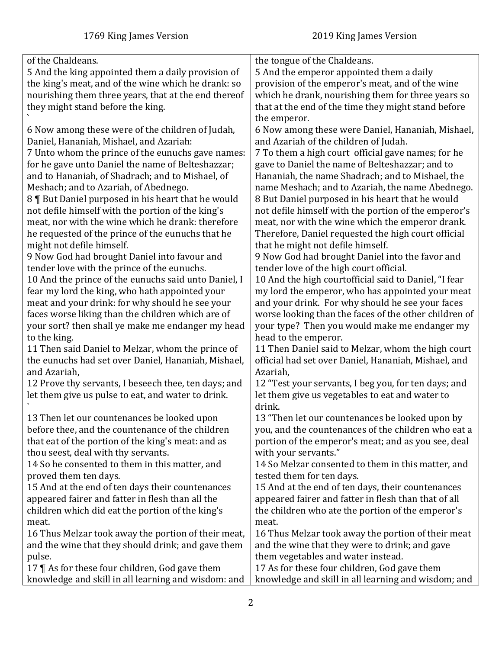| of the Chaldeans.                                    | the tongue of the Chaldeans.                          |
|------------------------------------------------------|-------------------------------------------------------|
| 5 And the king appointed them a daily provision of   | 5 And the emperor appointed them a daily              |
| the king's meat, and of the wine which he drank: so  | provision of the emperor's meat, and of the wine      |
| nourishing them three years, that at the end thereof | which he drank, nourishing them for three years so    |
| they might stand before the king.                    | that at the end of the time they might stand before   |
|                                                      | the emperor.                                          |
| 6 Now among these were of the children of Judah,     | 6 Now among these were Daniel, Hananiah, Mishael,     |
| Daniel, Hananiah, Mishael, and Azariah:              | and Azariah of the children of Judah.                 |
| 7 Unto whom the prince of the eunuchs gave names:    | 7 To them a high court official gave names; for he    |
| for he gave unto Daniel the name of Belteshazzar;    | gave to Daniel the name of Belteshazzar; and to       |
| and to Hananiah, of Shadrach; and to Mishael, of     | Hananiah, the name Shadrach; and to Mishael, the      |
| Meshach; and to Azariah, of Abednego.                | name Meshach; and to Azariah, the name Abednego.      |
| 8   But Daniel purposed in his heart that he would   | 8 But Daniel purposed in his heart that he would      |
| not defile himself with the portion of the king's    | not defile himself with the portion of the emperor's  |
| meat, nor with the wine which he drank: therefore    | meat, nor with the wine which the emperor drank.      |
| he requested of the prince of the eunuchs that he    | Therefore, Daniel requested the high court official   |
| might not defile himself.                            | that he might not defile himself.                     |
| 9 Now God had brought Daniel into favour and         | 9 Now God had brought Daniel into the favor and       |
| tender love with the prince of the eunuchs.          | tender love of the high court official.               |
| 10 And the prince of the eunuchs said unto Daniel, I | 10 And the high courtofficial said to Daniel, "I fear |
| fear my lord the king, who hath appointed your       | my lord the emperor, who has appointed your meat      |
| meat and your drink: for why should he see your      | and your drink. For why should he see your faces      |
| faces worse liking than the children which are of    | worse looking than the faces of the other children of |
| your sort? then shall ye make me endanger my head    | your type? Then you would make me endanger my         |
| to the king.                                         | head to the emperor.                                  |
| 11 Then said Daniel to Melzar, whom the prince of    | 11 Then Daniel said to Melzar, whom the high court    |
| the eunuchs had set over Daniel, Hananiah, Mishael,  | official had set over Daniel, Hananiah, Mishael, and  |
| and Azariah,                                         | Azariah,                                              |
| 12 Prove thy servants, I beseech thee, ten days; and | 12 "Test your servants, I beg you, for ten days; and  |
| let them give us pulse to eat, and water to drink.   | let them give us vegetables to eat and water to       |
|                                                      | drink.                                                |
| 13 Then let our countenances be looked upon          | 13 "Then let our countenances be looked upon by       |
| before thee, and the countenance of the children     | you, and the countenances of the children who eat a   |
| that eat of the portion of the king's meat: and as   | portion of the emperor's meat; and as you see, deal   |
| thou seest, deal with thy servants.                  | with your servants."                                  |
| 14 So he consented to them in this matter, and       | 14 So Melzar consented to them in this matter, and    |
| proved them ten days.                                | tested them for ten days.                             |
| 15 And at the end of ten days their countenances     | 15 And at the end of ten days, their countenances     |
| appeared fairer and fatter in flesh than all the     | appeared fairer and fatter in flesh than that of all  |
| children which did eat the portion of the king's     | the children who ate the portion of the emperor's     |
| meat.                                                | meat.                                                 |
| 16 Thus Melzar took away the portion of their meat,  | 16 Thus Melzar took away the portion of their meat    |
| and the wine that they should drink; and gave them   | and the wine that they were to drink; and gave        |
| pulse.                                               | them vegetables and water instead.                    |
| 17 $\P$ As for these four children, God gave them    | 17 As for these four children, God gave them          |
| knowledge and skill in all learning and wisdom: and  | knowledge and skill in all learning and wisdom; and   |
|                                                      |                                                       |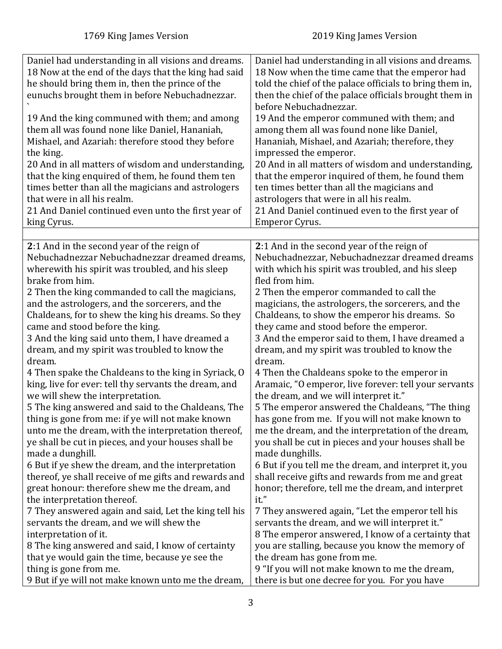<span id="page-2-0"></span>

| Daniel had understanding in all visions and dreams.<br>18 Now at the end of the days that the king had said<br>he should bring them in, then the prince of the<br>eunuchs brought them in before Nebuchadnezzar. | Daniel had understanding in all visions and dreams.<br>18 Now when the time came that the emperor had<br>told the chief of the palace officials to bring them in,<br>then the chief of the palace officials brought them in<br>before Nebuchadnezzar. |
|------------------------------------------------------------------------------------------------------------------------------------------------------------------------------------------------------------------|-------------------------------------------------------------------------------------------------------------------------------------------------------------------------------------------------------------------------------------------------------|
| 19 And the king communed with them; and among                                                                                                                                                                    | 19 And the emperor communed with them; and                                                                                                                                                                                                            |
| them all was found none like Daniel, Hananiah,                                                                                                                                                                   | among them all was found none like Daniel,                                                                                                                                                                                                            |
| Mishael, and Azariah: therefore stood they before                                                                                                                                                                | Hananiah, Mishael, and Azariah; therefore, they                                                                                                                                                                                                       |
| the king.                                                                                                                                                                                                        | impressed the emperor.                                                                                                                                                                                                                                |
| 20 And in all matters of wisdom and understanding,                                                                                                                                                               | 20 And in all matters of wisdom and understanding,                                                                                                                                                                                                    |
| that the king enquired of them, he found them ten                                                                                                                                                                | that the emperor inquired of them, he found them                                                                                                                                                                                                      |
| times better than all the magicians and astrologers                                                                                                                                                              | ten times better than all the magicians and                                                                                                                                                                                                           |
| that were in all his realm.                                                                                                                                                                                      | astrologers that were in all his realm.                                                                                                                                                                                                               |
| 21 And Daniel continued even unto the first year of                                                                                                                                                              | 21 And Daniel continued even to the first year of                                                                                                                                                                                                     |
| king Cyrus.                                                                                                                                                                                                      | Emperor Cyrus.                                                                                                                                                                                                                                        |
| 2:1 And in the second year of the reign of                                                                                                                                                                       | 2:1 And in the second year of the reign of                                                                                                                                                                                                            |
| Nebuchadnezzar Nebuchadnezzar dreamed dreams,                                                                                                                                                                    | Nebuchadnezzar, Nebuchadnezzar dreamed dreams                                                                                                                                                                                                         |
| wherewith his spirit was troubled, and his sleep                                                                                                                                                                 | with which his spirit was troubled, and his sleep                                                                                                                                                                                                     |
| brake from him.                                                                                                                                                                                                  | fled from him.                                                                                                                                                                                                                                        |
| 2 Then the king commanded to call the magicians,                                                                                                                                                                 | 2 Then the emperor commanded to call the                                                                                                                                                                                                              |
| and the astrologers, and the sorcerers, and the                                                                                                                                                                  | magicians, the astrologers, the sorcerers, and the                                                                                                                                                                                                    |
| Chaldeans, for to shew the king his dreams. So they                                                                                                                                                              | Chaldeans, to show the emperor his dreams. So                                                                                                                                                                                                         |
| came and stood before the king.                                                                                                                                                                                  | they came and stood before the emperor.                                                                                                                                                                                                               |
| 3 And the king said unto them, I have dreamed a                                                                                                                                                                  | 3 And the emperor said to them, I have dreamed a                                                                                                                                                                                                      |
| dream, and my spirit was troubled to know the                                                                                                                                                                    | dream, and my spirit was troubled to know the                                                                                                                                                                                                         |
| dream.                                                                                                                                                                                                           | dream.                                                                                                                                                                                                                                                |
| 4 Then spake the Chaldeans to the king in Syriack, O                                                                                                                                                             | 4 Then the Chaldeans spoke to the emperor in                                                                                                                                                                                                          |
| king, live for ever: tell thy servants the dream, and                                                                                                                                                            | Aramaic, "O emperor, live forever: tell your servants                                                                                                                                                                                                 |
| we will shew the interpretation.                                                                                                                                                                                 | the dream, and we will interpret it."                                                                                                                                                                                                                 |
| 5 The king answered and said to the Chaldeans, The                                                                                                                                                               | 5 The emperor answered the Chaldeans, "The thing                                                                                                                                                                                                      |
| thing is gone from me: if ye will not make known                                                                                                                                                                 | has gone from me. If you will not make known to                                                                                                                                                                                                       |
| unto me the dream, with the interpretation thereof,                                                                                                                                                              | me the dream, and the interpretation of the dream,                                                                                                                                                                                                    |
| ye shall be cut in pieces, and your houses shall be                                                                                                                                                              | you shall be cut in pieces and your houses shall be                                                                                                                                                                                                   |
| made a dunghill.                                                                                                                                                                                                 | made dunghills.                                                                                                                                                                                                                                       |
| 6 But if ye shew the dream, and the interpretation                                                                                                                                                               | 6 But if you tell me the dream, and interpret it, you                                                                                                                                                                                                 |
| thereof, ye shall receive of me gifts and rewards and                                                                                                                                                            | shall receive gifts and rewards from me and great                                                                                                                                                                                                     |
| great honour: therefore shew me the dream, and                                                                                                                                                                   | honor; therefore, tell me the dream, and interpret                                                                                                                                                                                                    |
| the interpretation thereof.                                                                                                                                                                                      | it."                                                                                                                                                                                                                                                  |
| 7 They answered again and said, Let the king tell his                                                                                                                                                            | 7 They answered again, "Let the emperor tell his                                                                                                                                                                                                      |
| servants the dream, and we will shew the                                                                                                                                                                         | servants the dream, and we will interpret it."                                                                                                                                                                                                        |
| interpretation of it.                                                                                                                                                                                            | 8 The emperor answered, I know of a certainty that                                                                                                                                                                                                    |
| 8 The king answered and said, I know of certainty                                                                                                                                                                | you are stalling, because you know the memory of                                                                                                                                                                                                      |
| that ye would gain the time, because ye see the                                                                                                                                                                  | the dream has gone from me.                                                                                                                                                                                                                           |
| thing is gone from me.                                                                                                                                                                                           | 9 "If you will not make known to me the dream,                                                                                                                                                                                                        |
| 9 But if ye will not make known unto me the dream,                                                                                                                                                               | there is but one decree for you. For you have                                                                                                                                                                                                         |
|                                                                                                                                                                                                                  |                                                                                                                                                                                                                                                       |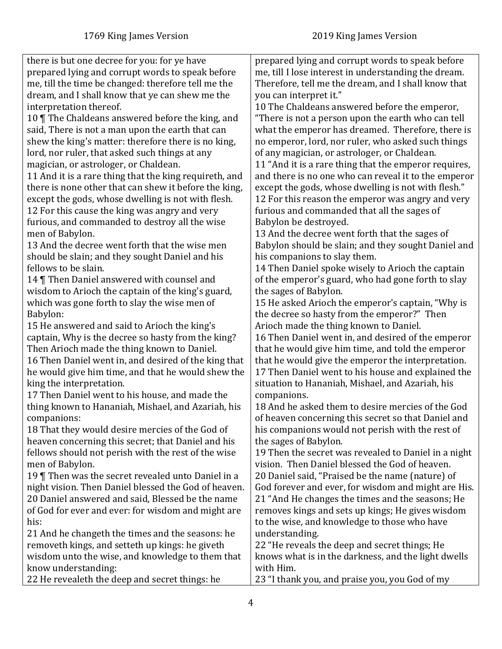| there is but one decree for you: for ye have           | prepared lying and corrupt words to speak before      |
|--------------------------------------------------------|-------------------------------------------------------|
| prepared lying and corrupt words to speak before       | me, till I lose interest in understanding the dream.  |
| me, till the time be changed: therefore tell me the    | Therefore, tell me the dream, and I shall know that   |
| dream, and I shall know that ye can shew me the        | you can interpret it."                                |
| interpretation thereof.                                | 10 The Chaldeans answered before the emperor,         |
| 10   The Chaldeans answered before the king, and       | "There is not a person upon the earth who can tell    |
| said, There is not a man upon the earth that can       | what the emperor has dreamed. Therefore, there is     |
| shew the king's matter: therefore there is no king,    | no emperor, lord, nor ruler, who asked such things    |
| lord, nor ruler, that asked such things at any         | of any magician, or astrologer, or Chaldean.          |
| magician, or astrologer, or Chaldean.                  | 11 "And it is a rare thing that the emperor requires, |
| 11 And it is a rare thing that the king requireth, and | and there is no one who can reveal it to the emperor  |
| there is none other that can shew it before the king,  | except the gods, whose dwelling is not with flesh."   |
| except the gods, whose dwelling is not with flesh.     | 12 For this reason the emperor was angry and very     |
| 12 For this cause the king was angry and very          | furious and commanded that all the sages of           |
| furious, and commanded to destroy all the wise         | Babylon be destroyed.                                 |
| men of Babylon.                                        | 13 And the decree went forth that the sages of        |
| 13 And the decree went forth that the wise men         | Babylon should be slain; and they sought Daniel and   |
| should be slain; and they sought Daniel and his        | his companions to slay them.                          |
| fellows to be slain.                                   | 14 Then Daniel spoke wisely to Arioch the captain     |
| 14   Then Daniel answered with counsel and             | of the emperor's guard, who had gone forth to slay    |
| wisdom to Arioch the captain of the king's guard,      | the sages of Babylon.                                 |
| which was gone forth to slay the wise men of           | 15 He asked Arioch the emperor's captain, "Why is     |
| Babylon:                                               | the decree so hasty from the emperor?" Then           |
| 15 He answered and said to Arioch the king's           | Arioch made the thing known to Daniel.                |
| captain, Why is the decree so hasty from the king?     | 16 Then Daniel went in, and desired of the emperor    |
| Then Arioch made the thing known to Daniel.            | that he would give him time, and told the emperor     |
| 16 Then Daniel went in, and desired of the king that   | that he would give the emperor the interpretation.    |
| he would give him time, and that he would shew the     | 17 Then Daniel went to his house and explained the    |
| king the interpretation.                               | situation to Hananiah, Mishael, and Azariah, his      |
| 17 Then Daniel went to his house, and made the         | companions.                                           |
| thing known to Hananiah, Mishael, and Azariah, his     | 18 And he asked them to desire mercies of the God     |
| companions:                                            | of heaven concerning this secret so that Daniel and   |
| 18 That they would desire mercies of the God of        | his companions would not perish with the rest of      |
| heaven concerning this secret; that Daniel and his     | the sages of Babylon.                                 |
| fellows should not perish with the rest of the wise    | 19 Then the secret was revealed to Daniel in a night  |
| men of Babylon.                                        | vision. Then Daniel blessed the God of heaven.        |
| 19 Then was the secret revealed unto Daniel in a       | 20 Daniel said, "Praised be the name (nature) of      |
| night vision. Then Daniel blessed the God of heaven.   | God forever and ever, for wisdom and might are His.   |
| 20 Daniel answered and said, Blessed be the name       | 21 "And He changes the times and the seasons; He      |
| of God for ever and ever: for wisdom and might are     | removes kings and sets up kings; He gives wisdom      |
| his:                                                   | to the wise, and knowledge to those who have          |
| 21 And he changeth the times and the seasons: he       | understanding.                                        |
| removeth kings, and setteth up kings: he giveth        | 22 "He reveals the deep and secret things; He         |
| wisdom unto the wise, and knowledge to them that       | knows what is in the darkness, and the light dwells   |
| know understanding:                                    | with Him.                                             |
| 22 He revealeth the deep and secret things: he         | 23 "I thank you, and praise you, you God of my        |
|                                                        |                                                       |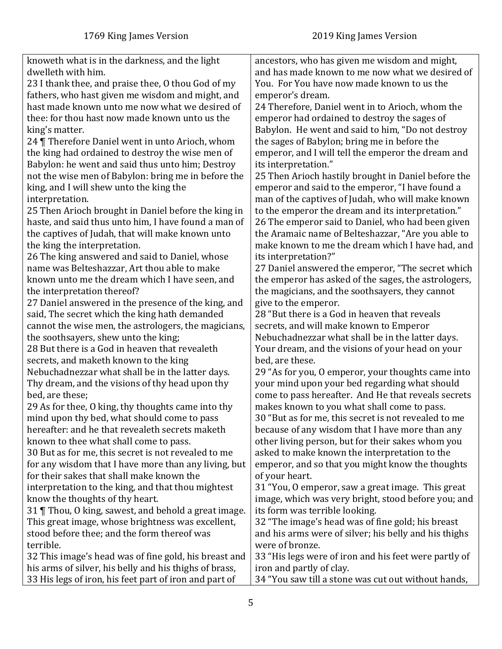| knoweth what is in the darkness, and the light         | ancestors, who has given me wisdom and might,         |
|--------------------------------------------------------|-------------------------------------------------------|
| dwelleth with him.                                     | and has made known to me now what we desired of       |
| 23 I thank thee, and praise thee, O thou God of my     | You. For You have now made known to us the            |
| fathers, who hast given me wisdom and might, and       | emperor's dream.                                      |
| hast made known unto me now what we desired of         | 24 Therefore, Daniel went in to Arioch, whom the      |
| thee: for thou hast now made known unto us the         | emperor had ordained to destroy the sages of          |
| king's matter.                                         | Babylon. He went and said to him, "Do not destroy     |
| 24   Therefore Daniel went in unto Arioch, whom        | the sages of Babylon; bring me in before the          |
| the king had ordained to destroy the wise men of       | emperor, and I will tell the emperor the dream and    |
| Babylon: he went and said thus unto him; Destroy       | its interpretation."                                  |
| not the wise men of Babylon: bring me in before the    | 25 Then Arioch hastily brought in Daniel before the   |
| king, and I will shew unto the king the                | emperor and said to the emperor, "I have found a      |
| interpretation.                                        | man of the captives of Judah, who will make known     |
| 25 Then Arioch brought in Daniel before the king in    | to the emperor the dream and its interpretation."     |
| haste, and said thus unto him, I have found a man of   | 26 The emperor said to Daniel, who had been given     |
| the captives of Judah, that will make known unto       | the Aramaic name of Belteshazzar, "Are you able to    |
| the king the interpretation.                           | make known to me the dream which I have had, and      |
| 26 The king answered and said to Daniel, whose         | its interpretation?"                                  |
| name was Belteshazzar, Art thou able to make           | 27 Daniel answered the emperor, "The secret which     |
| known unto me the dream which I have seen, and         | the emperor has asked of the sages, the astrologers,  |
| the interpretation thereof?                            | the magicians, and the soothsayers, they cannot       |
| 27 Daniel answered in the presence of the king, and    | give to the emperor.                                  |
| said, The secret which the king hath demanded          | 28 "But there is a God in heaven that reveals         |
| cannot the wise men, the astrologers, the magicians,   | secrets, and will make known to Emperor               |
| the soothsayers, shew unto the king;                   | Nebuchadnezzar what shall be in the latter days.      |
| 28 But there is a God in heaven that revealeth         | Your dream, and the visions of your head on your      |
| secrets, and maketh known to the king                  | bed, are these.                                       |
| Nebuchadnezzar what shall be in the latter days.       | 29 "As for you, O emperor, your thoughts came into    |
| Thy dream, and the visions of thy head upon thy        | your mind upon your bed regarding what should         |
| bed, are these;                                        | come to pass hereafter. And He that reveals secrets   |
| 29 As for thee, O king, thy thoughts came into thy     | makes known to you what shall come to pass.           |
| mind upon thy bed, what should come to pass            | 30 "But as for me, this secret is not revealed to me  |
| hereafter: and he that revealeth secrets maketh        | because of any wisdom that I have more than any       |
| known to thee what shall come to pass.                 | other living person, but for their sakes whom you     |
| 30 But as for me, this secret is not revealed to me    | asked to make known the interpretation to the         |
| for any wisdom that I have more than any living, but   | emperor, and so that you might know the thoughts      |
| for their sakes that shall make known the              | of your heart.                                        |
| interpretation to the king, and that thou mightest     | 31 "You, O emperor, saw a great image. This great     |
| know the thoughts of thy heart.                        | image, which was very bright, stood before you; and   |
| 31   Thou, O king, sawest, and behold a great image.   | its form was terrible looking.                        |
| This great image, whose brightness was excellent,      | 32 "The image's head was of fine gold; his breast     |
| stood before thee; and the form thereof was            | and his arms were of silver; his belly and his thighs |
| terrible.                                              | were of bronze.                                       |
| 32 This image's head was of fine gold, his breast and  | 33 "His legs were of iron and his feet were partly of |
| his arms of silver, his belly and his thighs of brass, | iron and partly of clay.                              |
| 33 His legs of iron, his feet part of iron and part of | 34 "You saw till a stone was cut out without hands,   |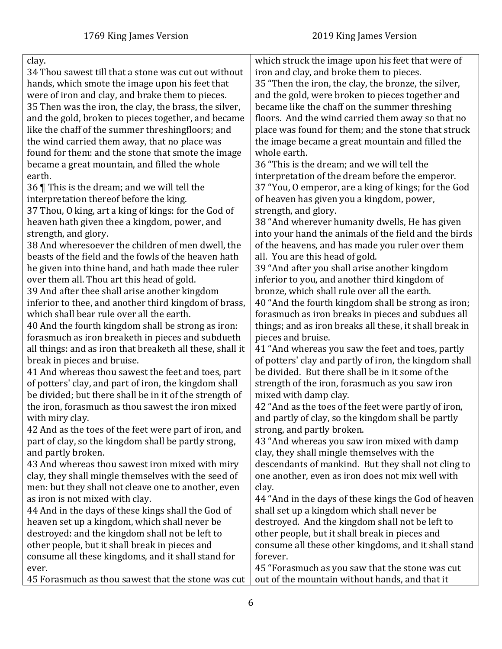| clay.                                                     | which struck the image upon his feet that were of       |
|-----------------------------------------------------------|---------------------------------------------------------|
| 34 Thou sawest till that a stone was cut out without      | iron and clay, and broke them to pieces.                |
| hands, which smote the image upon his feet that           | 35 "Then the iron, the clay, the bronze, the silver,    |
| were of iron and clay, and brake them to pieces.          | and the gold, were broken to pieces together and        |
| 35 Then was the iron, the clay, the brass, the silver,    | became like the chaff on the summer threshing           |
| and the gold, broken to pieces together, and became       | floors. And the wind carried them away so that no       |
| like the chaff of the summer threshingfloors; and         | place was found for them; and the stone that struck     |
| the wind carried them away, that no place was             | the image became a great mountain and filled the        |
| found for them: and the stone that smote the image        | whole earth.                                            |
| became a great mountain, and filled the whole             | 36 "This is the dream; and we will tell the             |
| earth.                                                    | interpretation of the dream before the emperor.         |
| 36 $\P$ This is the dream; and we will tell the           | 37 "You, O emperor, are a king of kings; for the God    |
| interpretation thereof before the king.                   | of heaven has given you a kingdom, power,               |
| 37 Thou, O king, art a king of kings: for the God of      | strength, and glory.                                    |
| heaven hath given thee a kingdom, power, and              | 38 "And wherever humanity dwells, He has given          |
| strength, and glory.                                      | into your hand the animals of the field and the birds   |
| 38 And wheresoever the children of men dwell, the         | of the heavens, and has made you ruler over them        |
| beasts of the field and the fowls of the heaven hath      | all. You are this head of gold.                         |
| he given into thine hand, and hath made thee ruler        | 39 "And after you shall arise another kingdom           |
| over them all. Thou art this head of gold.                | inferior to you, and another third kingdom of           |
| 39 And after thee shall arise another kingdom             | bronze, which shall rule over all the earth.            |
| inferior to thee, and another third kingdom of brass,     | 40 "And the fourth kingdom shall be strong as iron;     |
| which shall bear rule over all the earth.                 | forasmuch as iron breaks in pieces and subdues all      |
| 40 And the fourth kingdom shall be strong as iron:        | things; and as iron breaks all these, it shall break in |
| forasmuch as iron breaketh in pieces and subdueth         | pieces and bruise.                                      |
| all things: and as iron that breaketh all these, shall it | 41 "And whereas you saw the feet and toes, partly       |
| break in pieces and bruise.                               | of potters' clay and partly of iron, the kingdom shall  |
| 41 And whereas thou sawest the feet and toes, part        | be divided. But there shall be in it some of the        |
| of potters' clay, and part of iron, the kingdom shall     | strength of the iron, forasmuch as you saw iron         |
| be divided; but there shall be in it of the strength of   | mixed with damp clay.                                   |
| the iron, forasmuch as thou sawest the iron mixed         | 42 "And as the toes of the feet were partly of iron,    |
| with miry clay.                                           | and partly of clay, so the kingdom shall be partly      |
| 42 And as the toes of the feet were part of iron, and     | strong, and partly broken.                              |
| part of clay, so the kingdom shall be partly strong,      | 43 "And whereas you saw iron mixed with damp            |
| and partly broken.                                        | clay, they shall mingle themselves with the             |
| 43 And whereas thou sawest iron mixed with miry           | descendants of mankind. But they shall not cling to     |
| clay, they shall mingle themselves with the seed of       | one another, even as iron does not mix well with        |
| men: but they shall not cleave one to another, even       | clay.                                                   |
| as iron is not mixed with clay.                           | 44 "And in the days of these kings the God of heaven    |
| 44 And in the days of these kings shall the God of        | shall set up a kingdom which shall never be             |
| heaven set up a kingdom, which shall never be             | destroyed. And the kingdom shall not be left to         |
| destroyed: and the kingdom shall not be left to           | other people, but it shall break in pieces and          |
| other people, but it shall break in pieces and            | consume all these other kingdoms, and it shall stand    |
| consume all these kingdoms, and it shall stand for        | forever.                                                |
| ever.                                                     | 45 "Forasmuch as you saw that the stone was cut         |
| 45 Forasmuch as thou sawest that the stone was cut        | out of the mountain without hands, and that it          |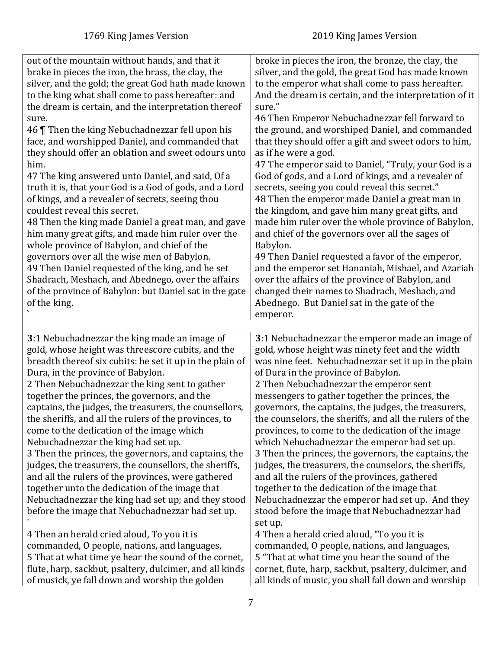<span id="page-6-0"></span>

| out of the mountain without hands, and that it<br>brake in pieces the iron, the brass, the clay, the<br>silver, and the gold; the great God hath made known<br>to the king what shall come to pass hereafter: and<br>the dream is certain, and the interpretation thereof<br>sure.<br>46 Then the king Nebuchadnezzar fell upon his<br>face, and worshipped Daniel, and commanded that<br>they should offer an oblation and sweet odours unto<br>him.<br>47 The king answered unto Daniel, and said, Of a<br>truth it is, that your God is a God of gods, and a Lord<br>of kings, and a revealer of secrets, seeing thou<br>couldest reveal this secret.<br>48 Then the king made Daniel a great man, and gave<br>him many great gifts, and made him ruler over the<br>whole province of Babylon, and chief of the<br>governors over all the wise men of Babylon.<br>49 Then Daniel requested of the king, and he set<br>Shadrach, Meshach, and Abednego, over the affairs<br>of the province of Babylon: but Daniel sat in the gate<br>of the king. | broke in pieces the iron, the bronze, the clay, the<br>silver, and the gold, the great God has made known<br>to the emperor what shall come to pass hereafter.<br>And the dream is certain, and the interpretation of it<br>sure."<br>46 Then Emperor Nebuchadnezzar fell forward to<br>the ground, and worshiped Daniel, and commanded<br>that they should offer a gift and sweet odors to him,<br>as if he were a god.<br>47 The emperor said to Daniel, "Truly, your God is a<br>God of gods, and a Lord of kings, and a revealer of<br>secrets, seeing you could reveal this secret."<br>48 Then the emperor made Daniel a great man in<br>the kingdom, and gave him many great gifts, and<br>made him ruler over the whole province of Babylon,<br>and chief of the governors over all the sages of<br>Babylon.<br>49 Then Daniel requested a favor of the emperor,<br>and the emperor set Hananiah, Mishael, and Azariah<br>over the affairs of the province of Babylon, and<br>changed their names to Shadrach, Meshach, and<br>Abednego. But Daniel sat in the gate of the<br>emperor. |
|------------------------------------------------------------------------------------------------------------------------------------------------------------------------------------------------------------------------------------------------------------------------------------------------------------------------------------------------------------------------------------------------------------------------------------------------------------------------------------------------------------------------------------------------------------------------------------------------------------------------------------------------------------------------------------------------------------------------------------------------------------------------------------------------------------------------------------------------------------------------------------------------------------------------------------------------------------------------------------------------------------------------------------------------------|------------------------------------------------------------------------------------------------------------------------------------------------------------------------------------------------------------------------------------------------------------------------------------------------------------------------------------------------------------------------------------------------------------------------------------------------------------------------------------------------------------------------------------------------------------------------------------------------------------------------------------------------------------------------------------------------------------------------------------------------------------------------------------------------------------------------------------------------------------------------------------------------------------------------------------------------------------------------------------------------------------------------------------------------------------------------------------------------|
|                                                                                                                                                                                                                                                                                                                                                                                                                                                                                                                                                                                                                                                                                                                                                                                                                                                                                                                                                                                                                                                      |                                                                                                                                                                                                                                                                                                                                                                                                                                                                                                                                                                                                                                                                                                                                                                                                                                                                                                                                                                                                                                                                                                |
| 3:1 Nebuchadnezzar the king made an image of<br>gold, whose height was threescore cubits, and the<br>breadth thereof six cubits: he set it up in the plain of<br>Dura, in the province of Babylon.<br>2 Then Nebuchadnezzar the king sent to gather<br>together the princes, the governors, and the<br>captains, the judges, the treasurers, the counsellors,<br>the sheriffs, and all the rulers of the provinces, to<br>come to the dedication of the image which<br>Nebuchadnezzar the king had set up.<br>3 Then the princes, the governors, and captains, the<br>judges, the treasurers, the counsellors, the sheriffs,<br>and all the rulers of the provinces, were gathered<br>together unto the dedication of the image that<br>Nebuchadnezzar the king had set up; and they stood<br>before the image that Nebuchadnezzar had set up.                                                                                                                                                                                                       | 3:1 Nebuchadnezzar the emperor made an image of<br>gold, whose height was ninety feet and the width<br>was nine feet. Nebuchadnezzar set it up in the plain<br>of Dura in the province of Babylon.<br>2 Then Nebuchadnezzar the emperor sent<br>messengers to gather together the princes, the<br>governors, the captains, the judges, the treasurers,<br>the counselors, the sheriffs, and all the rulers of the<br>provinces, to come to the dedication of the image<br>which Nebuchadnezzar the emperor had set up.<br>3 Then the princes, the governors, the captains, the<br>judges, the treasurers, the counselors, the sheriffs,<br>and all the rulers of the provinces, gathered<br>together to the dedication of the image that<br>Nebuchadnezzar the emperor had set up. And they<br>stood before the image that Nebuchadnezzar had<br>set up.                                                                                                                                                                                                                                       |
| 4 Then an herald cried aloud, To you it is<br>commanded, O people, nations, and languages,<br>5 That at what time ye hear the sound of the cornet,<br>flute, harp, sackbut, psaltery, dulcimer, and all kinds<br>of musick, ye fall down and worship the golden                                                                                                                                                                                                                                                                                                                                                                                                                                                                                                                                                                                                                                                                                                                                                                                      | 4 Then a herald cried aloud, "To you it is<br>commanded, O people, nations, and languages,<br>5 "That at what time you hear the sound of the<br>cornet, flute, harp, sackbut, psaltery, dulcimer, and<br>all kinds of music, you shall fall down and worship                                                                                                                                                                                                                                                                                                                                                                                                                                                                                                                                                                                                                                                                                                                                                                                                                                   |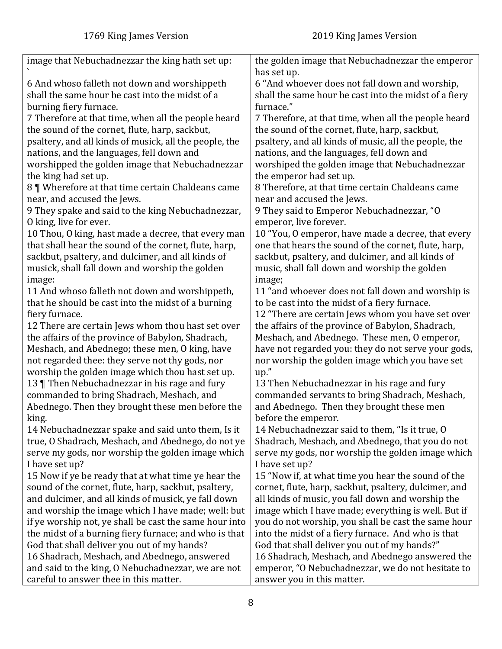| image that Nebuchadnezzar the king hath set up:        | the golden image that Nebuchadnezzar the emperor<br>has set up. |
|--------------------------------------------------------|-----------------------------------------------------------------|
| 6 And whoso falleth not down and worshippeth           | 6 "And whoever does not fall down and worship,                  |
|                                                        |                                                                 |
| shall the same hour be cast into the midst of a        | shall the same hour be cast into the midst of a fiery           |
| burning fiery furnace.                                 | furnace."                                                       |
| 7 Therefore at that time, when all the people heard    | 7 Therefore, at that time, when all the people heard            |
| the sound of the cornet, flute, harp, sackbut,         | the sound of the cornet, flute, harp, sackbut,                  |
| psaltery, and all kinds of musick, all the people, the | psaltery, and all kinds of music, all the people, the           |
| nations, and the languages, fell down and              | nations, and the languages, fell down and                       |
| worshipped the golden image that Nebuchadnezzar        | worshiped the golden image that Nebuchadnezzar                  |
| the king had set up.                                   | the emperor had set up.                                         |
| 8   Wherefore at that time certain Chaldeans came      | 8 Therefore, at that time certain Chaldeans came                |
|                                                        |                                                                 |
| near, and accused the Jews.                            | near and accused the Jews.                                      |
| 9 They spake and said to the king Nebuchadnezzar,      | 9 They said to Emperor Nebuchadnezzar, "O                       |
| O king, live for ever.                                 | emperor, live forever.                                          |
| 10 Thou, O king, hast made a decree, that every man    | 10 "You, O emperor, have made a decree, that every              |
| that shall hear the sound of the cornet, flute, harp,  | one that hears the sound of the cornet, flute, harp,            |
| sackbut, psaltery, and dulcimer, and all kinds of      | sackbut, psaltery, and dulcimer, and all kinds of               |
| musick, shall fall down and worship the golden         | music, shall fall down and worship the golden                   |
| image:                                                 | image;                                                          |
| 11 And whoso falleth not down and worshippeth,         | 11 "and whoever does not fall down and worship is               |
| that he should be cast into the midst of a burning     | to be cast into the midst of a fiery furnace.                   |
| fiery furnace.                                         | 12 "There are certain Jews whom you have set over               |
| 12 There are certain Jews whom thou hast set over      | the affairs of the province of Babylon, Shadrach,               |
| the affairs of the province of Babylon, Shadrach,      | Meshach, and Abednego. These men, O emperor,                    |
| Meshach, and Abednego; these men, O king, have         | have not regarded you: they do not serve your gods,             |
| not regarded thee: they serve not thy gods, nor        | nor worship the golden image which you have set                 |
| worship the golden image which thou hast set up.       | up.'                                                            |
| 13 Then Nebuchadnezzar in his rage and fury            | 13 Then Nebuchadnezzar in his rage and fury                     |
| commanded to bring Shadrach, Meshach, and              | commanded servants to bring Shadrach, Meshach,                  |
| Abednego. Then they brought these men before the       | and Abednego. Then they brought these men                       |
| king.                                                  | before the emperor.                                             |
| 14 Nebuchadnezzar spake and said unto them, Is it      | 14 Nebuchadnezzar said to them, "Is it true, O                  |
|                                                        |                                                                 |
| true, O Shadrach, Meshach, and Abednego, do not ye     | Shadrach, Meshach, and Abednego, that you do not                |
| serve my gods, nor worship the golden image which      | serve my gods, nor worship the golden image which               |
| I have set up?                                         | I have set up?                                                  |
| 15 Now if ye be ready that at what time ye hear the    | 15 "Now if, at what time you hear the sound of the              |
| sound of the cornet, flute, harp, sackbut, psaltery,   | cornet, flute, harp, sackbut, psaltery, dulcimer, and           |
| and dulcimer, and all kinds of musick, ye fall down    | all kinds of music, you fall down and worship the               |
| and worship the image which I have made; well: but     | image which I have made; everything is well. But if             |
| if ye worship not, ye shall be cast the same hour into | you do not worship, you shall be cast the same hour             |
| the midst of a burning fiery furnace; and who is that  | into the midst of a fiery furnace. And who is that              |
| God that shall deliver you out of my hands?            | God that shall deliver you out of my hands?"                    |
| 16 Shadrach, Meshach, and Abednego, answered           | 16 Shadrach, Meshach, and Abednego answered the                 |
| and said to the king, O Nebuchadnezzar, we are not     | emperor, "O Nebuchadnezzar, we do not hesitate to               |
| careful to answer thee in this matter.                 | answer you in this matter.                                      |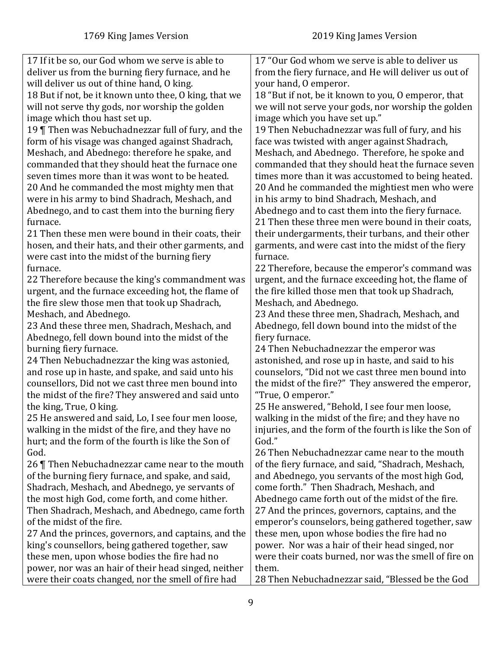| 17 If it be so, our God whom we serve is able to      | 17 "Our God whom we serve is able to deliver us         |
|-------------------------------------------------------|---------------------------------------------------------|
| deliver us from the burning fiery furnace, and he     | from the fiery furnace, and He will deliver us out of   |
| will deliver us out of thine hand, O king.            | your hand, O emperor.                                   |
| 18 But if not, be it known unto thee, O king, that we | 18 "But if not, be it known to you, O emperor, that     |
| will not serve thy gods, nor worship the golden       | we will not serve your gods, nor worship the golden     |
| image which thou hast set up.                         | image which you have set up."                           |
| 19 Then was Nebuchadnezzar full of fury, and the      | 19 Then Nebuchadnezzar was full of fury, and his        |
| form of his visage was changed against Shadrach,      | face was twisted with anger against Shadrach,           |
| Meshach, and Abednego: therefore he spake, and        | Meshach, and Abednego. Therefore, he spoke and          |
| commanded that they should heat the furnace one       | commanded that they should heat the furnace seven       |
| seven times more than it was wont to be heated.       | times more than it was accustomed to being heated.      |
| 20 And he commanded the most mighty men that          | 20 And he commanded the mightiest men who were          |
| were in his army to bind Shadrach, Meshach, and       | in his army to bind Shadrach, Meshach, and              |
| Abednego, and to cast them into the burning fiery     | Abednego and to cast them into the fiery furnace.       |
| furnace.                                              | 21 Then these three men were bound in their coats,      |
| 21 Then these men were bound in their coats, their    | their undergarments, their turbans, and their other     |
| hosen, and their hats, and their other garments, and  | garments, and were cast into the midst of the fiery     |
| were cast into the midst of the burning fiery         | furnace.                                                |
| furnace.                                              | 22 Therefore, because the emperor's command was         |
| 22 Therefore because the king's commandment was       | urgent, and the furnace exceeding hot, the flame of     |
| urgent, and the furnace exceeding hot, the flame of   | the fire killed those men that took up Shadrach,        |
| the fire slew those men that took up Shadrach,        | Meshach, and Abednego.                                  |
| Meshach, and Abednego.                                | 23 And these three men, Shadrach, Meshach, and          |
| 23 And these three men, Shadrach, Meshach, and        | Abednego, fell down bound into the midst of the         |
| Abednego, fell down bound into the midst of the       | fiery furnace.                                          |
| burning fiery furnace.                                | 24 Then Nebuchadnezzar the emperor was                  |
| 24 Then Nebuchadnezzar the king was astonied,         | astonished, and rose up in haste, and said to his       |
| and rose up in haste, and spake, and said unto his    | counselors, "Did not we cast three men bound into       |
| counsellors, Did not we cast three men bound into     | the midst of the fire?" They answered the emperor,      |
| the midst of the fire? They answered and said unto    | "True, 0 emperor."                                      |
| the king, True, O king.                               | 25 He answered, "Behold, I see four men loose,          |
| 25 He answered and said, Lo, I see four men loose     | walking in the midst of the fire; and they have no      |
| walking in the midst of the fire, and they have no    | injuries, and the form of the fourth is like the Son of |
| hurt; and the form of the fourth is like the Son of   | God."                                                   |
| God.                                                  | 26 Then Nebuchadnezzar came near to the mouth           |
| 26 Then Nebuchadnezzar came near to the mouth         | of the fiery furnace, and said, "Shadrach, Meshach,     |
| of the burning fiery furnace, and spake, and said,    | and Abednego, you servants of the most high God,        |
| Shadrach, Meshach, and Abednego, ye servants of       | come forth." Then Shadrach, Meshach, and                |
| the most high God, come forth, and come hither.       | Abednego came forth out of the midst of the fire.       |
| Then Shadrach, Meshach, and Abednego, came forth      | 27 And the princes, governors, captains, and the        |
| of the midst of the fire.                             | emperor's counselors, being gathered together, saw      |
| 27 And the princes, governors, and captains, and the  | these men, upon whose bodies the fire had no            |
| king's counsellors, being gathered together, saw      | power. Nor was a hair of their head singed, nor         |
| these men, upon whose bodies the fire had no          | were their coats burned, nor was the smell of fire on   |
| power, nor was an hair of their head singed, neither  | them.                                                   |
| were their coats changed, nor the smell of fire had   | 28 Then Nebuchadnezzar said, "Blessed be the God        |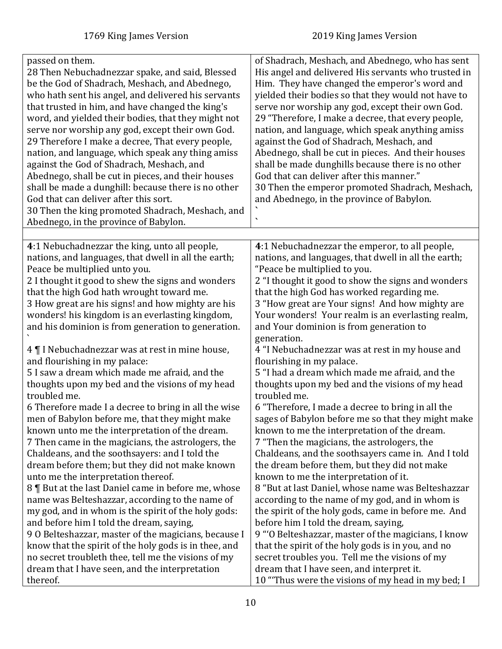<span id="page-9-0"></span>

| passed on them.<br>28 Then Nebuchadnezzar spake, and said, Blessed<br>be the God of Shadrach, Meshach, and Abednego,<br>who hath sent his angel, and delivered his servants<br>that trusted in him, and have changed the king's<br>word, and yielded their bodies, that they might not<br>serve nor worship any god, except their own God.<br>29 Therefore I make a decree, That every people,<br>nation, and language, which speak any thing amiss<br>against the God of Shadrach, Meshach, and<br>Abednego, shall be cut in pieces, and their houses<br>shall be made a dunghill: because there is no other<br>God that can deliver after this sort.<br>30 Then the king promoted Shadrach, Meshach, and<br>Abednego, in the province of Babylon. | of Shadrach, Meshach, and Abednego, who has sent<br>His angel and delivered His servants who trusted in<br>Him. They have changed the emperor's word and<br>yielded their bodies so that they would not have to<br>serve nor worship any god, except their own God.<br>29 "Therefore, I make a decree, that every people,<br>nation, and language, which speak anything amiss<br>against the God of Shadrach, Meshach, and<br>Abednego, shall be cut in pieces. And their houses<br>shall be made dunghills because there is no other<br>God that can deliver after this manner."<br>30 Then the emperor promoted Shadrach, Meshach,<br>and Abednego, in the province of Babylon.<br>٠ |
|-----------------------------------------------------------------------------------------------------------------------------------------------------------------------------------------------------------------------------------------------------------------------------------------------------------------------------------------------------------------------------------------------------------------------------------------------------------------------------------------------------------------------------------------------------------------------------------------------------------------------------------------------------------------------------------------------------------------------------------------------------|----------------------------------------------------------------------------------------------------------------------------------------------------------------------------------------------------------------------------------------------------------------------------------------------------------------------------------------------------------------------------------------------------------------------------------------------------------------------------------------------------------------------------------------------------------------------------------------------------------------------------------------------------------------------------------------|
|                                                                                                                                                                                                                                                                                                                                                                                                                                                                                                                                                                                                                                                                                                                                                     |                                                                                                                                                                                                                                                                                                                                                                                                                                                                                                                                                                                                                                                                                        |
| 4:1 Nebuchadnezzar the king, unto all people,<br>nations, and languages, that dwell in all the earth;<br>Peace be multiplied unto you.<br>2 I thought it good to shew the signs and wonders<br>that the high God hath wrought toward me.<br>3 How great are his signs! and how mighty are his<br>wonders! his kingdom is an everlasting kingdom,<br>and his dominion is from generation to generation.<br>4   I Nebuchadnezzar was at rest in mine house,<br>and flourishing in my palace:<br>5 I saw a dream which made me afraid, and the                                                                                                                                                                                                         | 4:1 Nebuchadnezzar the emperor, to all people,<br>nations, and languages, that dwell in all the earth;<br>"Peace be multiplied to you.<br>2 "I thought it good to show the signs and wonders<br>that the high God has worked regarding me.<br>3 "How great are Your signs! And how mighty are<br>Your wonders! Your realm is an everlasting realm,<br>and Your dominion is from generation to<br>generation.<br>4 "I Nebuchadnezzar was at rest in my house and<br>flourishing in my palace.<br>5 "I had a dream which made me afraid, and the                                                                                                                                         |
| thoughts upon my bed and the visions of my head<br>troubled me.                                                                                                                                                                                                                                                                                                                                                                                                                                                                                                                                                                                                                                                                                     | thoughts upon my bed and the visions of my head<br>troubled me.                                                                                                                                                                                                                                                                                                                                                                                                                                                                                                                                                                                                                        |
| 6 Therefore made I a decree to bring in all the wise<br>men of Babylon before me, that they might make<br>known unto me the interpretation of the dream.<br>7 Then came in the magicians, the astrologers, the<br>Chaldeans, and the soothsayers: and I told the<br>dream before them; but they did not make known<br>unto me the interpretation thereof.<br>8   But at the last Daniel came in before me, whose<br>name was Belteshazzar, according to the name of<br>my god, and in whom is the spirit of the holy gods:                                                                                                                                                                                                                          | 6 "Therefore, I made a decree to bring in all the<br>sages of Babylon before me so that they might make<br>known to me the interpretation of the dream.<br>7 "Then the magicians, the astrologers, the<br>Chaldeans, and the soothsayers came in. And I told<br>the dream before them, but they did not make<br>known to me the interpretation of it.<br>8 "But at last Daniel, whose name was Belteshazzar<br>according to the name of my god, and in whom is<br>the spirit of the holy gods, came in before me. And                                                                                                                                                                  |
| and before him I told the dream, saying,<br>9 O Belteshazzar, master of the magicians, because I<br>know that the spirit of the holy gods is in thee, and<br>no secret troubleth thee, tell me the visions of my<br>dream that I have seen, and the interpretation<br>thereof.                                                                                                                                                                                                                                                                                                                                                                                                                                                                      | before him I told the dream, saying,<br>9 "O Belteshazzar, master of the magicians, I know<br>that the spirit of the holy gods is in you, and no<br>secret troubles you. Tell me the visions of my<br>dream that I have seen, and interpret it.<br>10 "Thus were the visions of my head in my bed; I                                                                                                                                                                                                                                                                                                                                                                                   |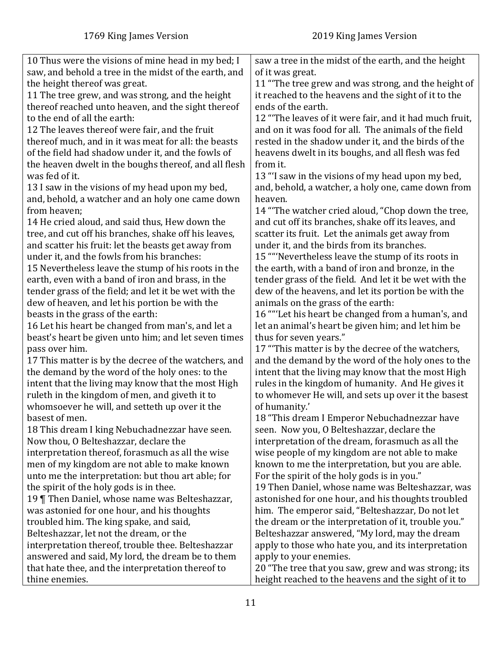| 10 Thus were the visions of mine head in my bed; I                                               | saw a tree in the midst of the earth, and the height                 |
|--------------------------------------------------------------------------------------------------|----------------------------------------------------------------------|
| saw, and behold a tree in the midst of the earth, and                                            | of it was great.                                                     |
| the height thereof was great.                                                                    | 11 "The tree grew and was strong, and the height of                  |
| 11 The tree grew, and was strong, and the height                                                 | it reached to the heavens and the sight of it to the                 |
| thereof reached unto heaven, and the sight thereof                                               | ends of the earth.                                                   |
| to the end of all the earth:                                                                     | 12 "The leaves of it were fair, and it had much fruit,               |
| 12 The leaves thereof were fair, and the fruit                                                   | and on it was food for all. The animals of the field                 |
| thereof much, and in it was meat for all: the beasts                                             | rested in the shadow under it, and the birds of the                  |
| of the field had shadow under it, and the fowls of                                               | heavens dwelt in its boughs, and all flesh was fed                   |
| the heaven dwelt in the boughs thereof, and all flesh                                            | from it.                                                             |
| was fed of it.                                                                                   | 13 "I saw in the visions of my head upon my bed,                     |
| 13 I saw in the visions of my head upon my bed,                                                  | and, behold, a watcher, a holy one, came down from                   |
| and, behold, a watcher and an holy one came down                                                 | heaven.                                                              |
| from heaven;                                                                                     | 14 "The watcher cried aloud, "Chop down the tree,                    |
| 14 He cried aloud, and said thus, Hew down the                                                   | and cut off its branches, shake off its leaves, and                  |
| tree, and cut off his branches, shake off his leaves,                                            | scatter its fruit. Let the animals get away from                     |
| and scatter his fruit: let the beasts get away from                                              | under it, and the birds from its branches.                           |
| under it, and the fowls from his branches:                                                       | 15 ""Nevertheless leave the stump of its roots in                    |
| 15 Nevertheless leave the stump of his roots in the                                              | the earth, with a band of iron and bronze, in the                    |
| earth, even with a band of iron and brass, in the                                                | tender grass of the field. And let it be wet with the                |
| tender grass of the field; and let it be wet with the                                            | dew of the heavens, and let its portion be with the                  |
| dew of heaven, and let his portion be with the                                                   | animals on the grass of the earth:                                   |
| beasts in the grass of the earth:                                                                | 16 ""Let his heart be changed from a human's, and                    |
| 16 Let his heart be changed from man's, and let a                                                | let an animal's heart be given him; and let him be                   |
| beast's heart be given unto him; and let seven times                                             | thus for seven years."                                               |
| pass over him.                                                                                   | 17 "This matter is by the decree of the watchers,                    |
| 17 This matter is by the decree of the watchers, and                                             | and the demand by the word of the holy ones to the                   |
| the demand by the word of the holy ones: to the                                                  | intent that the living may know that the most High                   |
| intent that the living may know that the most High                                               | rules in the kingdom of humanity. And He gives it                    |
| ruleth in the kingdom of men, and giveth it to<br>whomsoever he will, and setteth up over it the | to whomever He will, and sets up over it the basest<br>of humanity.' |
| basest of men.                                                                                   | 18 "This dream I Emperor Nebuchadnezzar have                         |
| 18 This dream I king Nebuchadnezzar have seen.                                                   | seen. Now you, O Belteshazzar, declare the                           |
| Now thou, O Belteshazzar, declare the                                                            | interpretation of the dream, forasmuch as all the                    |
| interpretation thereof, forasmuch as all the wise                                                | wise people of my kingdom are not able to make                       |
| men of my kingdom are not able to make known                                                     | known to me the interpretation, but you are able.                    |
| unto me the interpretation: but thou art able; for                                               | For the spirit of the holy gods is in you."                          |
| the spirit of the holy gods is in thee.                                                          | 19 Then Daniel, whose name was Belteshazzar, was                     |
| 19 Then Daniel, whose name was Belteshazzar,                                                     | astonished for one hour, and his thoughts troubled                   |
| was astonied for one hour, and his thoughts                                                      | him. The emperor said, "Belteshazzar, Do not let                     |
| troubled him. The king spake, and said,                                                          | the dream or the interpretation of it, trouble you."                 |
| Belteshazzar, let not the dream, or the                                                          | Belteshazzar answered, "My lord, may the dream                       |
| interpretation thereof, trouble thee. Belteshazzar                                               | apply to those who hate you, and its interpretation                  |
| answered and said, My lord, the dream be to them                                                 | apply to your enemies.                                               |
| that hate thee, and the interpretation thereof to                                                | 20 "The tree that you saw, grew and was strong; its                  |
| thine enemies.                                                                                   | height reached to the heavens and the sight of it to                 |
|                                                                                                  |                                                                      |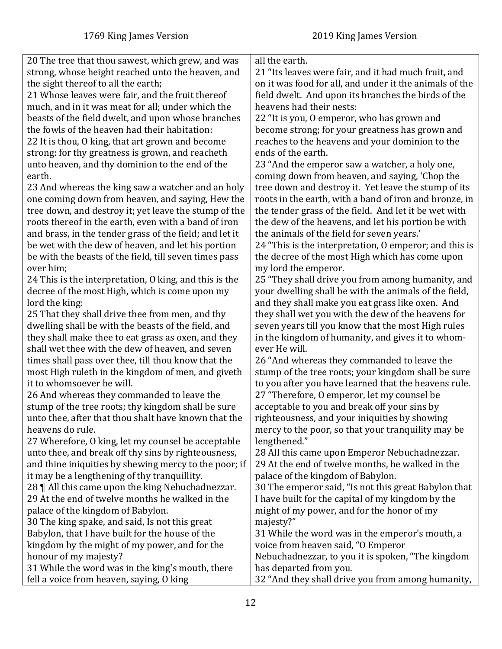| 20 The tree that thou sawest, which grew, and was       | all the earth.                                          |
|---------------------------------------------------------|---------------------------------------------------------|
| strong, whose height reached unto the heaven, and       | 21 "Its leaves were fair, and it had much fruit, and    |
| the sight thereof to all the earth;                     | on it was food for all, and under it the animals of the |
| 21 Whose leaves were fair, and the fruit thereof        | field dwelt. And upon its branches the birds of the     |
| much, and in it was meat for all; under which the       | heavens had their nests:                                |
| beasts of the field dwelt, and upon whose branches      | 22 "It is you, O emperor, who has grown and             |
| the fowls of the heaven had their habitation:           | become strong; for your greatness has grown and         |
| 22 It is thou, O king, that art grown and become        | reaches to the heavens and your dominion to the         |
| strong: for thy greatness is grown, and reacheth        | ends of the earth.                                      |
| unto heaven, and thy dominion to the end of the         | 23 "And the emperor saw a watcher, a holy one,          |
| earth.                                                  | coming down from heaven, and saying, 'Chop the          |
| 23 And whereas the king saw a watcher and an holy       | tree down and destroy it. Yet leave the stump of its    |
| one coming down from heaven, and saying, Hew the        | roots in the earth, with a band of iron and bronze, in  |
| tree down, and destroy it; yet leave the stump of the   | the tender grass of the field. And let it be wet with   |
| roots thereof in the earth, even with a band of iron    | the dew of the heavens, and let his portion be with     |
| and brass, in the tender grass of the field; and let it | the animals of the field for seven years.'              |
| be wet with the dew of heaven, and let his portion      | 24 "This is the interpretation, 0 emperor; and this is  |
| be with the beasts of the field, till seven times pass  | the decree of the most High which has come upon         |
| over him;                                               | my lord the emperor.                                    |
| 24 This is the interpretation, 0 king, and this is the  | 25 "They shall drive you from among humanity, and       |
| decree of the most High, which is come upon my          | your dwelling shall be with the animals of the field,   |
| lord the king:                                          | and they shall make you eat grass like oxen. And        |
| 25 That they shall drive thee from men, and thy         | they shall wet you with the dew of the heavens for      |
| dwelling shall be with the beasts of the field, and     | seven years till you know that the most High rules      |
| they shall make thee to eat grass as oxen, and they     | in the kingdom of humanity, and gives it to whom-       |
| shall wet thee with the dew of heaven, and seven        | ever He will.                                           |
| times shall pass over thee, till thou know that the     | 26 "And whereas they commanded to leave the             |
| most High ruleth in the kingdom of men, and giveth      | stump of the tree roots; your kingdom shall be sure     |
| it to whomsoever he will.                               | to you after you have learned that the heavens rule.    |
| 26 And whereas they commanded to leave the              | 27 "Therefore, O emperor, let my counsel be             |
| stump of the tree roots; thy kingdom shall be sure      | acceptable to you and break off your sins by            |
| unto thee, after that thou shalt have known that the    | righteousness, and your iniquities by showing           |
| heavens do rule.                                        | mercy to the poor, so that your tranquility may be      |
| 27 Wherefore, O king, let my counsel be acceptable      | lengthened."                                            |
| unto thee, and break off thy sins by righteousness,     | 28 All this came upon Emperor Nebuchadnezzar.           |
| and thine iniquities by shewing mercy to the poor; if   | 29 At the end of twelve months, he walked in the        |
| it may be a lengthening of thy tranquillity.            | palace of the kingdom of Babylon.                       |
| 28    All this came upon the king Nebuchadnezzar.       | 30 The emperor said, "Is not this great Babylon that    |
| 29 At the end of twelve months he walked in the         | I have built for the capital of my kingdom by the       |
| palace of the kingdom of Babylon.                       | might of my power, and for the honor of my              |
| 30 The king spake, and said, Is not this great          | majesty?"                                               |
| Babylon, that I have built for the house of the         | 31 While the word was in the emperor's mouth, a         |
| kingdom by the might of my power, and for the           | voice from heaven said, "O Emperor                      |
| honour of my majesty?                                   | Nebuchadnezzar, to you it is spoken, "The kingdom       |
| 31 While the word was in the king's mouth, there        | has departed from you.                                  |
| fell a voice from heaven, saying, O king                | 32 "And they shall drive you from among humanity,       |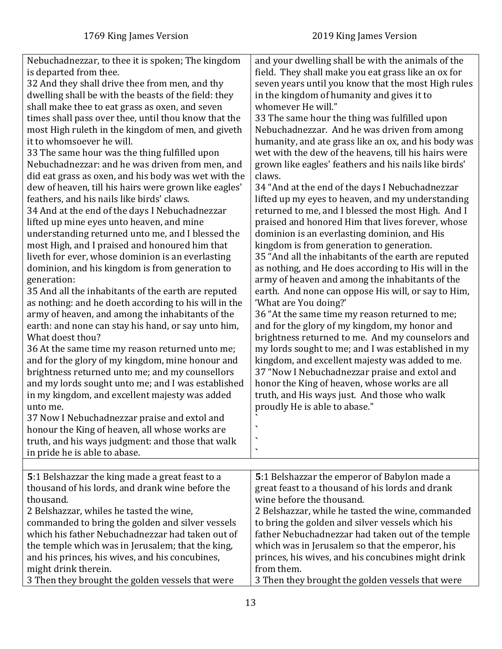<span id="page-12-0"></span>

| Nebuchadnezzar, to thee it is spoken; The kingdom<br>is departed from thee.<br>32 And they shall drive thee from men, and thy<br>dwelling shall be with the beasts of the field: they<br>shall make thee to eat grass as oxen, and seven<br>times shall pass over thee, until thou know that the<br>most High ruleth in the kingdom of men, and giveth<br>it to whomsoever he will.<br>33 The same hour was the thing fulfilled upon<br>Nebuchadnezzar: and he was driven from men, and<br>did eat grass as oxen, and his body was wet with the<br>dew of heaven, till his hairs were grown like eagles'<br>feathers, and his nails like birds' claws.<br>34 And at the end of the days I Nebuchadnezzar<br>lifted up mine eyes unto heaven, and mine<br>understanding returned unto me, and I blessed the<br>most High, and I praised and honoured him that<br>liveth for ever, whose dominion is an everlasting<br>dominion, and his kingdom is from generation to<br>generation:<br>35 And all the inhabitants of the earth are reputed<br>as nothing: and he doeth according to his will in the<br>army of heaven, and among the inhabitants of the<br>earth: and none can stay his hand, or say unto him,<br>What doest thou?<br>36 At the same time my reason returned unto me;<br>and for the glory of my kingdom, mine honour and<br>brightness returned unto me; and my counsellors<br>and my lords sought unto me; and I was established<br>in my kingdom, and excellent majesty was added<br>unto me.<br>37 Now I Nebuchadnezzar praise and extol and<br>honour the King of heaven, all whose works are<br>truth, and his ways judgment: and those that walk<br>in pride he is able to abase. | and your dwelling shall be with the animals of the<br>field. They shall make you eat grass like an ox for<br>seven years until you know that the most High rules<br>in the kingdom of humanity and gives it to<br>whomever He will."<br>33 The same hour the thing was fulfilled upon<br>Nebuchadnezzar. And he was driven from among<br>humanity, and ate grass like an ox, and his body was<br>wet with the dew of the heavens, till his hairs were<br>grown like eagles' feathers and his nails like birds'<br>claws.<br>34 "And at the end of the days I Nebuchadnezzar<br>lifted up my eyes to heaven, and my understanding<br>returned to me, and I blessed the most High. And I<br>praised and honored Him that lives forever, whose<br>dominion is an everlasting dominion, and His<br>kingdom is from generation to generation.<br>35 "And all the inhabitants of the earth are reputed<br>as nothing, and He does according to His will in the<br>army of heaven and among the inhabitants of the<br>earth. And none can oppose His will, or say to Him,<br>'What are You doing?'<br>36 "At the same time my reason returned to me;<br>and for the glory of my kingdom, my honor and<br>brightness returned to me. And my counselors and<br>my lords sought to me; and I was established in my<br>kingdom, and excellent majesty was added to me.<br>37 "Now I Nebuchadnezzar praise and extol and<br>honor the King of heaven, whose works are all<br>truth, and His ways just. And those who walk<br>proudly He is able to abase."<br>$\cdot$<br>$\overline{\phantom{0}}$<br>$\blacktriangledown$ |
|----------------------------------------------------------------------------------------------------------------------------------------------------------------------------------------------------------------------------------------------------------------------------------------------------------------------------------------------------------------------------------------------------------------------------------------------------------------------------------------------------------------------------------------------------------------------------------------------------------------------------------------------------------------------------------------------------------------------------------------------------------------------------------------------------------------------------------------------------------------------------------------------------------------------------------------------------------------------------------------------------------------------------------------------------------------------------------------------------------------------------------------------------------------------------------------------------------------------------------------------------------------------------------------------------------------------------------------------------------------------------------------------------------------------------------------------------------------------------------------------------------------------------------------------------------------------------------------------------------------------------------------------------------------------------------------------------------|---------------------------------------------------------------------------------------------------------------------------------------------------------------------------------------------------------------------------------------------------------------------------------------------------------------------------------------------------------------------------------------------------------------------------------------------------------------------------------------------------------------------------------------------------------------------------------------------------------------------------------------------------------------------------------------------------------------------------------------------------------------------------------------------------------------------------------------------------------------------------------------------------------------------------------------------------------------------------------------------------------------------------------------------------------------------------------------------------------------------------------------------------------------------------------------------------------------------------------------------------------------------------------------------------------------------------------------------------------------------------------------------------------------------------------------------------------------------------------------------------------------------------------------------------------------------------------------------------------------|
|                                                                                                                                                                                                                                                                                                                                                                                                                                                                                                                                                                                                                                                                                                                                                                                                                                                                                                                                                                                                                                                                                                                                                                                                                                                                                                                                                                                                                                                                                                                                                                                                                                                                                                          |                                                                                                                                                                                                                                                                                                                                                                                                                                                                                                                                                                                                                                                                                                                                                                                                                                                                                                                                                                                                                                                                                                                                                                                                                                                                                                                                                                                                                                                                                                                                                                                                               |
| 5:1 Belshazzar the king made a great feast to a<br>thousand of his lords, and drank wine before the<br>thousand.<br>2 Belshazzar, whiles he tasted the wine,<br>commanded to bring the golden and silver vessels<br>which his father Nebuchadnezzar had taken out of<br>the temple which was in Jerusalem; that the king,                                                                                                                                                                                                                                                                                                                                                                                                                                                                                                                                                                                                                                                                                                                                                                                                                                                                                                                                                                                                                                                                                                                                                                                                                                                                                                                                                                                | 5:1 Belshazzar the emperor of Babylon made a<br>great feast to a thousand of his lords and drank<br>wine before the thousand.<br>2 Belshazzar, while he tasted the wine, commanded<br>to bring the golden and silver vessels which his<br>father Nebuchadnezzar had taken out of the temple<br>which was in Jerusalem so that the emperor, his                                                                                                                                                                                                                                                                                                                                                                                                                                                                                                                                                                                                                                                                                                                                                                                                                                                                                                                                                                                                                                                                                                                                                                                                                                                                |
| and his princes, his wives, and his concubines,<br>might drink therein.<br>3 Then they brought the golden vessels that were                                                                                                                                                                                                                                                                                                                                                                                                                                                                                                                                                                                                                                                                                                                                                                                                                                                                                                                                                                                                                                                                                                                                                                                                                                                                                                                                                                                                                                                                                                                                                                              | princes, his wives, and his concubines might drink<br>from them.<br>3 Then they brought the golden vessels that were                                                                                                                                                                                                                                                                                                                                                                                                                                                                                                                                                                                                                                                                                                                                                                                                                                                                                                                                                                                                                                                                                                                                                                                                                                                                                                                                                                                                                                                                                          |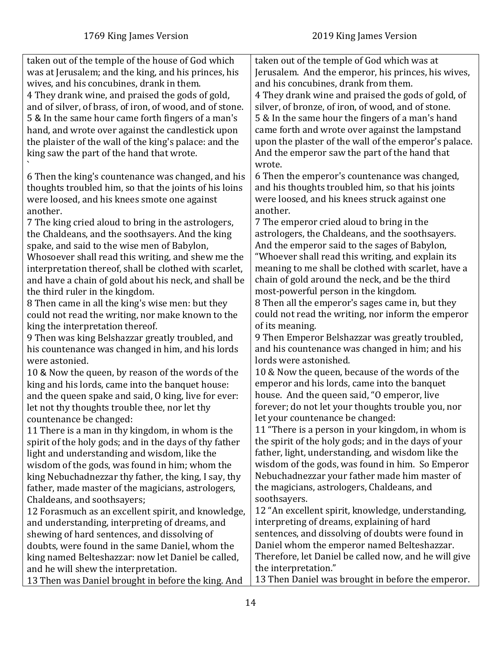| taken out of the temple of the house of God which<br>taken out of the temple of God which was at<br>was at Jerusalem; and the king, and his princes, his<br>Jerusalem. And the emperor, his princes, his wives,<br>wives, and his concubines, drank in them.<br>and his concubines, drank from them.<br>4 They drank wine, and praised the gods of gold,<br>4 They drank wine and praised the gods of gold, of<br>silver, of bronze, of iron, of wood, and of stone.<br>and of silver, of brass, of iron, of wood, and of stone.<br>5 & In the same hour came forth fingers of a man's<br>5 & In the same hour the fingers of a man's hand<br>came forth and wrote over against the lampstand<br>hand, and wrote over against the candlestick upon<br>upon the plaster of the wall of the emperor's palace.<br>the plaister of the wall of the king's palace: and the<br>And the emperor saw the part of the hand that<br>king saw the part of the hand that wrote.<br>wrote.<br>6 Then the emperor's countenance was changed,<br>6 Then the king's countenance was changed, and his<br>and his thoughts troubled him, so that his joints<br>thoughts troubled him, so that the joints of his loins<br>were loosed, and his knees struck against one<br>were loosed, and his knees smote one against<br>another.<br>another.<br>7 The emperor cried aloud to bring in the<br>7 The king cried aloud to bring in the astrologers,<br>astrologers, the Chaldeans, and the soothsayers.<br>the Chaldeans, and the soothsayers. And the king<br>And the emperor said to the sages of Babylon,<br>spake, and said to the wise men of Babylon,<br>"Whoever shall read this writing, and explain its<br>Whosoever shall read this writing, and shew me the<br>meaning to me shall be clothed with scarlet, have a<br>interpretation thereof, shall be clothed with scarlet,<br>chain of gold around the neck, and be the third<br>and have a chain of gold about his neck, and shall be<br>most-powerful person in the kingdom.<br>the third ruler in the kingdom.<br>8 Then all the emperor's sages came in, but they<br>8 Then came in all the king's wise men: but they<br>could not read the writing, nor inform the emperor<br>could not read the writing, nor make known to the<br>of its meaning.<br>king the interpretation thereof.<br>9 Then Emperor Belshazzar was greatly troubled,<br>9 Then was king Belshazzar greatly troubled, and<br>and his countenance was changed in him; and his<br>his countenance was changed in him, and his lords<br>lords were astonished.<br>were astonied.<br>10 & Now the queen, because of the words of the<br>10 & Now the queen, by reason of the words of the<br>emperor and his lords, came into the banquet<br>king and his lords, came into the banquet house:<br>house. And the queen said, "O emperor, live<br>and the queen spake and said, O king, live for ever:<br>forever; do not let your thoughts trouble you, nor<br>let not thy thoughts trouble thee, nor let thy<br>let your countenance be changed:<br>countenance be changed:<br>11 "There is a person in your kingdom, in whom is<br>11 There is a man in thy kingdom, in whom is the<br>the spirit of the holy gods; and in the days of your<br>spirit of the holy gods; and in the days of thy father<br>father, light, understanding, and wisdom like the<br>light and understanding and wisdom, like the<br>wisdom of the gods, was found in him. So Emperor<br>wisdom of the gods, was found in him; whom the<br>Nebuchadnezzar your father made him master of<br>king Nebuchadnezzar thy father, the king, I say, thy<br>the magicians, astrologers, Chaldeans, and<br>father, made master of the magicians, astrologers,<br>soothsayers.<br>Chaldeans, and soothsayers;<br>12 "An excellent spirit, knowledge, understanding,<br>12 Forasmuch as an excellent spirit, and knowledge,<br>interpreting of dreams, explaining of hard<br>and understanding, interpreting of dreams, and<br>sentences, and dissolving of doubts were found in<br>shewing of hard sentences, and dissolving of<br>Daniel whom the emperor named Belteshazzar.<br>doubts, were found in the same Daniel, whom the<br>Therefore, let Daniel be called now, and he will give<br>king named Belteshazzar: now let Daniel be called,<br>the interpretation."<br>and he will shew the interpretation. |  |
|-------------------------------------------------------------------------------------------------------------------------------------------------------------------------------------------------------------------------------------------------------------------------------------------------------------------------------------------------------------------------------------------------------------------------------------------------------------------------------------------------------------------------------------------------------------------------------------------------------------------------------------------------------------------------------------------------------------------------------------------------------------------------------------------------------------------------------------------------------------------------------------------------------------------------------------------------------------------------------------------------------------------------------------------------------------------------------------------------------------------------------------------------------------------------------------------------------------------------------------------------------------------------------------------------------------------------------------------------------------------------------------------------------------------------------------------------------------------------------------------------------------------------------------------------------------------------------------------------------------------------------------------------------------------------------------------------------------------------------------------------------------------------------------------------------------------------------------------------------------------------------------------------------------------------------------------------------------------------------------------------------------------------------------------------------------------------------------------------------------------------------------------------------------------------------------------------------------------------------------------------------------------------------------------------------------------------------------------------------------------------------------------------------------------------------------------------------------------------------------------------------------------------------------------------------------------------------------------------------------------------------------------------------------------------------------------------------------------------------------------------------------------------------------------------------------------------------------------------------------------------------------------------------------------------------------------------------------------------------------------------------------------------------------------------------------------------------------------------------------------------------------------------------------------------------------------------------------------------------------------------------------------------------------------------------------------------------------------------------------------------------------------------------------------------------------------------------------------------------------------------------------------------------------------------------------------------------------------------------------------------------------------------------------------------------------------------------------------------------------------------------------------------------------------------------------------------------------------------------------------------------------------------------------------------------------------------------------------------------------------------------------------------------------------------------------------------------------------------------------------------------------------------------------------------------------------------------------------------------------------------------------------------------------------------------------------------------------------------------------------------------------------------|--|
|                                                                                                                                                                                                                                                                                                                                                                                                                                                                                                                                                                                                                                                                                                                                                                                                                                                                                                                                                                                                                                                                                                                                                                                                                                                                                                                                                                                                                                                                                                                                                                                                                                                                                                                                                                                                                                                                                                                                                                                                                                                                                                                                                                                                                                                                                                                                                                                                                                                                                                                                                                                                                                                                                                                                                                                                                                                                                                                                                                                                                                                                                                                                                                                                                                                                                                                                                                                                                                                                                                                                                                                                                                                                                                                                                                                                                                                                                                                                                                                                                                                                                                                                                                                                                                                                                                                                                                                                 |  |
|                                                                                                                                                                                                                                                                                                                                                                                                                                                                                                                                                                                                                                                                                                                                                                                                                                                                                                                                                                                                                                                                                                                                                                                                                                                                                                                                                                                                                                                                                                                                                                                                                                                                                                                                                                                                                                                                                                                                                                                                                                                                                                                                                                                                                                                                                                                                                                                                                                                                                                                                                                                                                                                                                                                                                                                                                                                                                                                                                                                                                                                                                                                                                                                                                                                                                                                                                                                                                                                                                                                                                                                                                                                                                                                                                                                                                                                                                                                                                                                                                                                                                                                                                                                                                                                                                                                                                                                                 |  |
|                                                                                                                                                                                                                                                                                                                                                                                                                                                                                                                                                                                                                                                                                                                                                                                                                                                                                                                                                                                                                                                                                                                                                                                                                                                                                                                                                                                                                                                                                                                                                                                                                                                                                                                                                                                                                                                                                                                                                                                                                                                                                                                                                                                                                                                                                                                                                                                                                                                                                                                                                                                                                                                                                                                                                                                                                                                                                                                                                                                                                                                                                                                                                                                                                                                                                                                                                                                                                                                                                                                                                                                                                                                                                                                                                                                                                                                                                                                                                                                                                                                                                                                                                                                                                                                                                                                                                                                                 |  |
|                                                                                                                                                                                                                                                                                                                                                                                                                                                                                                                                                                                                                                                                                                                                                                                                                                                                                                                                                                                                                                                                                                                                                                                                                                                                                                                                                                                                                                                                                                                                                                                                                                                                                                                                                                                                                                                                                                                                                                                                                                                                                                                                                                                                                                                                                                                                                                                                                                                                                                                                                                                                                                                                                                                                                                                                                                                                                                                                                                                                                                                                                                                                                                                                                                                                                                                                                                                                                                                                                                                                                                                                                                                                                                                                                                                                                                                                                                                                                                                                                                                                                                                                                                                                                                                                                                                                                                                                 |  |
|                                                                                                                                                                                                                                                                                                                                                                                                                                                                                                                                                                                                                                                                                                                                                                                                                                                                                                                                                                                                                                                                                                                                                                                                                                                                                                                                                                                                                                                                                                                                                                                                                                                                                                                                                                                                                                                                                                                                                                                                                                                                                                                                                                                                                                                                                                                                                                                                                                                                                                                                                                                                                                                                                                                                                                                                                                                                                                                                                                                                                                                                                                                                                                                                                                                                                                                                                                                                                                                                                                                                                                                                                                                                                                                                                                                                                                                                                                                                                                                                                                                                                                                                                                                                                                                                                                                                                                                                 |  |
|                                                                                                                                                                                                                                                                                                                                                                                                                                                                                                                                                                                                                                                                                                                                                                                                                                                                                                                                                                                                                                                                                                                                                                                                                                                                                                                                                                                                                                                                                                                                                                                                                                                                                                                                                                                                                                                                                                                                                                                                                                                                                                                                                                                                                                                                                                                                                                                                                                                                                                                                                                                                                                                                                                                                                                                                                                                                                                                                                                                                                                                                                                                                                                                                                                                                                                                                                                                                                                                                                                                                                                                                                                                                                                                                                                                                                                                                                                                                                                                                                                                                                                                                                                                                                                                                                                                                                                                                 |  |
|                                                                                                                                                                                                                                                                                                                                                                                                                                                                                                                                                                                                                                                                                                                                                                                                                                                                                                                                                                                                                                                                                                                                                                                                                                                                                                                                                                                                                                                                                                                                                                                                                                                                                                                                                                                                                                                                                                                                                                                                                                                                                                                                                                                                                                                                                                                                                                                                                                                                                                                                                                                                                                                                                                                                                                                                                                                                                                                                                                                                                                                                                                                                                                                                                                                                                                                                                                                                                                                                                                                                                                                                                                                                                                                                                                                                                                                                                                                                                                                                                                                                                                                                                                                                                                                                                                                                                                                                 |  |
|                                                                                                                                                                                                                                                                                                                                                                                                                                                                                                                                                                                                                                                                                                                                                                                                                                                                                                                                                                                                                                                                                                                                                                                                                                                                                                                                                                                                                                                                                                                                                                                                                                                                                                                                                                                                                                                                                                                                                                                                                                                                                                                                                                                                                                                                                                                                                                                                                                                                                                                                                                                                                                                                                                                                                                                                                                                                                                                                                                                                                                                                                                                                                                                                                                                                                                                                                                                                                                                                                                                                                                                                                                                                                                                                                                                                                                                                                                                                                                                                                                                                                                                                                                                                                                                                                                                                                                                                 |  |
|                                                                                                                                                                                                                                                                                                                                                                                                                                                                                                                                                                                                                                                                                                                                                                                                                                                                                                                                                                                                                                                                                                                                                                                                                                                                                                                                                                                                                                                                                                                                                                                                                                                                                                                                                                                                                                                                                                                                                                                                                                                                                                                                                                                                                                                                                                                                                                                                                                                                                                                                                                                                                                                                                                                                                                                                                                                                                                                                                                                                                                                                                                                                                                                                                                                                                                                                                                                                                                                                                                                                                                                                                                                                                                                                                                                                                                                                                                                                                                                                                                                                                                                                                                                                                                                                                                                                                                                                 |  |
|                                                                                                                                                                                                                                                                                                                                                                                                                                                                                                                                                                                                                                                                                                                                                                                                                                                                                                                                                                                                                                                                                                                                                                                                                                                                                                                                                                                                                                                                                                                                                                                                                                                                                                                                                                                                                                                                                                                                                                                                                                                                                                                                                                                                                                                                                                                                                                                                                                                                                                                                                                                                                                                                                                                                                                                                                                                                                                                                                                                                                                                                                                                                                                                                                                                                                                                                                                                                                                                                                                                                                                                                                                                                                                                                                                                                                                                                                                                                                                                                                                                                                                                                                                                                                                                                                                                                                                                                 |  |
|                                                                                                                                                                                                                                                                                                                                                                                                                                                                                                                                                                                                                                                                                                                                                                                                                                                                                                                                                                                                                                                                                                                                                                                                                                                                                                                                                                                                                                                                                                                                                                                                                                                                                                                                                                                                                                                                                                                                                                                                                                                                                                                                                                                                                                                                                                                                                                                                                                                                                                                                                                                                                                                                                                                                                                                                                                                                                                                                                                                                                                                                                                                                                                                                                                                                                                                                                                                                                                                                                                                                                                                                                                                                                                                                                                                                                                                                                                                                                                                                                                                                                                                                                                                                                                                                                                                                                                                                 |  |
|                                                                                                                                                                                                                                                                                                                                                                                                                                                                                                                                                                                                                                                                                                                                                                                                                                                                                                                                                                                                                                                                                                                                                                                                                                                                                                                                                                                                                                                                                                                                                                                                                                                                                                                                                                                                                                                                                                                                                                                                                                                                                                                                                                                                                                                                                                                                                                                                                                                                                                                                                                                                                                                                                                                                                                                                                                                                                                                                                                                                                                                                                                                                                                                                                                                                                                                                                                                                                                                                                                                                                                                                                                                                                                                                                                                                                                                                                                                                                                                                                                                                                                                                                                                                                                                                                                                                                                                                 |  |
|                                                                                                                                                                                                                                                                                                                                                                                                                                                                                                                                                                                                                                                                                                                                                                                                                                                                                                                                                                                                                                                                                                                                                                                                                                                                                                                                                                                                                                                                                                                                                                                                                                                                                                                                                                                                                                                                                                                                                                                                                                                                                                                                                                                                                                                                                                                                                                                                                                                                                                                                                                                                                                                                                                                                                                                                                                                                                                                                                                                                                                                                                                                                                                                                                                                                                                                                                                                                                                                                                                                                                                                                                                                                                                                                                                                                                                                                                                                                                                                                                                                                                                                                                                                                                                                                                                                                                                                                 |  |
|                                                                                                                                                                                                                                                                                                                                                                                                                                                                                                                                                                                                                                                                                                                                                                                                                                                                                                                                                                                                                                                                                                                                                                                                                                                                                                                                                                                                                                                                                                                                                                                                                                                                                                                                                                                                                                                                                                                                                                                                                                                                                                                                                                                                                                                                                                                                                                                                                                                                                                                                                                                                                                                                                                                                                                                                                                                                                                                                                                                                                                                                                                                                                                                                                                                                                                                                                                                                                                                                                                                                                                                                                                                                                                                                                                                                                                                                                                                                                                                                                                                                                                                                                                                                                                                                                                                                                                                                 |  |
|                                                                                                                                                                                                                                                                                                                                                                                                                                                                                                                                                                                                                                                                                                                                                                                                                                                                                                                                                                                                                                                                                                                                                                                                                                                                                                                                                                                                                                                                                                                                                                                                                                                                                                                                                                                                                                                                                                                                                                                                                                                                                                                                                                                                                                                                                                                                                                                                                                                                                                                                                                                                                                                                                                                                                                                                                                                                                                                                                                                                                                                                                                                                                                                                                                                                                                                                                                                                                                                                                                                                                                                                                                                                                                                                                                                                                                                                                                                                                                                                                                                                                                                                                                                                                                                                                                                                                                                                 |  |
|                                                                                                                                                                                                                                                                                                                                                                                                                                                                                                                                                                                                                                                                                                                                                                                                                                                                                                                                                                                                                                                                                                                                                                                                                                                                                                                                                                                                                                                                                                                                                                                                                                                                                                                                                                                                                                                                                                                                                                                                                                                                                                                                                                                                                                                                                                                                                                                                                                                                                                                                                                                                                                                                                                                                                                                                                                                                                                                                                                                                                                                                                                                                                                                                                                                                                                                                                                                                                                                                                                                                                                                                                                                                                                                                                                                                                                                                                                                                                                                                                                                                                                                                                                                                                                                                                                                                                                                                 |  |
|                                                                                                                                                                                                                                                                                                                                                                                                                                                                                                                                                                                                                                                                                                                                                                                                                                                                                                                                                                                                                                                                                                                                                                                                                                                                                                                                                                                                                                                                                                                                                                                                                                                                                                                                                                                                                                                                                                                                                                                                                                                                                                                                                                                                                                                                                                                                                                                                                                                                                                                                                                                                                                                                                                                                                                                                                                                                                                                                                                                                                                                                                                                                                                                                                                                                                                                                                                                                                                                                                                                                                                                                                                                                                                                                                                                                                                                                                                                                                                                                                                                                                                                                                                                                                                                                                                                                                                                                 |  |
|                                                                                                                                                                                                                                                                                                                                                                                                                                                                                                                                                                                                                                                                                                                                                                                                                                                                                                                                                                                                                                                                                                                                                                                                                                                                                                                                                                                                                                                                                                                                                                                                                                                                                                                                                                                                                                                                                                                                                                                                                                                                                                                                                                                                                                                                                                                                                                                                                                                                                                                                                                                                                                                                                                                                                                                                                                                                                                                                                                                                                                                                                                                                                                                                                                                                                                                                                                                                                                                                                                                                                                                                                                                                                                                                                                                                                                                                                                                                                                                                                                                                                                                                                                                                                                                                                                                                                                                                 |  |
|                                                                                                                                                                                                                                                                                                                                                                                                                                                                                                                                                                                                                                                                                                                                                                                                                                                                                                                                                                                                                                                                                                                                                                                                                                                                                                                                                                                                                                                                                                                                                                                                                                                                                                                                                                                                                                                                                                                                                                                                                                                                                                                                                                                                                                                                                                                                                                                                                                                                                                                                                                                                                                                                                                                                                                                                                                                                                                                                                                                                                                                                                                                                                                                                                                                                                                                                                                                                                                                                                                                                                                                                                                                                                                                                                                                                                                                                                                                                                                                                                                                                                                                                                                                                                                                                                                                                                                                                 |  |
|                                                                                                                                                                                                                                                                                                                                                                                                                                                                                                                                                                                                                                                                                                                                                                                                                                                                                                                                                                                                                                                                                                                                                                                                                                                                                                                                                                                                                                                                                                                                                                                                                                                                                                                                                                                                                                                                                                                                                                                                                                                                                                                                                                                                                                                                                                                                                                                                                                                                                                                                                                                                                                                                                                                                                                                                                                                                                                                                                                                                                                                                                                                                                                                                                                                                                                                                                                                                                                                                                                                                                                                                                                                                                                                                                                                                                                                                                                                                                                                                                                                                                                                                                                                                                                                                                                                                                                                                 |  |
|                                                                                                                                                                                                                                                                                                                                                                                                                                                                                                                                                                                                                                                                                                                                                                                                                                                                                                                                                                                                                                                                                                                                                                                                                                                                                                                                                                                                                                                                                                                                                                                                                                                                                                                                                                                                                                                                                                                                                                                                                                                                                                                                                                                                                                                                                                                                                                                                                                                                                                                                                                                                                                                                                                                                                                                                                                                                                                                                                                                                                                                                                                                                                                                                                                                                                                                                                                                                                                                                                                                                                                                                                                                                                                                                                                                                                                                                                                                                                                                                                                                                                                                                                                                                                                                                                                                                                                                                 |  |
|                                                                                                                                                                                                                                                                                                                                                                                                                                                                                                                                                                                                                                                                                                                                                                                                                                                                                                                                                                                                                                                                                                                                                                                                                                                                                                                                                                                                                                                                                                                                                                                                                                                                                                                                                                                                                                                                                                                                                                                                                                                                                                                                                                                                                                                                                                                                                                                                                                                                                                                                                                                                                                                                                                                                                                                                                                                                                                                                                                                                                                                                                                                                                                                                                                                                                                                                                                                                                                                                                                                                                                                                                                                                                                                                                                                                                                                                                                                                                                                                                                                                                                                                                                                                                                                                                                                                                                                                 |  |
|                                                                                                                                                                                                                                                                                                                                                                                                                                                                                                                                                                                                                                                                                                                                                                                                                                                                                                                                                                                                                                                                                                                                                                                                                                                                                                                                                                                                                                                                                                                                                                                                                                                                                                                                                                                                                                                                                                                                                                                                                                                                                                                                                                                                                                                                                                                                                                                                                                                                                                                                                                                                                                                                                                                                                                                                                                                                                                                                                                                                                                                                                                                                                                                                                                                                                                                                                                                                                                                                                                                                                                                                                                                                                                                                                                                                                                                                                                                                                                                                                                                                                                                                                                                                                                                                                                                                                                                                 |  |
|                                                                                                                                                                                                                                                                                                                                                                                                                                                                                                                                                                                                                                                                                                                                                                                                                                                                                                                                                                                                                                                                                                                                                                                                                                                                                                                                                                                                                                                                                                                                                                                                                                                                                                                                                                                                                                                                                                                                                                                                                                                                                                                                                                                                                                                                                                                                                                                                                                                                                                                                                                                                                                                                                                                                                                                                                                                                                                                                                                                                                                                                                                                                                                                                                                                                                                                                                                                                                                                                                                                                                                                                                                                                                                                                                                                                                                                                                                                                                                                                                                                                                                                                                                                                                                                                                                                                                                                                 |  |
|                                                                                                                                                                                                                                                                                                                                                                                                                                                                                                                                                                                                                                                                                                                                                                                                                                                                                                                                                                                                                                                                                                                                                                                                                                                                                                                                                                                                                                                                                                                                                                                                                                                                                                                                                                                                                                                                                                                                                                                                                                                                                                                                                                                                                                                                                                                                                                                                                                                                                                                                                                                                                                                                                                                                                                                                                                                                                                                                                                                                                                                                                                                                                                                                                                                                                                                                                                                                                                                                                                                                                                                                                                                                                                                                                                                                                                                                                                                                                                                                                                                                                                                                                                                                                                                                                                                                                                                                 |  |
|                                                                                                                                                                                                                                                                                                                                                                                                                                                                                                                                                                                                                                                                                                                                                                                                                                                                                                                                                                                                                                                                                                                                                                                                                                                                                                                                                                                                                                                                                                                                                                                                                                                                                                                                                                                                                                                                                                                                                                                                                                                                                                                                                                                                                                                                                                                                                                                                                                                                                                                                                                                                                                                                                                                                                                                                                                                                                                                                                                                                                                                                                                                                                                                                                                                                                                                                                                                                                                                                                                                                                                                                                                                                                                                                                                                                                                                                                                                                                                                                                                                                                                                                                                                                                                                                                                                                                                                                 |  |
|                                                                                                                                                                                                                                                                                                                                                                                                                                                                                                                                                                                                                                                                                                                                                                                                                                                                                                                                                                                                                                                                                                                                                                                                                                                                                                                                                                                                                                                                                                                                                                                                                                                                                                                                                                                                                                                                                                                                                                                                                                                                                                                                                                                                                                                                                                                                                                                                                                                                                                                                                                                                                                                                                                                                                                                                                                                                                                                                                                                                                                                                                                                                                                                                                                                                                                                                                                                                                                                                                                                                                                                                                                                                                                                                                                                                                                                                                                                                                                                                                                                                                                                                                                                                                                                                                                                                                                                                 |  |
|                                                                                                                                                                                                                                                                                                                                                                                                                                                                                                                                                                                                                                                                                                                                                                                                                                                                                                                                                                                                                                                                                                                                                                                                                                                                                                                                                                                                                                                                                                                                                                                                                                                                                                                                                                                                                                                                                                                                                                                                                                                                                                                                                                                                                                                                                                                                                                                                                                                                                                                                                                                                                                                                                                                                                                                                                                                                                                                                                                                                                                                                                                                                                                                                                                                                                                                                                                                                                                                                                                                                                                                                                                                                                                                                                                                                                                                                                                                                                                                                                                                                                                                                                                                                                                                                                                                                                                                                 |  |
|                                                                                                                                                                                                                                                                                                                                                                                                                                                                                                                                                                                                                                                                                                                                                                                                                                                                                                                                                                                                                                                                                                                                                                                                                                                                                                                                                                                                                                                                                                                                                                                                                                                                                                                                                                                                                                                                                                                                                                                                                                                                                                                                                                                                                                                                                                                                                                                                                                                                                                                                                                                                                                                                                                                                                                                                                                                                                                                                                                                                                                                                                                                                                                                                                                                                                                                                                                                                                                                                                                                                                                                                                                                                                                                                                                                                                                                                                                                                                                                                                                                                                                                                                                                                                                                                                                                                                                                                 |  |
|                                                                                                                                                                                                                                                                                                                                                                                                                                                                                                                                                                                                                                                                                                                                                                                                                                                                                                                                                                                                                                                                                                                                                                                                                                                                                                                                                                                                                                                                                                                                                                                                                                                                                                                                                                                                                                                                                                                                                                                                                                                                                                                                                                                                                                                                                                                                                                                                                                                                                                                                                                                                                                                                                                                                                                                                                                                                                                                                                                                                                                                                                                                                                                                                                                                                                                                                                                                                                                                                                                                                                                                                                                                                                                                                                                                                                                                                                                                                                                                                                                                                                                                                                                                                                                                                                                                                                                                                 |  |
|                                                                                                                                                                                                                                                                                                                                                                                                                                                                                                                                                                                                                                                                                                                                                                                                                                                                                                                                                                                                                                                                                                                                                                                                                                                                                                                                                                                                                                                                                                                                                                                                                                                                                                                                                                                                                                                                                                                                                                                                                                                                                                                                                                                                                                                                                                                                                                                                                                                                                                                                                                                                                                                                                                                                                                                                                                                                                                                                                                                                                                                                                                                                                                                                                                                                                                                                                                                                                                                                                                                                                                                                                                                                                                                                                                                                                                                                                                                                                                                                                                                                                                                                                                                                                                                                                                                                                                                                 |  |
|                                                                                                                                                                                                                                                                                                                                                                                                                                                                                                                                                                                                                                                                                                                                                                                                                                                                                                                                                                                                                                                                                                                                                                                                                                                                                                                                                                                                                                                                                                                                                                                                                                                                                                                                                                                                                                                                                                                                                                                                                                                                                                                                                                                                                                                                                                                                                                                                                                                                                                                                                                                                                                                                                                                                                                                                                                                                                                                                                                                                                                                                                                                                                                                                                                                                                                                                                                                                                                                                                                                                                                                                                                                                                                                                                                                                                                                                                                                                                                                                                                                                                                                                                                                                                                                                                                                                                                                                 |  |
|                                                                                                                                                                                                                                                                                                                                                                                                                                                                                                                                                                                                                                                                                                                                                                                                                                                                                                                                                                                                                                                                                                                                                                                                                                                                                                                                                                                                                                                                                                                                                                                                                                                                                                                                                                                                                                                                                                                                                                                                                                                                                                                                                                                                                                                                                                                                                                                                                                                                                                                                                                                                                                                                                                                                                                                                                                                                                                                                                                                                                                                                                                                                                                                                                                                                                                                                                                                                                                                                                                                                                                                                                                                                                                                                                                                                                                                                                                                                                                                                                                                                                                                                                                                                                                                                                                                                                                                                 |  |
|                                                                                                                                                                                                                                                                                                                                                                                                                                                                                                                                                                                                                                                                                                                                                                                                                                                                                                                                                                                                                                                                                                                                                                                                                                                                                                                                                                                                                                                                                                                                                                                                                                                                                                                                                                                                                                                                                                                                                                                                                                                                                                                                                                                                                                                                                                                                                                                                                                                                                                                                                                                                                                                                                                                                                                                                                                                                                                                                                                                                                                                                                                                                                                                                                                                                                                                                                                                                                                                                                                                                                                                                                                                                                                                                                                                                                                                                                                                                                                                                                                                                                                                                                                                                                                                                                                                                                                                                 |  |
|                                                                                                                                                                                                                                                                                                                                                                                                                                                                                                                                                                                                                                                                                                                                                                                                                                                                                                                                                                                                                                                                                                                                                                                                                                                                                                                                                                                                                                                                                                                                                                                                                                                                                                                                                                                                                                                                                                                                                                                                                                                                                                                                                                                                                                                                                                                                                                                                                                                                                                                                                                                                                                                                                                                                                                                                                                                                                                                                                                                                                                                                                                                                                                                                                                                                                                                                                                                                                                                                                                                                                                                                                                                                                                                                                                                                                                                                                                                                                                                                                                                                                                                                                                                                                                                                                                                                                                                                 |  |
|                                                                                                                                                                                                                                                                                                                                                                                                                                                                                                                                                                                                                                                                                                                                                                                                                                                                                                                                                                                                                                                                                                                                                                                                                                                                                                                                                                                                                                                                                                                                                                                                                                                                                                                                                                                                                                                                                                                                                                                                                                                                                                                                                                                                                                                                                                                                                                                                                                                                                                                                                                                                                                                                                                                                                                                                                                                                                                                                                                                                                                                                                                                                                                                                                                                                                                                                                                                                                                                                                                                                                                                                                                                                                                                                                                                                                                                                                                                                                                                                                                                                                                                                                                                                                                                                                                                                                                                                 |  |
|                                                                                                                                                                                                                                                                                                                                                                                                                                                                                                                                                                                                                                                                                                                                                                                                                                                                                                                                                                                                                                                                                                                                                                                                                                                                                                                                                                                                                                                                                                                                                                                                                                                                                                                                                                                                                                                                                                                                                                                                                                                                                                                                                                                                                                                                                                                                                                                                                                                                                                                                                                                                                                                                                                                                                                                                                                                                                                                                                                                                                                                                                                                                                                                                                                                                                                                                                                                                                                                                                                                                                                                                                                                                                                                                                                                                                                                                                                                                                                                                                                                                                                                                                                                                                                                                                                                                                                                                 |  |
|                                                                                                                                                                                                                                                                                                                                                                                                                                                                                                                                                                                                                                                                                                                                                                                                                                                                                                                                                                                                                                                                                                                                                                                                                                                                                                                                                                                                                                                                                                                                                                                                                                                                                                                                                                                                                                                                                                                                                                                                                                                                                                                                                                                                                                                                                                                                                                                                                                                                                                                                                                                                                                                                                                                                                                                                                                                                                                                                                                                                                                                                                                                                                                                                                                                                                                                                                                                                                                                                                                                                                                                                                                                                                                                                                                                                                                                                                                                                                                                                                                                                                                                                                                                                                                                                                                                                                                                                 |  |
|                                                                                                                                                                                                                                                                                                                                                                                                                                                                                                                                                                                                                                                                                                                                                                                                                                                                                                                                                                                                                                                                                                                                                                                                                                                                                                                                                                                                                                                                                                                                                                                                                                                                                                                                                                                                                                                                                                                                                                                                                                                                                                                                                                                                                                                                                                                                                                                                                                                                                                                                                                                                                                                                                                                                                                                                                                                                                                                                                                                                                                                                                                                                                                                                                                                                                                                                                                                                                                                                                                                                                                                                                                                                                                                                                                                                                                                                                                                                                                                                                                                                                                                                                                                                                                                                                                                                                                                                 |  |
|                                                                                                                                                                                                                                                                                                                                                                                                                                                                                                                                                                                                                                                                                                                                                                                                                                                                                                                                                                                                                                                                                                                                                                                                                                                                                                                                                                                                                                                                                                                                                                                                                                                                                                                                                                                                                                                                                                                                                                                                                                                                                                                                                                                                                                                                                                                                                                                                                                                                                                                                                                                                                                                                                                                                                                                                                                                                                                                                                                                                                                                                                                                                                                                                                                                                                                                                                                                                                                                                                                                                                                                                                                                                                                                                                                                                                                                                                                                                                                                                                                                                                                                                                                                                                                                                                                                                                                                                 |  |
|                                                                                                                                                                                                                                                                                                                                                                                                                                                                                                                                                                                                                                                                                                                                                                                                                                                                                                                                                                                                                                                                                                                                                                                                                                                                                                                                                                                                                                                                                                                                                                                                                                                                                                                                                                                                                                                                                                                                                                                                                                                                                                                                                                                                                                                                                                                                                                                                                                                                                                                                                                                                                                                                                                                                                                                                                                                                                                                                                                                                                                                                                                                                                                                                                                                                                                                                                                                                                                                                                                                                                                                                                                                                                                                                                                                                                                                                                                                                                                                                                                                                                                                                                                                                                                                                                                                                                                                                 |  |
|                                                                                                                                                                                                                                                                                                                                                                                                                                                                                                                                                                                                                                                                                                                                                                                                                                                                                                                                                                                                                                                                                                                                                                                                                                                                                                                                                                                                                                                                                                                                                                                                                                                                                                                                                                                                                                                                                                                                                                                                                                                                                                                                                                                                                                                                                                                                                                                                                                                                                                                                                                                                                                                                                                                                                                                                                                                                                                                                                                                                                                                                                                                                                                                                                                                                                                                                                                                                                                                                                                                                                                                                                                                                                                                                                                                                                                                                                                                                                                                                                                                                                                                                                                                                                                                                                                                                                                                                 |  |
|                                                                                                                                                                                                                                                                                                                                                                                                                                                                                                                                                                                                                                                                                                                                                                                                                                                                                                                                                                                                                                                                                                                                                                                                                                                                                                                                                                                                                                                                                                                                                                                                                                                                                                                                                                                                                                                                                                                                                                                                                                                                                                                                                                                                                                                                                                                                                                                                                                                                                                                                                                                                                                                                                                                                                                                                                                                                                                                                                                                                                                                                                                                                                                                                                                                                                                                                                                                                                                                                                                                                                                                                                                                                                                                                                                                                                                                                                                                                                                                                                                                                                                                                                                                                                                                                                                                                                                                                 |  |
|                                                                                                                                                                                                                                                                                                                                                                                                                                                                                                                                                                                                                                                                                                                                                                                                                                                                                                                                                                                                                                                                                                                                                                                                                                                                                                                                                                                                                                                                                                                                                                                                                                                                                                                                                                                                                                                                                                                                                                                                                                                                                                                                                                                                                                                                                                                                                                                                                                                                                                                                                                                                                                                                                                                                                                                                                                                                                                                                                                                                                                                                                                                                                                                                                                                                                                                                                                                                                                                                                                                                                                                                                                                                                                                                                                                                                                                                                                                                                                                                                                                                                                                                                                                                                                                                                                                                                                                                 |  |
|                                                                                                                                                                                                                                                                                                                                                                                                                                                                                                                                                                                                                                                                                                                                                                                                                                                                                                                                                                                                                                                                                                                                                                                                                                                                                                                                                                                                                                                                                                                                                                                                                                                                                                                                                                                                                                                                                                                                                                                                                                                                                                                                                                                                                                                                                                                                                                                                                                                                                                                                                                                                                                                                                                                                                                                                                                                                                                                                                                                                                                                                                                                                                                                                                                                                                                                                                                                                                                                                                                                                                                                                                                                                                                                                                                                                                                                                                                                                                                                                                                                                                                                                                                                                                                                                                                                                                                                                 |  |
|                                                                                                                                                                                                                                                                                                                                                                                                                                                                                                                                                                                                                                                                                                                                                                                                                                                                                                                                                                                                                                                                                                                                                                                                                                                                                                                                                                                                                                                                                                                                                                                                                                                                                                                                                                                                                                                                                                                                                                                                                                                                                                                                                                                                                                                                                                                                                                                                                                                                                                                                                                                                                                                                                                                                                                                                                                                                                                                                                                                                                                                                                                                                                                                                                                                                                                                                                                                                                                                                                                                                                                                                                                                                                                                                                                                                                                                                                                                                                                                                                                                                                                                                                                                                                                                                                                                                                                                                 |  |
| 13 Then Daniel was brought in before the emperor.<br>13 Then was Daniel brought in before the king. And                                                                                                                                                                                                                                                                                                                                                                                                                                                                                                                                                                                                                                                                                                                                                                                                                                                                                                                                                                                                                                                                                                                                                                                                                                                                                                                                                                                                                                                                                                                                                                                                                                                                                                                                                                                                                                                                                                                                                                                                                                                                                                                                                                                                                                                                                                                                                                                                                                                                                                                                                                                                                                                                                                                                                                                                                                                                                                                                                                                                                                                                                                                                                                                                                                                                                                                                                                                                                                                                                                                                                                                                                                                                                                                                                                                                                                                                                                                                                                                                                                                                                                                                                                                                                                                                                         |  |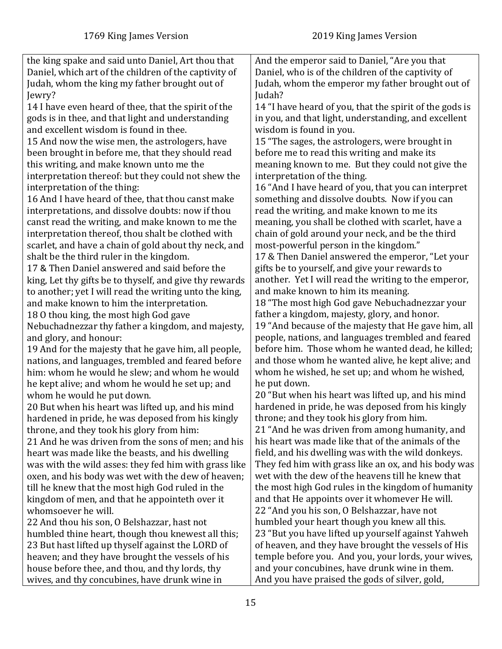| the king spake and said unto Daniel, Art thou that      | And the emperor said to Daniel, "Are you that           |
|---------------------------------------------------------|---------------------------------------------------------|
| Daniel, which art of the children of the captivity of   | Daniel, who is of the children of the captivity of      |
| Judah, whom the king my father brought out of           | Judah, whom the emperor my father brought out of        |
| Jewry?                                                  | Judah?                                                  |
| 14 I have even heard of thee, that the spirit of the    | 14 "I have heard of you, that the spirit of the gods is |
| gods is in thee, and that light and understanding       | in you, and that light, understanding, and excellent    |
| and excellent wisdom is found in thee.                  | wisdom is found in you.                                 |
| 15 And now the wise men, the astrologers, have          | 15 "The sages, the astrologers, were brought in         |
| been brought in before me, that they should read        | before me to read this writing and make its             |
| this writing, and make known unto me the                | meaning known to me. But they could not give the        |
| interpretation thereof: but they could not shew the     | interpretation of the thing.                            |
| interpretation of the thing:                            | 16 "And I have heard of you, that you can interpret     |
| 16 And I have heard of thee, that thou canst make       | something and dissolve doubts. Now if you can           |
| interpretations, and dissolve doubts: now if thou       | read the writing, and make known to me its              |
| canst read the writing, and make known to me the        | meaning, you shall be clothed with scarlet, have a      |
| interpretation thereof, thou shalt be clothed with      | chain of gold around your neck, and be the third        |
| scarlet, and have a chain of gold about thy neck, and   | most-powerful person in the kingdom."                   |
| shalt be the third ruler in the kingdom.                | 17 & Then Daniel answered the emperor, "Let your        |
| 17 & Then Daniel answered and said before the           | gifts be to yourself, and give your rewards to          |
| king, Let thy gifts be to thyself, and give thy rewards | another. Yet I will read the writing to the emperor,    |
| to another; yet I will read the writing unto the king,  | and make known to him its meaning.                      |
| and make known to him the interpretation.               | 18 "The most high God gave Nebuchadnezzar your          |
| 18 O thou king, the most high God gave                  | father a kingdom, majesty, glory, and honor.            |
| Nebuchadnezzar thy father a kingdom, and majesty,       | 19 "And because of the majesty that He gave him, all    |
| and glory, and honour:                                  | people, nations, and languages trembled and feared      |
| 19 And for the majesty that he gave him, all people,    | before him. Those whom he wanted dead, he killed;       |
| nations, and languages, trembled and feared before      | and those whom he wanted alive, he kept alive; and      |
| him: whom he would he slew; and whom he would           | whom he wished, he set up; and whom he wished,          |
| he kept alive; and whom he would he set up; and         | he put down.                                            |
| whom he would he put down.                              | 20 "But when his heart was lifted up, and his mind      |
| 20 But when his heart was lifted up, and his mind       | hardened in pride, he was deposed from his kingly       |
| hardened in pride, he was deposed from his kingly       | throne; and they took his glory from him.               |
| throne, and they took his glory from him:               | 21 "And he was driven from among humanity, and          |
| 21 And he was driven from the sons of men; and his      | his heart was made like that of the animals of the      |
| heart was made like the beasts, and his dwelling        | field, and his dwelling was with the wild donkeys.      |
| was with the wild asses: they fed him with grass like   | They fed him with grass like an ox, and his body was    |
| oxen, and his body was wet with the dew of heaven;      | wet with the dew of the heavens till he knew that       |
| till he knew that the most high God ruled in the        | the most high God rules in the kingdom of humanity      |
| kingdom of men, and that he appointeth over it          | and that He appoints over it whomever He will.          |
| whomsoever he will.                                     | 22 "And you his son, O Belshazzar, have not             |
| 22 And thou his son, O Belshazzar, hast not             | humbled your heart though you knew all this.            |
| humbled thine heart, though thou knewest all this;      | 23 "But you have lifted up yourself against Yahweh      |
| 23 But hast lifted up thyself against the LORD of       | of heaven, and they have brought the vessels of His     |
| heaven; and they have brought the vessels of his        | temple before you. And you, your lords, your wives,     |
| house before thee, and thou, and thy lords, thy         | and your concubines, have drunk wine in them.           |
| wives, and thy concubines, have drunk wine in           | And you have praised the gods of silver, gold,          |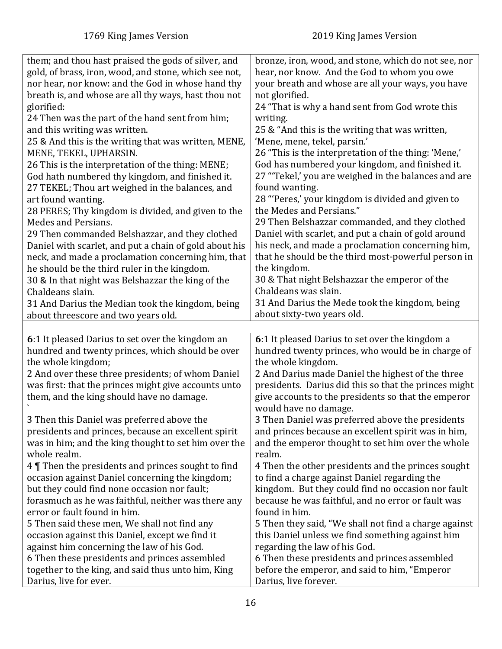<span id="page-15-0"></span>

| them; and thou hast praised the gods of silver, and                          | bronze, iron, wood, and stone, which do not see, nor                   |
|------------------------------------------------------------------------------|------------------------------------------------------------------------|
| gold, of brass, iron, wood, and stone, which see not,                        | hear, nor know. And the God to whom you owe                            |
|                                                                              | your breath and whose are all your ways, you have                      |
| nor hear, nor know: and the God in whose hand thy                            |                                                                        |
| breath is, and whose are all thy ways, hast thou not                         | not glorified.                                                         |
| glorified:                                                                   | 24 "That is why a hand sent from God wrote this                        |
| 24 Then was the part of the hand sent from him;                              | writing.                                                               |
| and this writing was written.                                                | 25 & "And this is the writing that was written,                        |
| 25 & And this is the writing that was written, MENE,                         | 'Mene, mene, tekel, parsin.'                                           |
| MENE, TEKEL, UPHARSIN.                                                       | 26 "This is the interpretation of the thing: 'Mene,'                   |
| 26 This is the interpretation of the thing: MENE;                            | God has numbered your kingdom, and finished it.                        |
| God hath numbered thy kingdom, and finished it.                              | 27 "Tekel,' you are weighed in the balances and are                    |
| 27 TEKEL; Thou art weighed in the balances, and                              | found wanting.                                                         |
| art found wanting.                                                           | 28 "'Peres,' your kingdom is divided and given to                      |
| 28 PERES; Thy kingdom is divided, and given to the                           | the Medes and Persians."                                               |
| Medes and Persians.                                                          | 29 Then Belshazzar commanded, and they clothed                         |
| 29 Then commanded Belshazzar, and they clothed                               | Daniel with scarlet, and put a chain of gold around                    |
| Daniel with scarlet, and put a chain of gold about his                       | his neck, and made a proclamation concerning him,                      |
| neck, and made a proclamation concerning him, that                           | that he should be the third most-powerful person in                    |
| he should be the third ruler in the kingdom.                                 | the kingdom.                                                           |
| 30 & In that night was Belshazzar the king of the                            | 30 & That night Belshazzar the emperor of the                          |
| Chaldeans slain.                                                             | Chaldeans was slain.                                                   |
| 31 And Darius the Median took the kingdom, being                             | 31 And Darius the Mede took the kingdom, being                         |
| about threescore and two years old.                                          | about sixty-two years old.                                             |
|                                                                              |                                                                        |
|                                                                              |                                                                        |
|                                                                              |                                                                        |
| 6:1 It pleased Darius to set over the kingdom an                             | 6:1 It pleased Darius to set over the kingdom a                        |
| hundred and twenty princes, which should be over                             | hundred twenty princes, who would be in charge of                      |
| the whole kingdom;                                                           | the whole kingdom.                                                     |
| 2 And over these three presidents; of whom Daniel                            | 2 And Darius made Daniel the highest of the three                      |
| was first: that the princes might give accounts unto                         | presidents. Darius did this so that the princes might                  |
| them, and the king should have no damage.                                    | give accounts to the presidents so that the emperor                    |
|                                                                              | would have no damage.                                                  |
| 3 Then this Daniel was preferred above the                                   | 3 Then Daniel was preferred above the presidents                       |
| presidents and princes, because an excellent spirit                          | and princes because an excellent spirit was in him,                    |
| was in him; and the king thought to set him over the                         | and the emperor thought to set him over the whole                      |
| whole realm.                                                                 | realm.                                                                 |
| 4   Then the presidents and princes sought to find                           | 4 Then the other presidents and the princes sought                     |
| occasion against Daniel concerning the kingdom;                              | to find a charge against Daniel regarding the                          |
| but they could find none occasion nor fault;                                 | kingdom. But they could find no occasion nor fault                     |
| forasmuch as he was faithful, neither was there any                          | because he was faithful, and no error or fault was                     |
| error or fault found in him.                                                 | found in him.                                                          |
| 5 Then said these men, We shall not find any                                 | 5 Then they said, "We shall not find a charge against                  |
| occasion against this Daniel, except we find it                              | this Daniel unless we find something against him                       |
| against him concerning the law of his God.                                   | regarding the law of his God.                                          |
| 6 Then these presidents and princes assembled                                | 6 Then these presidents and princes assembled                          |
| together to the king, and said thus unto him, King<br>Darius, live for ever. | before the emperor, and said to him, "Emperor<br>Darius, live forever. |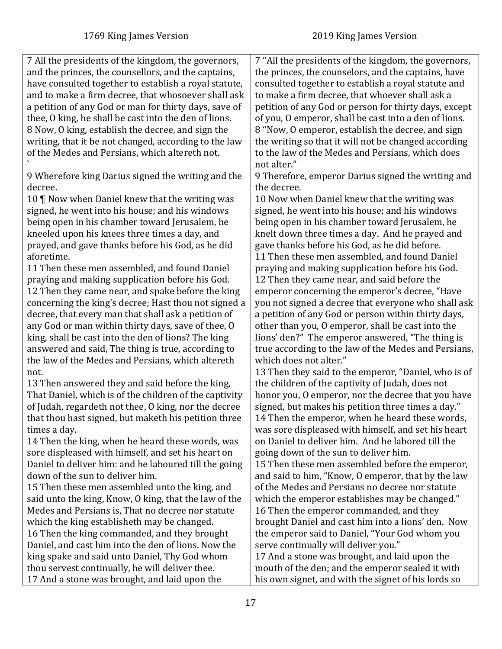7 All the presidents of the kingdom, the governors, and the princes, the counsellors, and the captains, have consulted together to establish a royal statute, and to make a firm decree, that whosoever shall ask a petition of any God or man for thirty days, save of thee, O king, he shall be cast into the den of lions. 8 Now, O king, establish the decree, and sign the writing, that it be not changed, according to the law of the Medes and Persians, which altereth not. ` 9 Wherefore king Darius signed the writing and the decree. 10 ¶ Now when Daniel knew that the writing was signed, he went into his house; and his windows being open in his chamber toward Jerusalem, he kneeled upon his knees three times a day, and prayed, and gave thanks before his God, as he did aforetime. 11 Then these men assembled, and found Daniel praying and making supplication before his God. 12 Then they came near, and spake before the king concerning the king's decree; Hast thou not signed a decree, that every man that shall ask a petition of any God or man within thirty days, save of thee, O king, shall be cast into the den of lions? The king answered and said, The thing is true, according to the law of the Medes and Persians, which altereth not. 13 Then answered they and said before the king, That Daniel, which is of the children of the captivity of Judah, regardeth not thee, O king, nor the decree that thou hast signed, but maketh his petition three times a day. 14 Then the king, when he heard these words, was sore displeased with himself, and set his heart on Daniel to deliver him: and he laboured till the going down of the sun to deliver him. 15 Then these men assembled unto the king, and said unto the king, Know, O king, that the law of the Medes and Persians is, That no decree nor statute which the king establisheth may be changed. 16 Then the king commanded, and they brought Daniel, and cast him into the den of lions. Now the king spake and said unto Daniel, Thy God whom thou servest continually, he will deliver thee. 17 And a stone was brought, and laid upon the 7 "All the presidents of the kingdom, the governors, the princes, the counselors, and the captains, have consulted together to establish a royal statute and to make a firm decree, that whoever shall ask a petition of any God or person for thirty days, except of you, O emperor, shall be cast into a den of lions. 8 "Now, O emperor, establish the decree, and sign the writing so that it will not be changed according to the law of the Medes and Persians, which does not alter." 9 Therefore, emperor Darius signed the writing and the decree. 10 Now when Daniel knew that the writing was signed, he went into his house; and his windows being open in his chamber toward Jerusalem, he knelt down three times a day. And he prayed and gave thanks before his God, as he did before. 11 Then these men assembled, and found Daniel praying and making supplication before his God. 12 Then they came near, and said before the emperor concerning the emperor's decree, "Have you not signed a decree that everyone who shall ask a petition of any God or person within thirty days, other than you, O emperor, shall be cast into the lions' den?" The emperor answered, "The thing is true according to the law of the Medes and Persians, which does not alter." 13 Then they said to the emperor, "Daniel, who is of the children of the captivity of Judah, does not honor you, O emperor, nor the decree that you have signed, but makes his petition three times a day." 14 Then the emperor, when he heard these words, was sore displeased with himself, and set his heart on Daniel to deliver him. And he labored till the going down of the sun to deliver him. 15 Then these men assembled before the emperor, and said to him, "Know, O emperor, that by the law of the Medes and Persians no decree nor statute which the emperor establishes may be changed." 16 Then the emperor commanded, and they brought Daniel and cast him into a lions' den. Now the emperor said to Daniel, "Your God whom you serve continually will deliver you." 17 And a stone was brought, and laid upon the mouth of the den; and the emperor sealed it with his own signet, and with the signet of his lords so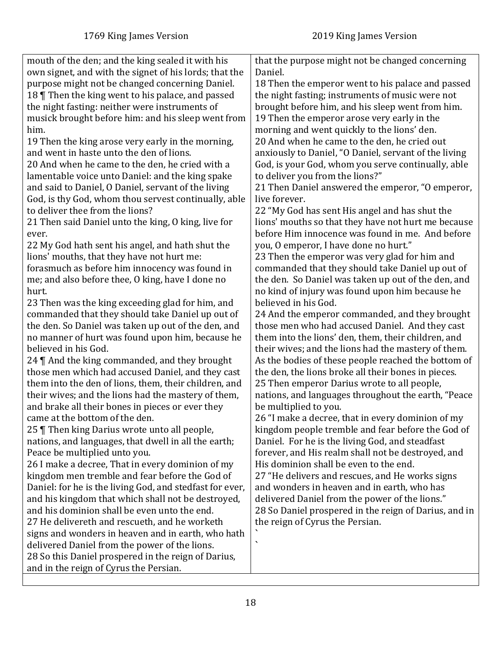| mouth of the den; and the king sealed it with his<br>own signet, and with the signet of his lords; that the<br>purpose might not be changed concerning Daniel.<br>18   Then the king went to his palace, and passed<br>the night fasting: neither were instruments of<br>musick brought before him: and his sleep went from<br>him.<br>19 Then the king arose very early in the morning,<br>and went in haste unto the den of lions.<br>20 And when he came to the den, he cried with a<br>lamentable voice unto Daniel: and the king spake<br>and said to Daniel, O Daniel, servant of the living<br>God, is thy God, whom thou servest continually, able<br>to deliver thee from the lions?<br>21 Then said Daniel unto the king, O king, live for<br>ever.<br>22 My God hath sent his angel, and hath shut the<br>lions' mouths, that they have not hurt me:<br>forasmuch as before him innocency was found in<br>me; and also before thee, O king, have I done no<br>hurt.<br>23 Then was the king exceeding glad for him, and<br>commanded that they should take Daniel up out of<br>the den. So Daniel was taken up out of the den, and<br>no manner of hurt was found upon him, because he<br>believed in his God.<br>24   And the king commanded, and they brought<br>those men which had accused Daniel, and they cast<br>them into the den of lions, them, their children, and<br>their wives; and the lions had the mastery of them,<br>and brake all their bones in pieces or ever they | that the purpose might not be changed concerning<br>Daniel.<br>18 Then the emperor went to his palace and passed<br>the night fasting; instruments of music were not<br>brought before him, and his sleep went from him.<br>19 Then the emperor arose very early in the<br>morning and went quickly to the lions' den.<br>20 And when he came to the den, he cried out<br>anxiously to Daniel, "O Daniel, servant of the living<br>God, is your God, whom you serve continually, able<br>to deliver you from the lions?"<br>21 Then Daniel answered the emperor, "O emperor,<br>live forever.<br>22 "My God has sent His angel and has shut the<br>lions' mouths so that they have not hurt me because<br>before Him innocence was found in me. And before<br>you, O emperor, I have done no hurt."<br>23 Then the emperor was very glad for him and<br>commanded that they should take Daniel up out of<br>the den. So Daniel was taken up out of the den, and<br>no kind of injury was found upon him because he<br>believed in his God.<br>24 And the emperor commanded, and they brought<br>those men who had accused Daniel. And they cast<br>them into the lions' den, them, their children, and<br>their wives; and the lions had the mastery of them.<br>As the bodies of these people reached the bottom of<br>the den, the lions broke all their bones in pieces.<br>25 Then emperor Darius wrote to all people,<br>nations, and languages throughout the earth, "Peace<br>be multiplied to you. |
|-----------------------------------------------------------------------------------------------------------------------------------------------------------------------------------------------------------------------------------------------------------------------------------------------------------------------------------------------------------------------------------------------------------------------------------------------------------------------------------------------------------------------------------------------------------------------------------------------------------------------------------------------------------------------------------------------------------------------------------------------------------------------------------------------------------------------------------------------------------------------------------------------------------------------------------------------------------------------------------------------------------------------------------------------------------------------------------------------------------------------------------------------------------------------------------------------------------------------------------------------------------------------------------------------------------------------------------------------------------------------------------------------------------------------------------------------------------------------------------------------------|------------------------------------------------------------------------------------------------------------------------------------------------------------------------------------------------------------------------------------------------------------------------------------------------------------------------------------------------------------------------------------------------------------------------------------------------------------------------------------------------------------------------------------------------------------------------------------------------------------------------------------------------------------------------------------------------------------------------------------------------------------------------------------------------------------------------------------------------------------------------------------------------------------------------------------------------------------------------------------------------------------------------------------------------------------------------------------------------------------------------------------------------------------------------------------------------------------------------------------------------------------------------------------------------------------------------------------------------------------------------------------------------------------------------------------------------------------------------------------------------------------|
|                                                                                                                                                                                                                                                                                                                                                                                                                                                                                                                                                                                                                                                                                                                                                                                                                                                                                                                                                                                                                                                                                                                                                                                                                                                                                                                                                                                                                                                                                                     |                                                                                                                                                                                                                                                                                                                                                                                                                                                                                                                                                                                                                                                                                                                                                                                                                                                                                                                                                                                                                                                                                                                                                                                                                                                                                                                                                                                                                                                                                                            |
|                                                                                                                                                                                                                                                                                                                                                                                                                                                                                                                                                                                                                                                                                                                                                                                                                                                                                                                                                                                                                                                                                                                                                                                                                                                                                                                                                                                                                                                                                                     |                                                                                                                                                                                                                                                                                                                                                                                                                                                                                                                                                                                                                                                                                                                                                                                                                                                                                                                                                                                                                                                                                                                                                                                                                                                                                                                                                                                                                                                                                                            |
|                                                                                                                                                                                                                                                                                                                                                                                                                                                                                                                                                                                                                                                                                                                                                                                                                                                                                                                                                                                                                                                                                                                                                                                                                                                                                                                                                                                                                                                                                                     |                                                                                                                                                                                                                                                                                                                                                                                                                                                                                                                                                                                                                                                                                                                                                                                                                                                                                                                                                                                                                                                                                                                                                                                                                                                                                                                                                                                                                                                                                                            |
|                                                                                                                                                                                                                                                                                                                                                                                                                                                                                                                                                                                                                                                                                                                                                                                                                                                                                                                                                                                                                                                                                                                                                                                                                                                                                                                                                                                                                                                                                                     |                                                                                                                                                                                                                                                                                                                                                                                                                                                                                                                                                                                                                                                                                                                                                                                                                                                                                                                                                                                                                                                                                                                                                                                                                                                                                                                                                                                                                                                                                                            |
|                                                                                                                                                                                                                                                                                                                                                                                                                                                                                                                                                                                                                                                                                                                                                                                                                                                                                                                                                                                                                                                                                                                                                                                                                                                                                                                                                                                                                                                                                                     |                                                                                                                                                                                                                                                                                                                                                                                                                                                                                                                                                                                                                                                                                                                                                                                                                                                                                                                                                                                                                                                                                                                                                                                                                                                                                                                                                                                                                                                                                                            |
|                                                                                                                                                                                                                                                                                                                                                                                                                                                                                                                                                                                                                                                                                                                                                                                                                                                                                                                                                                                                                                                                                                                                                                                                                                                                                                                                                                                                                                                                                                     |                                                                                                                                                                                                                                                                                                                                                                                                                                                                                                                                                                                                                                                                                                                                                                                                                                                                                                                                                                                                                                                                                                                                                                                                                                                                                                                                                                                                                                                                                                            |
|                                                                                                                                                                                                                                                                                                                                                                                                                                                                                                                                                                                                                                                                                                                                                                                                                                                                                                                                                                                                                                                                                                                                                                                                                                                                                                                                                                                                                                                                                                     |                                                                                                                                                                                                                                                                                                                                                                                                                                                                                                                                                                                                                                                                                                                                                                                                                                                                                                                                                                                                                                                                                                                                                                                                                                                                                                                                                                                                                                                                                                            |
|                                                                                                                                                                                                                                                                                                                                                                                                                                                                                                                                                                                                                                                                                                                                                                                                                                                                                                                                                                                                                                                                                                                                                                                                                                                                                                                                                                                                                                                                                                     |                                                                                                                                                                                                                                                                                                                                                                                                                                                                                                                                                                                                                                                                                                                                                                                                                                                                                                                                                                                                                                                                                                                                                                                                                                                                                                                                                                                                                                                                                                            |
|                                                                                                                                                                                                                                                                                                                                                                                                                                                                                                                                                                                                                                                                                                                                                                                                                                                                                                                                                                                                                                                                                                                                                                                                                                                                                                                                                                                                                                                                                                     |                                                                                                                                                                                                                                                                                                                                                                                                                                                                                                                                                                                                                                                                                                                                                                                                                                                                                                                                                                                                                                                                                                                                                                                                                                                                                                                                                                                                                                                                                                            |
|                                                                                                                                                                                                                                                                                                                                                                                                                                                                                                                                                                                                                                                                                                                                                                                                                                                                                                                                                                                                                                                                                                                                                                                                                                                                                                                                                                                                                                                                                                     |                                                                                                                                                                                                                                                                                                                                                                                                                                                                                                                                                                                                                                                                                                                                                                                                                                                                                                                                                                                                                                                                                                                                                                                                                                                                                                                                                                                                                                                                                                            |
|                                                                                                                                                                                                                                                                                                                                                                                                                                                                                                                                                                                                                                                                                                                                                                                                                                                                                                                                                                                                                                                                                                                                                                                                                                                                                                                                                                                                                                                                                                     |                                                                                                                                                                                                                                                                                                                                                                                                                                                                                                                                                                                                                                                                                                                                                                                                                                                                                                                                                                                                                                                                                                                                                                                                                                                                                                                                                                                                                                                                                                            |
|                                                                                                                                                                                                                                                                                                                                                                                                                                                                                                                                                                                                                                                                                                                                                                                                                                                                                                                                                                                                                                                                                                                                                                                                                                                                                                                                                                                                                                                                                                     |                                                                                                                                                                                                                                                                                                                                                                                                                                                                                                                                                                                                                                                                                                                                                                                                                                                                                                                                                                                                                                                                                                                                                                                                                                                                                                                                                                                                                                                                                                            |
|                                                                                                                                                                                                                                                                                                                                                                                                                                                                                                                                                                                                                                                                                                                                                                                                                                                                                                                                                                                                                                                                                                                                                                                                                                                                                                                                                                                                                                                                                                     |                                                                                                                                                                                                                                                                                                                                                                                                                                                                                                                                                                                                                                                                                                                                                                                                                                                                                                                                                                                                                                                                                                                                                                                                                                                                                                                                                                                                                                                                                                            |
|                                                                                                                                                                                                                                                                                                                                                                                                                                                                                                                                                                                                                                                                                                                                                                                                                                                                                                                                                                                                                                                                                                                                                                                                                                                                                                                                                                                                                                                                                                     |                                                                                                                                                                                                                                                                                                                                                                                                                                                                                                                                                                                                                                                                                                                                                                                                                                                                                                                                                                                                                                                                                                                                                                                                                                                                                                                                                                                                                                                                                                            |
|                                                                                                                                                                                                                                                                                                                                                                                                                                                                                                                                                                                                                                                                                                                                                                                                                                                                                                                                                                                                                                                                                                                                                                                                                                                                                                                                                                                                                                                                                                     |                                                                                                                                                                                                                                                                                                                                                                                                                                                                                                                                                                                                                                                                                                                                                                                                                                                                                                                                                                                                                                                                                                                                                                                                                                                                                                                                                                                                                                                                                                            |
|                                                                                                                                                                                                                                                                                                                                                                                                                                                                                                                                                                                                                                                                                                                                                                                                                                                                                                                                                                                                                                                                                                                                                                                                                                                                                                                                                                                                                                                                                                     |                                                                                                                                                                                                                                                                                                                                                                                                                                                                                                                                                                                                                                                                                                                                                                                                                                                                                                                                                                                                                                                                                                                                                                                                                                                                                                                                                                                                                                                                                                            |
|                                                                                                                                                                                                                                                                                                                                                                                                                                                                                                                                                                                                                                                                                                                                                                                                                                                                                                                                                                                                                                                                                                                                                                                                                                                                                                                                                                                                                                                                                                     |                                                                                                                                                                                                                                                                                                                                                                                                                                                                                                                                                                                                                                                                                                                                                                                                                                                                                                                                                                                                                                                                                                                                                                                                                                                                                                                                                                                                                                                                                                            |
|                                                                                                                                                                                                                                                                                                                                                                                                                                                                                                                                                                                                                                                                                                                                                                                                                                                                                                                                                                                                                                                                                                                                                                                                                                                                                                                                                                                                                                                                                                     |                                                                                                                                                                                                                                                                                                                                                                                                                                                                                                                                                                                                                                                                                                                                                                                                                                                                                                                                                                                                                                                                                                                                                                                                                                                                                                                                                                                                                                                                                                            |
| came at the bottom of the den.                                                                                                                                                                                                                                                                                                                                                                                                                                                                                                                                                                                                                                                                                                                                                                                                                                                                                                                                                                                                                                                                                                                                                                                                                                                                                                                                                                                                                                                                      | 26 "I make a decree, that in every dominion of my                                                                                                                                                                                                                                                                                                                                                                                                                                                                                                                                                                                                                                                                                                                                                                                                                                                                                                                                                                                                                                                                                                                                                                                                                                                                                                                                                                                                                                                          |
| 25   Then king Darius wrote unto all people,                                                                                                                                                                                                                                                                                                                                                                                                                                                                                                                                                                                                                                                                                                                                                                                                                                                                                                                                                                                                                                                                                                                                                                                                                                                                                                                                                                                                                                                        | kingdom people tremble and fear before the God of                                                                                                                                                                                                                                                                                                                                                                                                                                                                                                                                                                                                                                                                                                                                                                                                                                                                                                                                                                                                                                                                                                                                                                                                                                                                                                                                                                                                                                                          |
| nations, and languages, that dwell in all the earth;                                                                                                                                                                                                                                                                                                                                                                                                                                                                                                                                                                                                                                                                                                                                                                                                                                                                                                                                                                                                                                                                                                                                                                                                                                                                                                                                                                                                                                                | Daniel. For he is the living God, and steadfast                                                                                                                                                                                                                                                                                                                                                                                                                                                                                                                                                                                                                                                                                                                                                                                                                                                                                                                                                                                                                                                                                                                                                                                                                                                                                                                                                                                                                                                            |
| Peace be multiplied unto you.                                                                                                                                                                                                                                                                                                                                                                                                                                                                                                                                                                                                                                                                                                                                                                                                                                                                                                                                                                                                                                                                                                                                                                                                                                                                                                                                                                                                                                                                       | forever, and His realm shall not be destroyed, and                                                                                                                                                                                                                                                                                                                                                                                                                                                                                                                                                                                                                                                                                                                                                                                                                                                                                                                                                                                                                                                                                                                                                                                                                                                                                                                                                                                                                                                         |
| 26 I make a decree, That in every dominion of my                                                                                                                                                                                                                                                                                                                                                                                                                                                                                                                                                                                                                                                                                                                                                                                                                                                                                                                                                                                                                                                                                                                                                                                                                                                                                                                                                                                                                                                    | His dominion shall be even to the end.                                                                                                                                                                                                                                                                                                                                                                                                                                                                                                                                                                                                                                                                                                                                                                                                                                                                                                                                                                                                                                                                                                                                                                                                                                                                                                                                                                                                                                                                     |
| kingdom men tremble and fear before the God of                                                                                                                                                                                                                                                                                                                                                                                                                                                                                                                                                                                                                                                                                                                                                                                                                                                                                                                                                                                                                                                                                                                                                                                                                                                                                                                                                                                                                                                      | 27 "He delivers and rescues, and He works signs                                                                                                                                                                                                                                                                                                                                                                                                                                                                                                                                                                                                                                                                                                                                                                                                                                                                                                                                                                                                                                                                                                                                                                                                                                                                                                                                                                                                                                                            |
| Daniel: for he is the living God, and stedfast for ever,                                                                                                                                                                                                                                                                                                                                                                                                                                                                                                                                                                                                                                                                                                                                                                                                                                                                                                                                                                                                                                                                                                                                                                                                                                                                                                                                                                                                                                            | and wonders in heaven and in earth, who has                                                                                                                                                                                                                                                                                                                                                                                                                                                                                                                                                                                                                                                                                                                                                                                                                                                                                                                                                                                                                                                                                                                                                                                                                                                                                                                                                                                                                                                                |
| and his kingdom that which shall not be destroyed,                                                                                                                                                                                                                                                                                                                                                                                                                                                                                                                                                                                                                                                                                                                                                                                                                                                                                                                                                                                                                                                                                                                                                                                                                                                                                                                                                                                                                                                  | delivered Daniel from the power of the lions."                                                                                                                                                                                                                                                                                                                                                                                                                                                                                                                                                                                                                                                                                                                                                                                                                                                                                                                                                                                                                                                                                                                                                                                                                                                                                                                                                                                                                                                             |
| and his dominion shall be even unto the end.                                                                                                                                                                                                                                                                                                                                                                                                                                                                                                                                                                                                                                                                                                                                                                                                                                                                                                                                                                                                                                                                                                                                                                                                                                                                                                                                                                                                                                                        | 28 So Daniel prospered in the reign of Darius, and in                                                                                                                                                                                                                                                                                                                                                                                                                                                                                                                                                                                                                                                                                                                                                                                                                                                                                                                                                                                                                                                                                                                                                                                                                                                                                                                                                                                                                                                      |
| 27 He delivereth and rescueth, and he worketh                                                                                                                                                                                                                                                                                                                                                                                                                                                                                                                                                                                                                                                                                                                                                                                                                                                                                                                                                                                                                                                                                                                                                                                                                                                                                                                                                                                                                                                       | the reign of Cyrus the Persian.                                                                                                                                                                                                                                                                                                                                                                                                                                                                                                                                                                                                                                                                                                                                                                                                                                                                                                                                                                                                                                                                                                                                                                                                                                                                                                                                                                                                                                                                            |
| signs and wonders in heaven and in earth, who hath                                                                                                                                                                                                                                                                                                                                                                                                                                                                                                                                                                                                                                                                                                                                                                                                                                                                                                                                                                                                                                                                                                                                                                                                                                                                                                                                                                                                                                                  |                                                                                                                                                                                                                                                                                                                                                                                                                                                                                                                                                                                                                                                                                                                                                                                                                                                                                                                                                                                                                                                                                                                                                                                                                                                                                                                                                                                                                                                                                                            |
| delivered Daniel from the power of the lions.                                                                                                                                                                                                                                                                                                                                                                                                                                                                                                                                                                                                                                                                                                                                                                                                                                                                                                                                                                                                                                                                                                                                                                                                                                                                                                                                                                                                                                                       | $\overline{\phantom{a}}$                                                                                                                                                                                                                                                                                                                                                                                                                                                                                                                                                                                                                                                                                                                                                                                                                                                                                                                                                                                                                                                                                                                                                                                                                                                                                                                                                                                                                                                                                   |
| 28 So this Daniel prospered in the reign of Darius,                                                                                                                                                                                                                                                                                                                                                                                                                                                                                                                                                                                                                                                                                                                                                                                                                                                                                                                                                                                                                                                                                                                                                                                                                                                                                                                                                                                                                                                 |                                                                                                                                                                                                                                                                                                                                                                                                                                                                                                                                                                                                                                                                                                                                                                                                                                                                                                                                                                                                                                                                                                                                                                                                                                                                                                                                                                                                                                                                                                            |
| and in the reign of Cyrus the Persian.                                                                                                                                                                                                                                                                                                                                                                                                                                                                                                                                                                                                                                                                                                                                                                                                                                                                                                                                                                                                                                                                                                                                                                                                                                                                                                                                                                                                                                                              |                                                                                                                                                                                                                                                                                                                                                                                                                                                                                                                                                                                                                                                                                                                                                                                                                                                                                                                                                                                                                                                                                                                                                                                                                                                                                                                                                                                                                                                                                                            |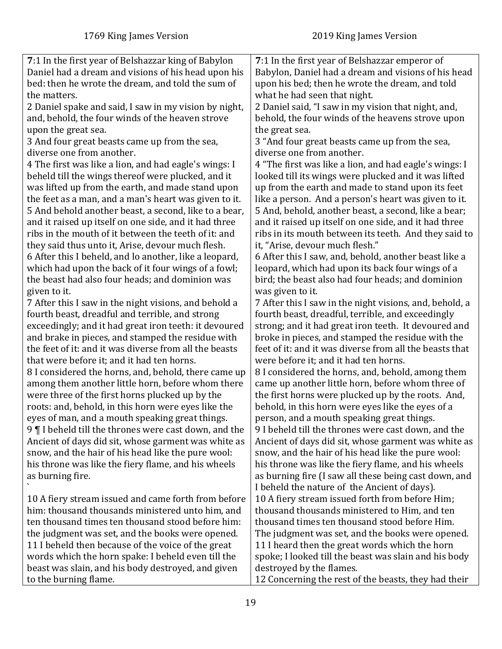<span id="page-18-0"></span>

| 7:1 In the first year of Belshazzar king of Babylon    | 7:1 In the first year of Belshazzar emperor of          |
|--------------------------------------------------------|---------------------------------------------------------|
| Daniel had a dream and visions of his head upon his    | Babylon, Daniel had a dream and visions of his head     |
| bed: then he wrote the dream, and told the sum of      | upon his bed; then he wrote the dream, and told         |
| the matters.                                           | what he had seen that night.                            |
| 2 Daniel spake and said, I saw in my vision by night,  | 2 Daniel said, "I saw in my vision that night, and,     |
| and, behold, the four winds of the heaven strove       | behold, the four winds of the heavens strove upon       |
| upon the great sea.                                    | the great sea.                                          |
| 3 And four great beasts came up from the sea,          | 3 "And four great beasts came up from the sea,          |
| diverse one from another.                              | diverse one from another.                               |
| 4 The first was like a lion, and had eagle's wings: I  | 4 "The first was like a lion, and had eagle's wings: I  |
| beheld till the wings thereof were plucked, and it     | looked till its wings were plucked and it was lifted    |
| was lifted up from the earth, and made stand upon      | up from the earth and made to stand upon its feet       |
| the feet as a man, and a man's heart was given to it.  | like a person. And a person's heart was given to it.    |
| 5 And behold another beast, a second, like to a bear,  | 5 And, behold, another beast, a second, like a bear;    |
| and it raised up itself on one side, and it had three  | and it raised up itself on one side, and it had three   |
| ribs in the mouth of it between the teeth of it: and   | ribs in its mouth between its teeth. And they said to   |
| they said thus unto it, Arise, devour much flesh.      | it, "Arise, devour much flesh."                         |
| 6 After this I beheld, and lo another, like a leopard, | 6 After this I saw, and, behold, another beast like a   |
| which had upon the back of it four wings of a fowl;    | leopard, which had upon its back four wings of a        |
| the beast had also four heads; and dominion was        | bird; the beast also had four heads; and dominion       |
| given to it.                                           | was given to it.                                        |
| 7 After this I saw in the night visions, and behold a  | 7 After this I saw in the night visions, and, behold, a |
| fourth beast, dreadful and terrible, and strong        | fourth beast, dreadful, terrible, and exceedingly       |
| exceedingly; and it had great iron teeth: it devoured  | strong; and it had great iron teeth. It devoured and    |
| and brake in pieces, and stamped the residue with      | broke in pieces, and stamped the residue with the       |
| the feet of it: and it was diverse from all the beasts | feet of it: and it was diverse from all the beasts that |
| that were before it; and it had ten horns.             | were before it; and it had ten horns.                   |
| 8 I considered the horns, and, behold, there came up   | 8 I considered the horns, and, behold, among them       |
| among them another little horn, before whom there      | came up another little horn, before whom three of       |
| were three of the first horns plucked up by the        | the first horns were plucked up by the roots. And,      |
| roots: and, behold, in this horn were eyes like the    | behold, in this horn were eyes like the eyes of a       |
| eyes of man, and a mouth speaking great things.        | person, and a mouth speaking great things.              |
| 9   I beheld till the thrones were cast down, and the  | 9 I beheld till the thrones were cast down, and the     |
| Ancient of days did sit, whose garment was white as    | Ancient of days did sit, whose garment was white as     |
| snow, and the hair of his head like the pure wool:     | snow, and the hair of his head like the pure wool:      |
| his throne was like the fiery flame, and his wheels    | his throne was like the fiery flame, and his wheels     |
| as burning fire.                                       | as burning fire (I saw all these being cast down, and   |
|                                                        | I beheld the nature of the Ancient of days).            |
| 10 A fiery stream issued and came forth from before    | 10 A fiery stream issued forth from before Him;         |
| him: thousand thousands ministered unto him, and       | thousand thousands ministered to Him, and ten           |
| ten thousand times ten thousand stood before him:      | thousand times ten thousand stood before Him.           |
| the judgment was set, and the books were opened.       | The judgment was set, and the books were opened.        |
| 11 I beheld then because of the voice of the great     | 11 I heard then the great words which the horn          |
| words which the horn spake: I beheld even till the     | spoke; I looked till the beast was slain and his body   |
| beast was slain, and his body destroyed, and given     | destroyed by the flames.                                |
|                                                        |                                                         |
| to the burning flame.                                  | 12 Concerning the rest of the beasts, they had their    |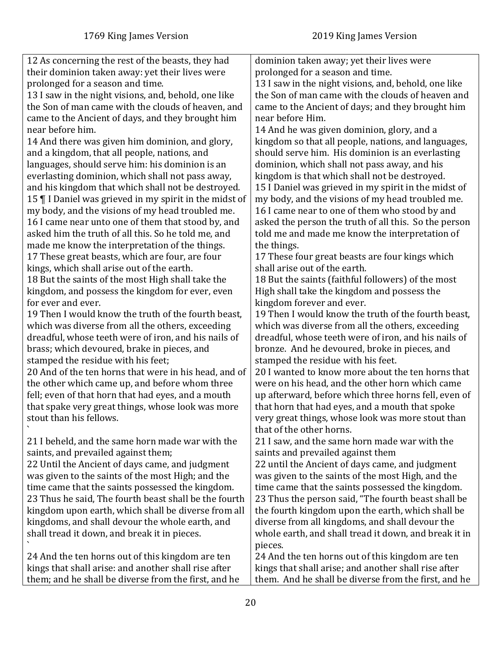| 12 As concerning the rest of the beasts, they had      | dominion taken away; yet their lives were             |
|--------------------------------------------------------|-------------------------------------------------------|
| their dominion taken away: yet their lives were        | prolonged for a season and time.                      |
| prolonged for a season and time.                       | 13 I saw in the night visions, and, behold, one like  |
| 13 I saw in the night visions, and, behold, one like   | the Son of man came with the clouds of heaven and     |
| the Son of man came with the clouds of heaven, and     | came to the Ancient of days; and they brought him     |
| came to the Ancient of days, and they brought him      | near before Him.                                      |
| near before him.                                       | 14 And he was given dominion, glory, and a            |
| 14 And there was given him dominion, and glory,        | kingdom so that all people, nations, and languages,   |
| and a kingdom, that all people, nations, and           | should serve him. His dominion is an everlasting      |
| languages, should serve him: his dominion is an        | dominion, which shall not pass away, and his          |
| everlasting dominion, which shall not pass away,       | kingdom is that which shall not be destroyed.         |
| and his kingdom that which shall not be destroyed.     | 15 I Daniel was grieved in my spirit in the midst of  |
| 15   I Daniel was grieved in my spirit in the midst of | my body, and the visions of my head troubled me.      |
| my body, and the visions of my head troubled me.       | 16 I came near to one of them who stood by and        |
| 16 I came near unto one of them that stood by, and     | asked the person the truth of all this. So the person |
| asked him the truth of all this. So he told me, and    | told me and made me know the interpretation of        |
| made me know the interpretation of the things.         | the things.                                           |
| 17 These great beasts, which are four, are four        | 17 These four great beasts are four kings which       |
| kings, which shall arise out of the earth.             | shall arise out of the earth.                         |
| 18 But the saints of the most High shall take the      | 18 But the saints (faithful followers) of the most    |
| kingdom, and possess the kingdom for ever, even        | High shall take the kingdom and possess the           |
| for ever and ever.                                     | kingdom forever and ever.                             |
| 19 Then I would know the truth of the fourth beast,    | 19 Then I would know the truth of the fourth beast,   |
| which was diverse from all the others, exceeding       | which was diverse from all the others, exceeding      |
| dreadful, whose teeth were of iron, and his nails of   | dreadful, whose teeth were of iron, and his nails of  |
| brass; which devoured, brake in pieces, and            | bronze. And he devoured, broke in pieces, and         |
| stamped the residue with his feet;                     | stamped the residue with his feet.                    |
| 20 And of the ten horns that were in his head, and of  | 20 I wanted to know more about the ten horns that     |
| the other which came up, and before whom three         | were on his head, and the other horn which came       |
| fell; even of that horn that had eyes, and a mouth     | up afterward, before which three horns fell, even of  |
| that spake very great things, whose look was more      | that horn that had eyes, and a mouth that spoke       |
| stout than his fellows.                                | very great things, whose look was more stout than     |
|                                                        | that of the other horns.                              |
| 21 I beheld, and the same horn made war with the       | 21 I saw, and the same horn made war with the         |
| saints, and prevailed against them;                    | saints and prevailed against them                     |
| 22 Until the Ancient of days came, and judgment        | 22 until the Ancient of days came, and judgment       |
| was given to the saints of the most High; and the      | was given to the saints of the most High, and the     |
| time came that the saints possessed the kingdom.       | time came that the saints possessed the kingdom.      |
| 23 Thus he said, The fourth beast shall be the fourth  | 23 Thus the person said, "The fourth beast shall be   |
| kingdom upon earth, which shall be diverse from all    | the fourth kingdom upon the earth, which shall be     |
| kingdoms, and shall devour the whole earth, and        | diverse from all kingdoms, and shall devour the       |
| shall tread it down, and break it in pieces.           | whole earth, and shall tread it down, and break it in |
|                                                        | pieces.                                               |
| 24 And the ten horns out of this kingdom are ten       | 24 And the ten horns out of this kingdom are ten      |
| kings that shall arise: and another shall rise after   | kings that shall arise; and another shall rise after  |
| them; and he shall be diverse from the first, and he   | them. And he shall be diverse from the first, and he  |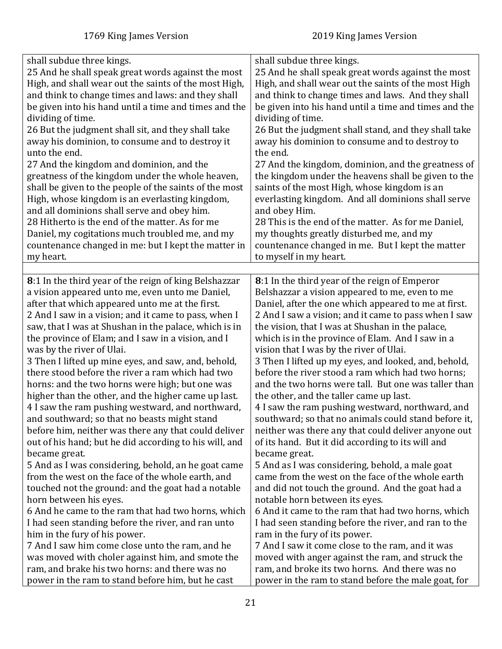<span id="page-20-0"></span>

| shall subdue three kings.                              | shall subdue three kings.                             |
|--------------------------------------------------------|-------------------------------------------------------|
| 25 And he shall speak great words against the most     | 25 And he shall speak great words against the most    |
| High, and shall wear out the saints of the most High,  | High, and shall wear out the saints of the most High  |
| and think to change times and laws: and they shall     | and think to change times and laws. And they shall    |
| be given into his hand until a time and times and the  | be given into his hand until a time and times and the |
| dividing of time.                                      | dividing of time.                                     |
| 26 But the judgment shall sit, and they shall take     | 26 But the judgment shall stand, and they shall take  |
| away his dominion, to consume and to destroy it        | away his dominion to consume and to destroy to        |
| unto the end.                                          | the end.                                              |
|                                                        |                                                       |
| 27 And the kingdom and dominion, and the               | 27 And the kingdom, dominion, and the greatness of    |
| greatness of the kingdom under the whole heaven,       | the kingdom under the heavens shall be given to the   |
| shall be given to the people of the saints of the most | saints of the most High, whose kingdom is an          |
| High, whose kingdom is an everlasting kingdom,         | everlasting kingdom. And all dominions shall serve    |
| and all dominions shall serve and obey him.            | and obey Him.                                         |
| 28 Hitherto is the end of the matter. As for me        | 28 This is the end of the matter. As for me Daniel,   |
| Daniel, my cogitations much troubled me, and my        | my thoughts greatly disturbed me, and my              |
| countenance changed in me: but I kept the matter in    | countenance changed in me. But I kept the matter      |
| my heart.                                              | to myself in my heart.                                |
|                                                        |                                                       |
| 8:1 In the third year of the reign of king Belshazzar  | 8:1 In the third year of the reign of Emperor         |
| a vision appeared unto me, even unto me Daniel,        | Belshazzar a vision appeared to me, even to me        |
| after that which appeared unto me at the first.        | Daniel, after the one which appeared to me at first.  |
| 2 And I saw in a vision; and it came to pass, when I   | 2 And I saw a vision; and it came to pass when I saw  |
| saw, that I was at Shushan in the palace, which is in  | the vision, that I was at Shushan in the palace,      |
| the province of Elam; and I saw in a vision, and I     | which is in the province of Elam. And I saw in a      |
| was by the river of Ulai.                              | vision that I was by the river of Ulai.               |
| 3 Then I lifted up mine eyes, and saw, and, behold,    | 3 Then I lifted up my eyes, and looked, and, behold,  |
| there stood before the river a ram which had two       | before the river stood a ram which had two horns;     |
| horns: and the two horns were high; but one was        | and the two horns were tall. But one was taller than  |
|                                                        |                                                       |
| higher than the other, and the higher came up last.    | the other, and the taller came up last.               |
| 4 I saw the ram pushing westward, and northward,       | 4 I saw the ram pushing westward, northward, and      |
| and southward; so that no beasts might stand           | southward; so that no animals could stand before it,  |
| before him, neither was there any that could deliver   | neither was there any that could deliver anyone out   |
| out of his hand; but he did according to his will, and | of its hand. But it did according to its will and     |
| became great.                                          | became great.                                         |
| 5 And as I was considering, behold, an he goat came    | 5 And as I was considering, behold, a male goat       |
| from the west on the face of the whole earth, and      | came from the west on the face of the whole earth     |
| touched not the ground: and the goat had a notable     | and did not touch the ground. And the goat had a      |
| horn between his eyes.                                 | notable horn between its eyes.                        |
| 6 And he came to the ram that had two horns, which     | 6 And it came to the ram that had two horns, which    |
| I had seen standing before the river, and ran unto     | I had seen standing before the river, and ran to the  |
| him in the fury of his power.                          | ram in the fury of its power.                         |
| 7 And I saw him come close unto the ram, and he        | 7 And I saw it come close to the ram, and it was      |
| was moved with choler against him, and smote the       | moved with anger against the ram, and struck the      |
| ram, and brake his two horns: and there was no         | ram, and broke its two horns. And there was no        |
| power in the ram to stand before him, but he cast      | power in the ram to stand before the male goat, for   |
|                                                        |                                                       |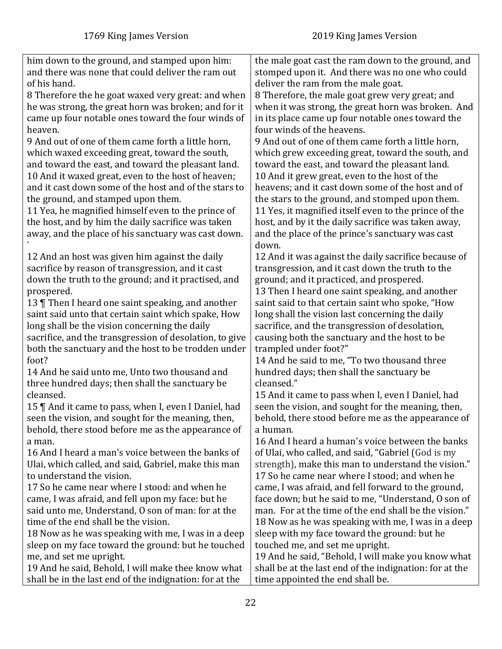| him down to the ground, and stamped upon him:           | the male goat cast the ram down to the ground, and      |
|---------------------------------------------------------|---------------------------------------------------------|
| and there was none that could deliver the ram out       | stomped upon it. And there was no one who could         |
| of his hand.                                            | deliver the ram from the male goat.                     |
| 8 Therefore the he goat waxed very great: and when      | 8 Therefore, the male goat grew very great; and         |
| he was strong, the great horn was broken; and for it    | when it was strong, the great horn was broken. And      |
| came up four notable ones toward the four winds of      | in its place came up four notable ones toward the       |
| heaven.                                                 | four winds of the heavens.                              |
| 9 And out of one of them came forth a little horn,      | 9 And out of one of them came forth a little horn,      |
| which waxed exceeding great, toward the south,          | which grew exceeding great, toward the south, and       |
| and toward the east, and toward the pleasant land.      | toward the east, and toward the pleasant land.          |
|                                                         |                                                         |
| 10 And it waxed great, even to the host of heaven;      | 10 And it grew great, even to the host of the           |
| and it cast down some of the host and of the stars to   | heavens; and it cast down some of the host and of       |
| the ground, and stamped upon them.                      | the stars to the ground, and stomped upon them.         |
| 11 Yea, he magnified himself even to the prince of      | 11 Yes, it magnified itself even to the prince of the   |
| the host, and by him the daily sacrifice was taken      | host, and by it the daily sacrifice was taken away,     |
| away, and the place of his sanctuary was cast down.     | and the place of the prince's sanctuary was cast        |
|                                                         | down.                                                   |
| 12 And an host was given him against the daily          | 12 And it was against the daily sacrifice because of    |
| sacrifice by reason of transgression, and it cast       | transgression, and it cast down the truth to the        |
| down the truth to the ground; and it practised, and     | ground; and it practiced, and prospered.                |
| prospered.                                              | 13 Then I heard one saint speaking, and another         |
| 13   Then I heard one saint speaking, and another       | saint said to that certain saint who spoke, "How        |
| saint said unto that certain saint which spake, How     | long shall the vision last concerning the daily         |
| long shall be the vision concerning the daily           | sacrifice, and the transgression of desolation,         |
| sacrifice, and the transgression of desolation, to give | causing both the sanctuary and the host to be           |
| both the sanctuary and the host to be trodden under     | trampled under foot?"                                   |
| foot?                                                   | 14 And he said to me, "To two thousand three            |
| 14 And he said unto me, Unto two thousand and           | hundred days; then shall the sanctuary be               |
| three hundred days; then shall the sanctuary be         | cleansed."                                              |
| cleansed.                                               | 15 And it came to pass when I, even I Daniel, had       |
| 15   And it came to pass, when I, even I Daniel, had    | seen the vision, and sought for the meaning, then,      |
| seen the vision, and sought for the meaning, then,      | behold, there stood before me as the appearance of      |
| behold, there stood before me as the appearance of      | a human.                                                |
| a man.                                                  | 16 And I heard a human's voice between the banks        |
| 16 And I heard a man's voice between the banks of       | of Ulai, who called, and said, "Gabriel (God is my      |
| Ulai, which called, and said, Gabriel, make this man    | strength), make this man to understand the vision."     |
| to understand the vision.                               |                                                         |
|                                                         | 17 So he came near where I stood; and when he           |
| 17 So he came near where I stood: and when he           | came, I was afraid, and fell forward to the ground,     |
| came, I was afraid, and fell upon my face: but he       | face down; but he said to me, "Understand, O son of     |
| said unto me, Understand, O son of man: for at the      | man. For at the time of the end shall be the vision."   |
| time of the end shall be the vision.                    | 18 Now as he was speaking with me, I was in a deep      |
| 18 Now as he was speaking with me, I was in a deep      | sleep with my face toward the ground: but he            |
| sleep on my face toward the ground: but he touched      | touched me, and set me upright.                         |
| me, and set me upright.                                 | 19 And he said, "Behold, I will make you know what      |
| 19 And he said, Behold, I will make thee know what      | shall be at the last end of the indignation: for at the |
| shall be in the last end of the indignation: for at the | time appointed the end shall be.                        |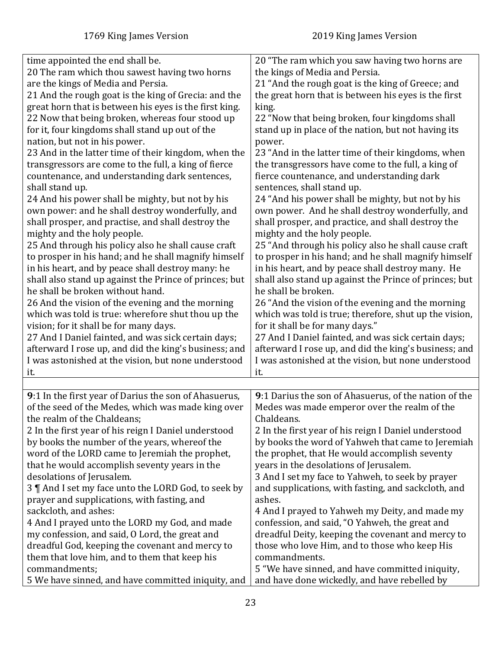<span id="page-22-0"></span>

| time appointed the end shall be.                       | 20 "The ram which you saw having two horns are         |
|--------------------------------------------------------|--------------------------------------------------------|
| 20 The ram which thou sawest having two horns          | the kings of Media and Persia.                         |
| are the kings of Media and Persia.                     | 21 "And the rough goat is the king of Greece; and      |
| 21 And the rough goat is the king of Grecia: and the   | the great horn that is between his eyes is the first   |
| great horn that is between his eyes is the first king. | king.                                                  |
| 22 Now that being broken, whereas four stood up        | 22 "Now that being broken, four kingdoms shall         |
| for it, four kingdoms shall stand up out of the        | stand up in place of the nation, but not having its    |
| nation, but not in his power.                          | power.                                                 |
| 23 And in the latter time of their kingdom, when the   | 23 "And in the latter time of their kingdoms, when     |
| transgressors are come to the full, a king of fierce   | the transgressors have come to the full, a king of     |
| countenance, and understanding dark sentences,         | fierce countenance, and understanding dark             |
| shall stand up.                                        | sentences, shall stand up.                             |
| 24 And his power shall be mighty, but not by his       | 24 "And his power shall be mighty, but not by his      |
| own power: and he shall destroy wonderfully, and       | own power. And he shall destroy wonderfully, and       |
| shall prosper, and practise, and shall destroy the     | shall prosper, and practice, and shall destroy the     |
| mighty and the holy people.                            | mighty and the holy people.                            |
| 25 And through his policy also he shall cause craft    | 25 "And through his policy also he shall cause craft   |
| to prosper in his hand; and he shall magnify himself   | to prosper in his hand; and he shall magnify himself   |
| in his heart, and by peace shall destroy many: he      | in his heart, and by peace shall destroy many. He      |
| shall also stand up against the Prince of princes; but | shall also stand up against the Prince of princes; but |
| he shall be broken without hand.                       | he shall be broken.                                    |
| 26 And the vision of the evening and the morning       | 26 "And the vision of the evening and the morning      |
| which was told is true: wherefore shut thou up the     | which was told is true; therefore, shut up the vision, |
| vision; for it shall be for many days.                 | for it shall be for many days."                        |
| 27 And I Daniel fainted, and was sick certain days;    | 27 And I Daniel fainted, and was sick certain days;    |
| afterward I rose up, and did the king's business; and  | afterward I rose up, and did the king's business; and  |
| I was astonished at the vision, but none understood    | I was astonished at the vision, but none understood    |
| it.                                                    | it.                                                    |
|                                                        |                                                        |
| 9:1 In the first year of Darius the son of Ahasuerus,  | 9:1 Darius the son of Ahasuerus, of the nation of the  |
| of the seed of the Medes, which was made king over     | Medes was made emperor over the realm of the           |
| the realm of the Chaldeans;                            | Chaldeans.                                             |
| 2 In the first year of his reign I Daniel understood   | 2 In the first year of his reign I Daniel understood   |
| by books the number of the years, whereof the          | by books the word of Yahweh that came to Jeremiah      |
| word of the LORD came to Jeremiah the prophet,         | the prophet, that He would accomplish seventy          |
| that he would accomplish seventy years in the          | years in the desolations of Jerusalem.                 |
| desolations of Jerusalem.                              | 3 And I set my face to Yahweh, to seek by prayer       |
| 3 ¶ And I set my face unto the LORD God, to seek by    | and supplications, with fasting, and sackcloth, and    |
| prayer and supplications, with fasting, and            | ashes.                                                 |
| sackcloth, and ashes:                                  | 4 And I prayed to Yahweh my Deity, and made my         |
| 4 And I prayed unto the LORD my God, and made          | confession, and said, "O Yahweh, the great and         |
| my confession, and said, O Lord, the great and         | dreadful Deity, keeping the covenant and mercy to      |
| dreadful God, keeping the covenant and mercy to        | those who love Him, and to those who keep His          |
| them that love him, and to them that keep his          | commandments.                                          |
| commandments;                                          | 5 "We have sinned, and have committed iniquity,        |
| 5 We have sinned, and have committed iniquity, and     | and have done wickedly, and have rebelled by           |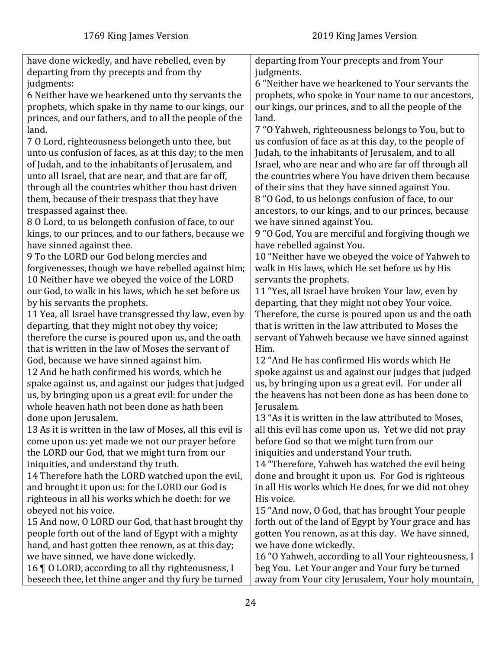| have done wickedly, and have rebelled, even by            | departing from Your precepts and from Your            |
|-----------------------------------------------------------|-------------------------------------------------------|
| departing from thy precepts and from thy                  | judgments.                                            |
| judgments:                                                | 6 "Neither have we hearkened to Your servants the     |
| 6 Neither have we hearkened unto thy servants the         | prophets, who spoke in Your name to our ancestors,    |
| prophets, which spake in thy name to our kings, our       | our kings, our princes, and to all the people of the  |
| princes, and our fathers, and to all the people of the    | land.                                                 |
| land.                                                     | 7 "O Yahweh, righteousness belongs to You, but to     |
| 70 Lord, righteousness belongeth unto thee, but           | us confusion of face as at this day, to the people of |
| unto us confusion of faces, as at this day; to the men    | Judah, to the inhabitants of Jerusalem, and to all    |
| of Judah, and to the inhabitants of Jerusalem, and        | Israel, who are near and who are far off through all  |
| unto all Israel, that are near, and that are far off,     | the countries where You have driven them because      |
| through all the countries whither thou hast driven        | of their sins that they have sinned against You.      |
| them, because of their trespass that they have            | 8 "O God, to us belongs confusion of face, to our     |
| trespassed against thee.                                  | ancestors, to our kings, and to our princes, because  |
| 80 Lord, to us belongeth confusion of face, to our        | we have sinned against You.                           |
| kings, to our princes, and to our fathers, because we     | 9 "O God, You are merciful and forgiving though we    |
| have sinned against thee.                                 | have rebelled against You.                            |
| 9 To the LORD our God belong mercies and                  | 10 "Neither have we obeyed the voice of Yahweh to     |
| forgivenesses, though we have rebelled against him;       | walk in His laws, which He set before us by His       |
| 10 Neither have we obeyed the voice of the LORD           | servants the prophets.                                |
| our God, to walk in his laws, which he set before us      | 11 "Yes, all Israel have broken Your law, even by     |
| by his servants the prophets.                             | departing, that they might not obey Your voice.       |
| 11 Yea, all Israel have transgressed thy law, even by     | Therefore, the curse is poured upon us and the oath   |
| departing, that they might not obey thy voice;            | that is written in the law attributed to Moses the    |
| therefore the curse is poured upon us, and the oath       | servant of Yahweh because we have sinned against      |
| that is written in the law of Moses the servant of        | Him.                                                  |
| God, because we have sinned against him.                  | 12 "And He has confirmed His words which He           |
| 12 And he hath confirmed his words, which he              | spoke against us and against our judges that judged   |
| spake against us, and against our judges that judged      | us, by bringing upon us a great evil. For under all   |
| us, by bringing upon us a great evil: for under the       | the heavens has not been done as has been done to     |
| whole heaven hath not been done as hath been              | Jerusalem.                                            |
| done upon Jerusalem.                                      | 13 "As it is written in the law attributed to Moses,  |
| 13 As it is written in the law of Moses, all this evil is | all this evil has come upon us. Yet we did not pray   |
| come upon us: yet made we not our prayer before           | before God so that we might turn from our             |
| the LORD our God, that we might turn from our             | iniquities and understand Your truth.                 |
| iniquities, and understand thy truth.                     | 14 "Therefore, Yahweh has watched the evil being      |
| 14 Therefore hath the LORD watched upon the evil,         | done and brought it upon us. For God is righteous     |
| and brought it upon us: for the LORD our God is           | in all His works which He does, for we did not obey   |
| righteous in all his works which he doeth: for we         | His voice.                                            |
| obeyed not his voice.                                     | 15 "And now, O God, that has brought Your people      |
| 15 And now, O LORD our God, that hast brought thy         | forth out of the land of Egypt by Your grace and has  |
| people forth out of the land of Egypt with a mighty       | gotten You renown, as at this day. We have sinned,    |
| hand, and hast gotten thee renown, as at this day;        | we have done wickedly.                                |
| we have sinned, we have done wickedly.                    | 16 "O Yahweh, according to all Your righteousness, I  |
| 16   0 LORD, according to all thy righteousness, I        | beg You. Let Your anger and Your fury be turned       |
| beseech thee, let thine anger and thy fury be turned      | away from Your city Jerusalem, Your holy mountain,    |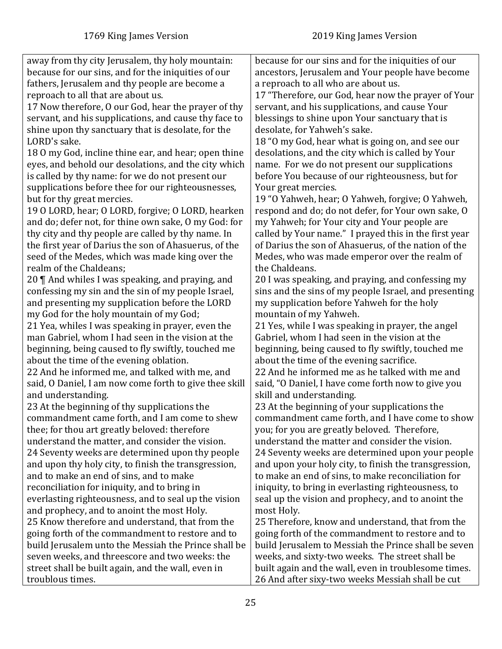away from thy city Jerusalem, thy holy mountain: because for our sins, and for the iniquities of our fathers, Jerusalem and thy people are become a reproach to all that are about us. 17 Now therefore, O our God, hear the prayer of thy servant, and his supplications, and cause thy face to shine upon thy sanctuary that is desolate, for the LORD's sake. 18 O my God, incline thine ear, and hear; open thine eyes, and behold our desolations, and the city which is called by thy name: for we do not present our supplications before thee for our righteousnesses, but for thy great mercies. 19 O LORD, hear; O LORD, forgive; O LORD, hearken and do; defer not, for thine own sake, O my God: for thy city and thy people are called by thy name. In the first year of Darius the son of Ahasuerus, of the seed of the Medes, which was made king over the realm of the Chaldeans; 20 ¶ And whiles I was speaking, and praying, and confessing my sin and the sin of my people Israel, and presenting my supplication before the LORD my God for the holy mountain of my God; 21 Yea, whiles I was speaking in prayer, even the man Gabriel, whom I had seen in the vision at the beginning, being caused to fly swiftly, touched me about the time of the evening oblation. 22 And he informed me, and talked with me, and said, O Daniel, I am now come forth to give thee skill and understanding. 23 At the beginning of thy supplications the commandment came forth, and I am come to shew thee; for thou art greatly beloved: therefore understand the matter, and consider the vision. 24 Seventy weeks are determined upon thy people and upon thy holy city, to finish the transgression, and to make an end of sins, and to make reconciliation for iniquity, and to bring in everlasting righteousness, and to seal up the vision and prophecy, and to anoint the most Holy. 25 Know therefore and understand, that from the going forth of the commandment to restore and to build Jerusalem unto the Messiah the Prince shall be seven weeks, and threescore and two weeks: the street shall be built again, and the wall, even in troublous times. because for our sins and for the iniquities of our ancestors, Jerusalem and Your people have become a reproach to all who are about us. 17 "Therefore, our God, hear now the prayer of Your servant, and his supplications, and cause Your blessings to shine upon Your sanctuary that is desolate, for Yahweh's sake. 18 "O my God, hear what is going on, and see our desolations, and the city which is called by Your name. For we do not present our supplications before You because of our righteousness, but for Your great mercies. 19 "O Yahweh, hear; O Yahweh, forgive; O Yahweh, respond and do; do not defer, for Your own sake, O my Yahweh; for Your city and Your people are called by Your name." I prayed this in the first year of Darius the son of Ahasuerus, of the nation of the Medes, who was made emperor over the realm of the Chaldeans. 20 I was speaking, and praying, and confessing my sins and the sins of my people Israel, and presenting my supplication before Yahweh for the holy mountain of my Yahweh. 21 Yes, while I was speaking in prayer, the angel Gabriel, whom I had seen in the vision at the beginning, being caused to fly swiftly, touched me about the time of the evening sacrifice. 22 And he informed me as he talked with me and said, "O Daniel, I have come forth now to give you skill and understanding. 23 At the beginning of your supplications the commandment came forth, and I have come to show you; for you are greatly beloved. Therefore, understand the matter and consider the vision. 24 Seventy weeks are determined upon your people and upon your holy city, to finish the transgression, to make an end of sins, to make reconciliation for iniquity, to bring in everlasting righteousness, to seal up the vision and prophecy, and to anoint the most Holy. 25 Therefore, know and understand, that from the going forth of the commandment to restore and to build Jerusalem to Messiah the Prince shall be seven weeks, and sixty-two weeks. The street shall be built again and the wall, even in troublesome times. 26 And after sixy-two weeks Messiah shall be cut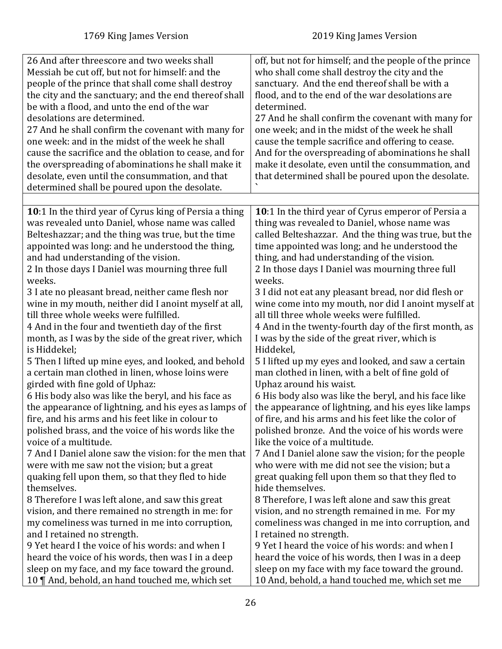<span id="page-25-0"></span>

| 26 And after threescore and two weeks shall            | off, but not for himself; and the people of the prince |
|--------------------------------------------------------|--------------------------------------------------------|
| Messiah be cut off, but not for himself: and the       | who shall come shall destroy the city and the          |
| people of the prince that shall come shall destroy     | sanctuary. And the end thereof shall be with a         |
| the city and the sanctuary; and the end thereof shall  | flood, and to the end of the war desolations are       |
| be with a flood, and unto the end of the war           | determined.                                            |
| desolations are determined.                            | 27 And he shall confirm the covenant with many for     |
| 27 And he shall confirm the covenant with many for     | one week; and in the midst of the week he shall        |
| one week: and in the midst of the week he shall        | cause the temple sacrifice and offering to cease.      |
| cause the sacrifice and the oblation to cease, and for | And for the overspreading of abominations he shall     |
| the overspreading of abominations he shall make it     | make it desolate, even until the consummation, and     |
|                                                        |                                                        |
| desolate, even until the consummation, and that        | that determined shall be poured upon the desolate.     |
| determined shall be poured upon the desolate.          |                                                        |
|                                                        |                                                        |
| 10:1 In the third year of Cyrus king of Persia a thing | 10:1 In the third year of Cyrus emperor of Persia a    |
| was revealed unto Daniel, whose name was called        | thing was revealed to Daniel, whose name was           |
| Belteshazzar; and the thing was true, but the time     | called Belteshazzar. And the thing was true, but the   |
| appointed was long: and he understood the thing,       | time appointed was long; and he understood the         |
| and had understanding of the vision.                   | thing, and had understanding of the vision.            |
| 2 In those days I Daniel was mourning three full       | 2 In those days I Daniel was mourning three full       |
| weeks.                                                 | weeks.                                                 |
| 3 I ate no pleasant bread, neither came flesh nor      | 3 I did not eat any pleasant bread, nor did flesh or   |
| wine in my mouth, neither did I anoint myself at all,  | wine come into my mouth, nor did I anoint myself at    |
| till three whole weeks were fulfilled.                 | all till three whole weeks were fulfilled.             |
| 4 And in the four and twentieth day of the first       | 4 And in the twenty-fourth day of the first month, as  |
| month, as I was by the side of the great river, which  | I was by the side of the great river, which is         |
| is Hiddekel;                                           | Hiddekel,                                              |
| 5 Then I lifted up mine eyes, and looked, and behold   | 5 I lifted up my eyes and looked, and saw a certain    |
| a certain man clothed in linen, whose loins were       | man clothed in linen, with a belt of fine gold of      |
| girded with fine gold of Uphaz:                        | Uphaz around his waist.                                |
| 6 His body also was like the beryl, and his face as    | 6 His body also was like the beryl, and his face like  |
| the appearance of lightning, and his eyes as lamps of  | the appearance of lightning, and his eyes like lamps   |
| fire, and his arms and his feet like in colour to      | of fire, and his arms and his feet like the color of   |
| polished brass, and the voice of his words like the    | polished bronze. And the voice of his words were       |
| voice of a multitude.                                  | like the voice of a multitude.                         |
| 7 And I Daniel alone saw the vision: for the men that  | 7 And I Daniel alone saw the vision; for the people    |
| were with me saw not the vision; but a great           | who were with me did not see the vision; but a         |
| quaking fell upon them, so that they fled to hide      | great quaking fell upon them so that they fled to      |
| themselves.                                            | hide themselves.                                       |
| 8 Therefore I was left alone, and saw this great       | 8 Therefore, I was left alone and saw this great       |
| vision, and there remained no strength in me: for      | vision, and no strength remained in me. For my         |
| my comeliness was turned in me into corruption,        | comeliness was changed in me into corruption, and      |
| and I retained no strength.                            | I retained no strength.                                |
| 9 Yet heard I the voice of his words: and when I       | 9 Yet I heard the voice of his words: and when I       |
| heard the voice of his words, then was I in a deep     | heard the voice of his words, then I was in a deep     |
| sleep on my face, and my face toward the ground.       | sleep on my face with my face toward the ground.       |
| 10 ¶ And, behold, an hand touched me, which set        | 10 And, behold, a hand touched me, which set me        |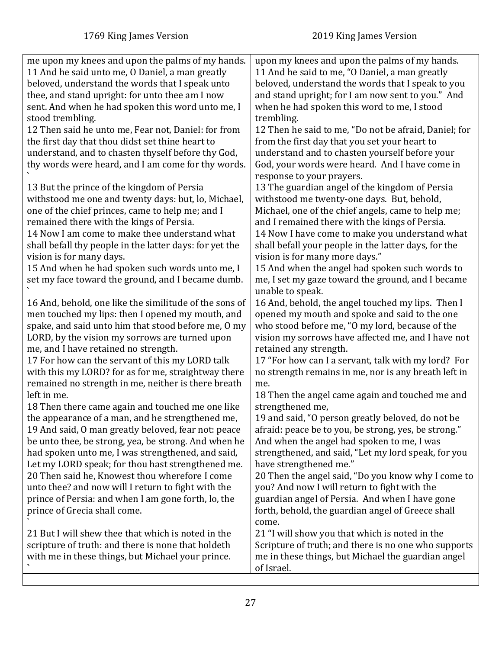| me upon my knees and upon the palms of my hands.<br>11 And he said unto me, O Daniel, a man greatly<br>beloved, understand the words that I speak unto<br>thee, and stand upright: for unto thee am I now<br>sent. And when he had spoken this word unto me, I<br>stood trembling.<br>12 Then said he unto me, Fear not, Daniel: for from<br>the first day that thou didst set thine heart to<br>understand, and to chasten thyself before thy God,<br>thy words were heard, and I am come for thy words.<br>13 But the prince of the kingdom of Persia<br>withstood me one and twenty days: but, lo, Michael,<br>one of the chief princes, came to help me; and I<br>remained there with the kings of Persia.<br>14 Now I am come to make thee understand what<br>shall befall thy people in the latter days: for yet the<br>vision is for many days.<br>15 And when he had spoken such words unto me, I<br>set my face toward the ground, and I became dumb.              | upon my knees and upon the palms of my hands.<br>11 And he said to me, "O Daniel, a man greatly<br>beloved, understand the words that I speak to you<br>and stand upright; for I am now sent to you." And<br>when he had spoken this word to me, I stood<br>trembling.<br>12 Then he said to me, "Do not be afraid, Daniel; for<br>from the first day that you set your heart to<br>understand and to chasten yourself before your<br>God, your words were heard. And I have come in<br>response to your prayers.<br>13 The guardian angel of the kingdom of Persia<br>withstood me twenty-one days. But, behold,<br>Michael, one of the chief angels, came to help me;<br>and I remained there with the kings of Persia.<br>14 Now I have come to make you understand what<br>shall befall your people in the latter days, for the<br>vision is for many more days."<br>15 And when the angel had spoken such words to<br>me, I set my gaze toward the ground, and I became |
|-----------------------------------------------------------------------------------------------------------------------------------------------------------------------------------------------------------------------------------------------------------------------------------------------------------------------------------------------------------------------------------------------------------------------------------------------------------------------------------------------------------------------------------------------------------------------------------------------------------------------------------------------------------------------------------------------------------------------------------------------------------------------------------------------------------------------------------------------------------------------------------------------------------------------------------------------------------------------------|------------------------------------------------------------------------------------------------------------------------------------------------------------------------------------------------------------------------------------------------------------------------------------------------------------------------------------------------------------------------------------------------------------------------------------------------------------------------------------------------------------------------------------------------------------------------------------------------------------------------------------------------------------------------------------------------------------------------------------------------------------------------------------------------------------------------------------------------------------------------------------------------------------------------------------------------------------------------------|
| 16 And, behold, one like the similitude of the sons of<br>men touched my lips: then I opened my mouth, and<br>spake, and said unto him that stood before me, O my<br>LORD, by the vision my sorrows are turned upon<br>me, and I have retained no strength.<br>17 For how can the servant of this my LORD talk<br>with this my LORD? for as for me, straightway there<br>remained no strength in me, neither is there breath<br>left in me.<br>18 Then there came again and touched me one like<br>the appearance of a man, and he strengthened me,<br>19 And said, O man greatly beloved, fear not: peace<br>be unto thee, be strong, yea, be strong. And when he<br>had spoken unto me, I was strengthened, and said,<br>Let my LORD speak; for thou hast strengthened me.<br>20 Then said he, Knowest thou wherefore I come<br>unto thee? and now will I return to fight with the<br>prince of Persia: and when I am gone forth, lo, the<br>prince of Grecia shall come. | unable to speak.<br>16 And, behold, the angel touched my lips. Then I<br>opened my mouth and spoke and said to the one<br>who stood before me, "O my lord, because of the<br>vision my sorrows have affected me, and I have not<br>retained any strength.<br>17 "For how can I a servant, talk with my lord? For<br>no strength remains in me, nor is any breath left in<br>me.<br>18 Then the angel came again and touched me and<br>strengthened me,<br>19 and said, "O person greatly beloved, do not be<br>afraid: peace be to you, be strong, yes, be strong."<br>And when the angel had spoken to me, I was<br>strengthened, and said, "Let my lord speak, for you<br>have strengthened me."<br>20 Then the angel said, "Do you know why I come to<br>you? And now I will return to fight with the<br>guardian angel of Persia. And when I have gone<br>forth, behold, the guardian angel of Greece shall                                                              |
| 21 But I will shew thee that which is noted in the<br>scripture of truth: and there is none that holdeth<br>with me in these things, but Michael your prince.                                                                                                                                                                                                                                                                                                                                                                                                                                                                                                                                                                                                                                                                                                                                                                                                               | come.<br>21 "I will show you that which is noted in the<br>Scripture of truth; and there is no one who supports<br>me in these things, but Michael the guardian angel<br>of Israel.                                                                                                                                                                                                                                                                                                                                                                                                                                                                                                                                                                                                                                                                                                                                                                                          |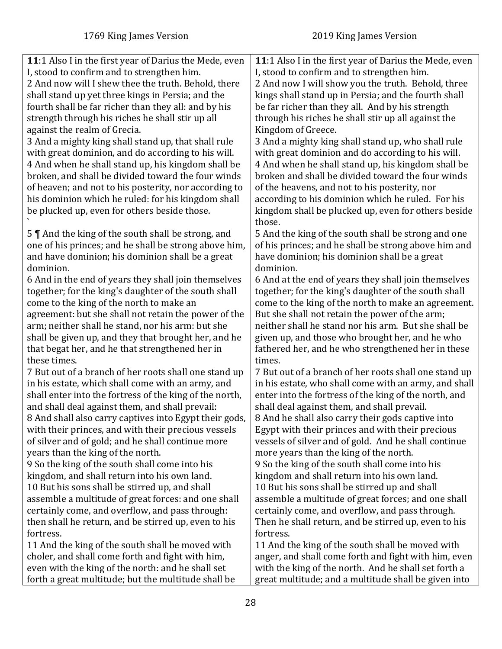forth a great multitude; but the multitude shall be

<span id="page-27-0"></span>

| 11:1 Also I in the first year of Darius the Mede, even                                                                                                                        | 11:1 Also I in the first year of Darius the Mede, even                                                                                                                             |
|-------------------------------------------------------------------------------------------------------------------------------------------------------------------------------|------------------------------------------------------------------------------------------------------------------------------------------------------------------------------------|
| I, stood to confirm and to strengthen him.                                                                                                                                    | I, stood to confirm and to strengthen him.                                                                                                                                         |
| 2 And now will I shew thee the truth. Behold, there                                                                                                                           | 2 And now I will show you the truth. Behold, three                                                                                                                                 |
| shall stand up yet three kings in Persia; and the                                                                                                                             | kings shall stand up in Persia; and the fourth shall                                                                                                                               |
| fourth shall be far richer than they all: and by his                                                                                                                          | be far richer than they all. And by his strength                                                                                                                                   |
| strength through his riches he shall stir up all                                                                                                                              | through his riches he shall stir up all against the                                                                                                                                |
| against the realm of Grecia.                                                                                                                                                  | Kingdom of Greece.                                                                                                                                                                 |
| 3 And a mighty king shall stand up, that shall rule                                                                                                                           | 3 And a mighty king shall stand up, who shall rule                                                                                                                                 |
| with great dominion, and do according to his will.                                                                                                                            | with great dominion and do according to his will.                                                                                                                                  |
| 4 And when he shall stand up, his kingdom shall be                                                                                                                            | 4 And when he shall stand up, his kingdom shall be                                                                                                                                 |
| broken, and shall be divided toward the four winds                                                                                                                            | broken and shall be divided toward the four winds                                                                                                                                  |
| of heaven; and not to his posterity, nor according to                                                                                                                         | of the heavens, and not to his posterity, nor                                                                                                                                      |
| his dominion which he ruled: for his kingdom shall                                                                                                                            | according to his dominion which he ruled. For his                                                                                                                                  |
| be plucked up, even for others beside those.                                                                                                                                  | kingdom shall be plucked up, even for others beside                                                                                                                                |
| 5    And the king of the south shall be strong, and<br>one of his princes; and he shall be strong above him,<br>and have dominion; his dominion shall be a great<br>dominion. | those.<br>5 And the king of the south shall be strong and one<br>of his princes; and he shall be strong above him and<br>have dominion; his dominion shall be a great<br>dominion. |
| 6 And in the end of years they shall join themselves                                                                                                                          | 6 And at the end of years they shall join themselves                                                                                                                               |
| together; for the king's daughter of the south shall                                                                                                                          | together; for the king's daughter of the south shall                                                                                                                               |
| come to the king of the north to make an                                                                                                                                      | come to the king of the north to make an agreement.                                                                                                                                |
| agreement: but she shall not retain the power of the                                                                                                                          | But she shall not retain the power of the arm;                                                                                                                                     |
| arm; neither shall he stand, nor his arm: but she                                                                                                                             | neither shall he stand nor his arm. But she shall be                                                                                                                               |
| shall be given up, and they that brought her, and he                                                                                                                          | given up, and those who brought her, and he who                                                                                                                                    |
| that begat her, and he that strengthened her in                                                                                                                               | fathered her, and he who strengthened her in these                                                                                                                                 |
| these times.                                                                                                                                                                  | times.                                                                                                                                                                             |
| 7 But out of a branch of her roots shall one stand up                                                                                                                         | 7 But out of a branch of her roots shall one stand up                                                                                                                              |
| in his estate, which shall come with an army, and                                                                                                                             | in his estate, who shall come with an army, and shall                                                                                                                              |
| shall enter into the fortress of the king of the north,                                                                                                                       | enter into the fortress of the king of the north, and                                                                                                                              |
| and shall deal against them, and shall prevail:                                                                                                                               | shall deal against them, and shall prevail.                                                                                                                                        |
| 8 And shall also carry captives into Egypt their gods,                                                                                                                        | 8 And he shall also carry their gods captive into                                                                                                                                  |
| with their princes, and with their precious vessels                                                                                                                           | Egypt with their princes and with their precious                                                                                                                                   |
| of silver and of gold; and he shall continue more                                                                                                                             | vessels of silver and of gold. And he shall continue                                                                                                                               |
| years than the king of the north.                                                                                                                                             | more years than the king of the north.                                                                                                                                             |
| 9 So the king of the south shall come into his                                                                                                                                | 9 So the king of the south shall come into his                                                                                                                                     |
| kingdom, and shall return into his own land.                                                                                                                                  | kingdom and shall return into his own land.                                                                                                                                        |
| 10 But his sons shall be stirred up, and shall                                                                                                                                | 10 But his sons shall be stirred up and shall                                                                                                                                      |
| assemble a multitude of great forces: and one shall                                                                                                                           | assemble a multitude of great forces; and one shall                                                                                                                                |
| certainly come, and overflow, and pass through:                                                                                                                               | certainly come, and overflow, and pass through.                                                                                                                                    |
| then shall he return, and be stirred up, even to his                                                                                                                          | Then he shall return, and be stirred up, even to his                                                                                                                               |
| fortress.                                                                                                                                                                     | fortress.                                                                                                                                                                          |
|                                                                                                                                                                               |                                                                                                                                                                                    |
| 11 And the king of the south shall be moved with                                                                                                                              | 11 And the king of the south shall be moved with                                                                                                                                   |
| choler, and shall come forth and fight with him,                                                                                                                              | anger, and shall come forth and fight with him, even                                                                                                                               |
| even with the king of the north: and he shall set                                                                                                                             | with the king of the north. And he shall set forth a                                                                                                                               |

great multitude; and a multitude shall be given into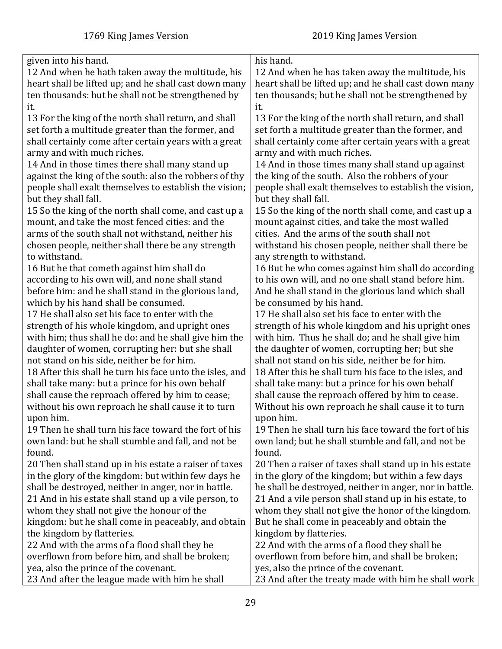| given into his hand.                                     | his hand.                                               |
|----------------------------------------------------------|---------------------------------------------------------|
| 12 And when he hath taken away the multitude, his        | 12 And when he has taken away the multitude, his        |
| heart shall be lifted up; and he shall cast down many    | heart shall be lifted up; and he shall cast down many   |
| ten thousands: but he shall not be strengthened by       | ten thousands; but he shall not be strengthened by      |
| it.                                                      | it.                                                     |
| 13 For the king of the north shall return, and shall     | 13 For the king of the north shall return, and shall    |
| set forth a multitude greater than the former, and       | set forth a multitude greater than the former, and      |
| shall certainly come after certain years with a great    | shall certainly come after certain years with a great   |
| army and with much riches.                               | army and with much riches.                              |
| 14 And in those times there shall many stand up          | 14 And in those times many shall stand up against       |
| against the king of the south: also the robbers of thy   | the king of the south. Also the robbers of your         |
| people shall exalt themselves to establish the vision;   | people shall exalt themselves to establish the vision,  |
| but they shall fall.                                     | but they shall fall.                                    |
| 15 So the king of the north shall come, and cast up a    | 15 So the king of the north shall come, and cast up a   |
| mount, and take the most fenced cities: and the          | mount against cities, and take the most walled          |
| arms of the south shall not withstand, neither his       | cities. And the arms of the south shall not             |
| chosen people, neither shall there be any strength       | withstand his chosen people, neither shall there be     |
| to withstand.                                            | any strength to withstand.                              |
| 16 But he that cometh against him shall do               | 16 But he who comes against him shall do according      |
| according to his own will, and none shall stand          | to his own will, and no one shall stand before him.     |
| before him: and he shall stand in the glorious land,     | And he shall stand in the glorious land which shall     |
| which by his hand shall be consumed.                     | be consumed by his hand.                                |
| 17 He shall also set his face to enter with the          | 17 He shall also set his face to enter with the         |
| strength of his whole kingdom, and upright ones          | strength of his whole kingdom and his upright ones      |
| with him; thus shall he do: and he shall give him the    | with him. Thus he shall do; and he shall give him       |
| daughter of women, corrupting her: but she shall         | the daughter of women, corrupting her; but she          |
| not stand on his side, neither be for him.               | shall not stand on his side, neither be for him.        |
| 18 After this shall he turn his face unto the isles, and | 18 After this he shall turn his face to the isles, and  |
| shall take many: but a prince for his own behalf         | shall take many: but a prince for his own behalf        |
| shall cause the reproach offered by him to cease;        | shall cause the reproach offered by him to cease.       |
| without his own reproach he shall cause it to turn       | Without his own reproach he shall cause it to turn      |
| upon him.                                                | upon him.                                               |
| 19 Then he shall turn his face toward the fort of his    | 19 Then he shall turn his face toward the fort of his   |
| own land: but he shall stumble and fall, and not be      | own land; but he shall stumble and fall, and not be     |
| found.                                                   | found.                                                  |
| 20 Then shall stand up in his estate a raiser of taxes   | 20 Then a raiser of taxes shall stand up in his estate  |
| in the glory of the kingdom: but within few days he      | in the glory of the kingdom; but within a few days      |
| shall be destroyed, neither in anger, nor in battle.     | he shall be destroyed, neither in anger, nor in battle. |
| 21 And in his estate shall stand up a vile person, to    | 21 And a vile person shall stand up in his estate, to   |
| whom they shall not give the honour of the               | whom they shall not give the honor of the kingdom.      |
| kingdom: but he shall come in peaceably, and obtain      | But he shall come in peaceably and obtain the           |
| the kingdom by flatteries.                               | kingdom by flatteries.                                  |
| 22 And with the arms of a flood shall they be            | 22 And with the arms of a flood they shall be           |
| overflown from before him, and shall be broken;          | overflown from before him, and shall be broken;         |
| yea, also the prince of the covenant.                    | yes, also the prince of the covenant.                   |
| 23 And after the league made with him he shall           | 23 And after the treaty made with him he shall work     |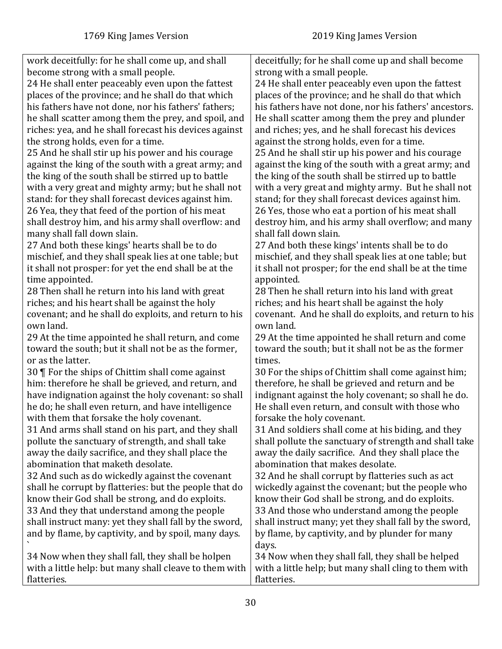`

flatteries.

work deceitfully: for he shall come up, and shall become strong with a small people. 24 He shall enter peaceably even upon the fattest places of the province; and he shall do that which his fathers have not done, nor his fathers' fathers; he shall scatter among them the prey, and spoil, and riches: yea, and he shall forecast his devices against the strong holds, even for a time. 25 And he shall stir up his power and his courage against the king of the south with a great army; and the king of the south shall be stirred up to battle with a very great and mighty army; but he shall not stand: for they shall forecast devices against him. 26 Yea, they that feed of the portion of his meat shall destroy him, and his army shall overflow: and many shall fall down slain. 27 And both these kings' hearts shall be to do mischief, and they shall speak lies at one table; but it shall not prosper: for yet the end shall be at the time appointed. 28 Then shall he return into his land with great riches; and his heart shall be against the holy covenant; and he shall do exploits, and return to his own land. 29 At the time appointed he shall return, and come toward the south; but it shall not be as the former, or as the latter. 30 ¶ For the ships of Chittim shall come against him: therefore he shall be grieved, and return, and have indignation against the holy covenant: so shall he do; he shall even return, and have intelligence with them that forsake the holy covenant. 31 And arms shall stand on his part, and they shall pollute the sanctuary of strength, and shall take away the daily sacrifice, and they shall place the abomination that maketh desolate. 32 And such as do wickedly against the covenant shall he corrupt by flatteries: but the people that do know their God shall be strong, and do exploits. 33 And they that understand among the people shall instruct many: yet they shall fall by the sword, and by flame, by captivity, and by spoil, many days. 34 Now when they shall fall, they shall be holpen with a little help: but many shall cleave to them with deceitfully; for he shall come up and shall become strong with a small people. 24 He shall enter peaceably even upon the fattest places of the province; and he shall do that which his fathers have not done, nor his fathers' ancestors. He shall scatter among them the prey and plunder and riches; yes, and he shall forecast his devices against the strong holds, even for a time. 25 And he shall stir up his power and his courage against the king of the south with a great army; and the king of the south shall be stirred up to battle with a very great and mighty army. But he shall not stand; for they shall forecast devices against him. 26 Yes, those who eat a portion of his meat shall destroy him, and his army shall overflow; and many shall fall down slain. 27 And both these kings' intents shall be to do mischief, and they shall speak lies at one table; but it shall not prosper; for the end shall be at the time appointed. 28 Then he shall return into his land with great riches; and his heart shall be against the holy covenant. And he shall do exploits, and return to his own land. 29 At the time appointed he shall return and come toward the south; but it shall not be as the former times. 30 For the ships of Chittim shall come against him; therefore, he shall be grieved and return and be indignant against the holy covenant; so shall he do. He shall even return, and consult with those who forsake the holy covenant. 31 And soldiers shall come at his biding, and they shall pollute the sanctuary of strength and shall take away the daily sacrifice. And they shall place the abomination that makes desolate. 32 And he shall corrupt by flatteries such as act wickedly against the covenant; but the people who know their God shall be strong, and do exploits. 33 And those who understand among the people shall instruct many; yet they shall fall by the sword, by flame, by captivity, and by plunder for many days. 34 Now when they shall fall, they shall be helped with a little help; but many shall cling to them with

flatteries.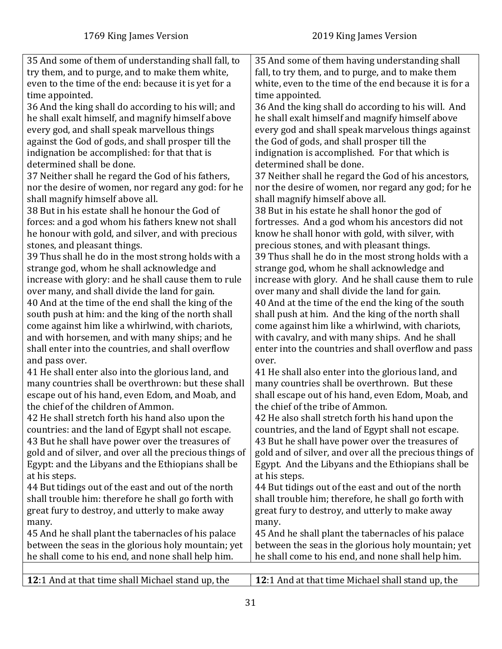<span id="page-30-0"></span>

| 35 And some of them of understanding shall fall, to     | 35 And some of them having understanding shall          |
|---------------------------------------------------------|---------------------------------------------------------|
| try them, and to purge, and to make them white,         | fall, to try them, and to purge, and to make them       |
| even to the time of the end: because it is yet for a    | white, even to the time of the end because it is for a  |
| time appointed.                                         | time appointed.                                         |
| 36 And the king shall do according to his will; and     | 36 And the king shall do according to his will. And     |
| he shall exalt himself, and magnify himself above       | he shall exalt himself and magnify himself above        |
| every god, and shall speak marvellous things            | every god and shall speak marvelous things against      |
| against the God of gods, and shall prosper till the     | the God of gods, and shall prosper till the             |
| indignation be accomplished: for that that is           | indignation is accomplished. For that which is          |
| determined shall be done.                               | determined shall be done.                               |
| 37 Neither shall he regard the God of his fathers,      | 37 Neither shall he regard the God of his ancestors,    |
| nor the desire of women, nor regard any god: for he     | nor the desire of women, nor regard any god; for he     |
| shall magnify himself above all.                        | shall magnify himself above all.                        |
| 38 But in his estate shall he honour the God of         | 38 But in his estate he shall honor the god of          |
| forces: and a god whom his fathers knew not shall       | fortresses. And a god whom his ancestors did not        |
| he honour with gold, and silver, and with precious      | know he shall honor with gold, with silver, with        |
| stones, and pleasant things.                            | precious stones, and with pleasant things.              |
| 39 Thus shall he do in the most strong holds with a     | 39 Thus shall he do in the most strong holds with a     |
| strange god, whom he shall acknowledge and              | strange god, whom he shall acknowledge and              |
| increase with glory: and he shall cause them to rule    | increase with glory. And he shall cause them to rule    |
| over many, and shall divide the land for gain.          | over many and shall divide the land for gain.           |
| 40 And at the time of the end shall the king of the     | 40 And at the time of the end the king of the south     |
| south push at him: and the king of the north shall      | shall push at him. And the king of the north shall      |
| come against him like a whirlwind, with chariots,       | come against him like a whirlwind, with chariots,       |
| and with horsemen, and with many ships; and he          | with cavalry, and with many ships. And he shall         |
| shall enter into the countries, and shall overflow      | enter into the countries and shall overflow and pass    |
| and pass over.                                          | over.                                                   |
| 41 He shall enter also into the glorious land, and      | 41 He shall also enter into the glorious land, and      |
| many countries shall be overthrown: but these shall     | many countries shall be overthrown. But these           |
| escape out of his hand, even Edom, and Moab, and        | shall escape out of his hand, even Edom, Moab, and      |
| the chief of the children of Ammon.                     | the chief of the tribe of Ammon.                        |
| 42 He shall stretch forth his hand also upon the        | 42 He also shall stretch forth his hand upon the        |
| countries: and the land of Egypt shall not escape.      | countries, and the land of Egypt shall not escape.      |
| 43 But he shall have power over the treasures of        | 43 But he shall have power over the treasures of        |
| gold and of silver, and over all the precious things of | gold and of silver, and over all the precious things of |
| Egypt: and the Libyans and the Ethiopians shall be      | Egypt. And the Libyans and the Ethiopians shall be      |
| at his steps.                                           | at his steps.                                           |
| 44 But tidings out of the east and out of the north     | 44 But tidings out of the east and out of the north     |
| shall trouble him: therefore he shall go forth with     | shall trouble him; therefore, he shall go forth with    |
| great fury to destroy, and utterly to make away         | great fury to destroy, and utterly to make away         |
| many.                                                   | many.                                                   |
| 45 And he shall plant the tabernacles of his palace     | 45 And he shall plant the tabernacles of his palace     |
| between the seas in the glorious holy mountain; yet     | between the seas in the glorious holy mountain; yet     |
| he shall come to his end, and none shall help him.      | he shall come to his end, and none shall help him.      |
|                                                         |                                                         |
| 12:1 And at that time shall Michael stand up, the       | 12:1 And at that time Michael shall stand up, the       |
|                                                         |                                                         |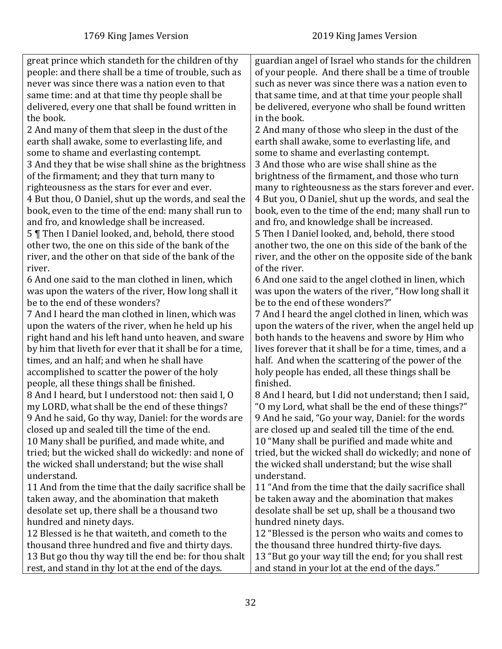| great prince which standeth for the children of thy      | guardian angel of Israel who stands for the children    |
|----------------------------------------------------------|---------------------------------------------------------|
| people: and there shall be a time of trouble, such as    | of your people. And there shall be a time of trouble    |
| never was since there was a nation even to that          | such as never was since there was a nation even to      |
| same time: and at that time thy people shall be          | that same time, and at that time your people shall      |
| delivered, every one that shall be found written in      | be delivered, everyone who shall be found written       |
| the book.                                                | in the book.                                            |
| 2 And many of them that sleep in the dust of the         | 2 And many of those who sleep in the dust of the        |
| earth shall awake, some to everlasting life, and         | earth shall awake, some to everlasting life, and        |
| some to shame and everlasting contempt.                  | some to shame and everlasting contempt.                 |
| 3 And they that be wise shall shine as the brightness    | 3 And those who are wise shall shine as the             |
| of the firmament; and they that turn many to             | brightness of the firmament, and those who turn         |
| righteousness as the stars for ever and ever.            | many to righteousness as the stars forever and ever.    |
| 4 But thou, O Daniel, shut up the words, and seal the    | 4 But you, O Daniel, shut up the words, and seal the    |
| book, even to the time of the end: many shall run to     | book, even to the time of the end; many shall run to    |
| and fro, and knowledge shall be increased.               | and fro, and knowledge shall be increased.              |
| 5   Then I Daniel looked, and, behold, there stood       | 5 Then I Daniel looked, and, behold, there stood        |
| other two, the one on this side of the bank of the       | another two, the one on this side of the bank of the    |
| river, and the other on that side of the bank of the     | river, and the other on the opposite side of the bank   |
| river.                                                   | of the river.                                           |
| 6 And one said to the man clothed in linen, which        | 6 And one said to the angel clothed in linen, which     |
| was upon the waters of the river, How long shall it      | was upon the waters of the river, "How long shall it    |
| be to the end of these wonders?                          | be to the end of these wonders?"                        |
| 7 And I heard the man clothed in linen, which was        | 7 And I heard the angel clothed in linen, which was     |
| upon the waters of the river, when he held up his        | upon the waters of the river, when the angel held up    |
| right hand and his left hand unto heaven, and sware      | both hands to the heavens and swore by Him who          |
| by him that liveth for ever that it shall be for a time, | lives forever that it shall be for a time, times, and a |
| times, and an half; and when he shall have               | half. And when the scattering of the power of the       |
| accomplished to scatter the power of the holy            | holy people has ended, all these things shall be        |
| people, all these things shall be finished.              | finished.                                               |
| 8 And I heard, but I understood not: then said I, O      | 8 And I heard, but I did not understand; then I said,   |
| my LORD, what shall be the end of these things?          | "O my Lord, what shall be the end of these things?"     |
| 9 And he said, Go thy way, Daniel: for the words are     | 9 And he said, "Go your way, Daniel: for the words      |
| closed up and sealed till the time of the end.           | are closed up and sealed till the time of the end.      |
| 10 Many shall be purified, and made white, and           | 10 "Many shall be purified and made white and           |
| tried; but the wicked shall do wickedly: and none of     | tried, but the wicked shall do wickedly; and none of    |
| the wicked shall understand; but the wise shall          | the wicked shall understand; but the wise shall         |
| understand.                                              | understand.                                             |
| 11 And from the time that the daily sacrifice shall be   | 11 "And from the time that the daily sacrifice shall    |
| taken away, and the abomination that maketh              | be taken away and the abomination that makes            |
| desolate set up, there shall be a thousand two           | desolate shall be set up, shall be a thousand two       |
| hundred and ninety days.                                 | hundred ninety days.                                    |
| 12 Blessed is he that waiteth, and cometh to the         | 12 "Blessed is the person who waits and comes to        |
| thousand three hundred and five and thirty days.         | the thousand three hundred thirty-five days.            |
| 13 But go thou thy way till the end be: for thou shalt   | 13 "But go your way till the end; for you shall rest    |
| rest, and stand in thy lot at the end of the days.       | and stand in your lot at the end of the days."          |